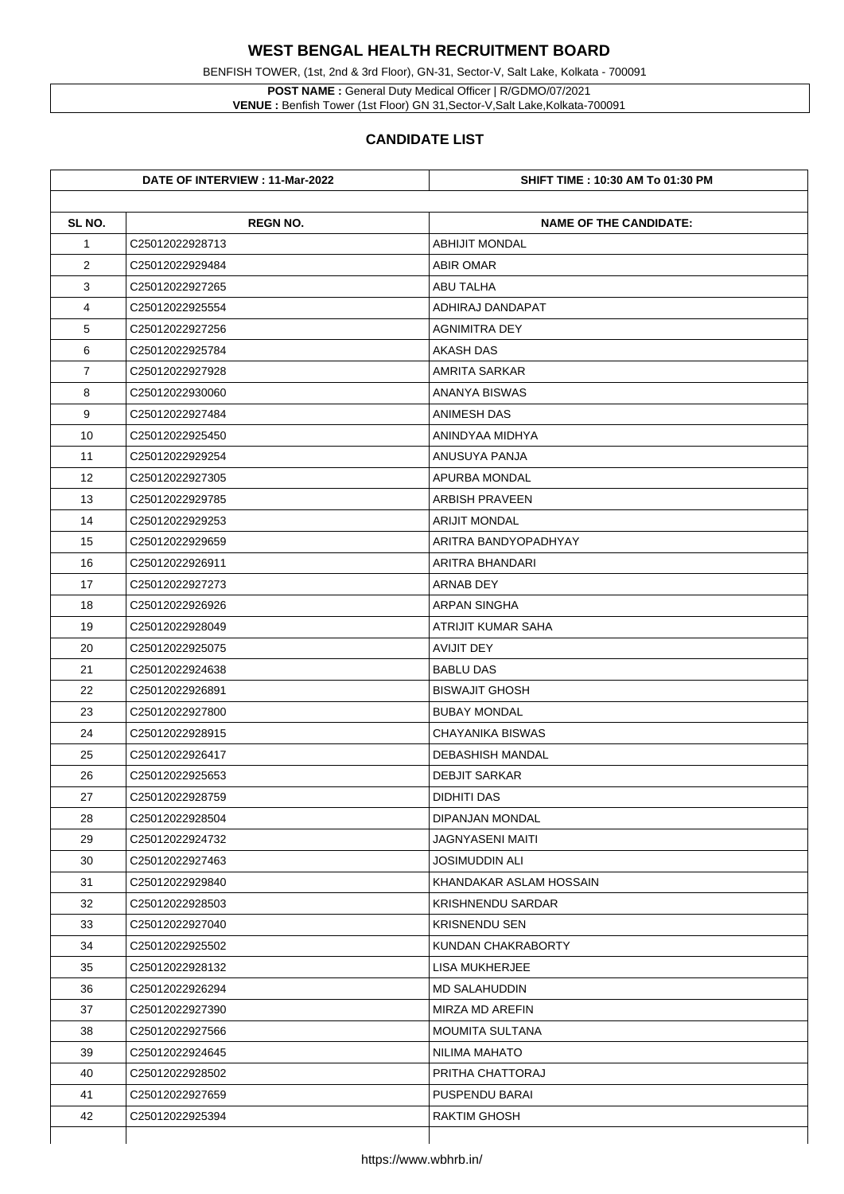**POST NAME :** General Duty Medical Officer | R/GDMO/07/2021 **VENUE :** Benfish Tower (1st Floor) GN 31, Sector-V, Salt Lake, Kolkata-700091

BENFISH TOWER, (1st, 2nd & 3rd Floor), GN-31, Sector-V, Salt Lake, Kolkata - 700091

|                | DATE OF INTERVIEW : 11-Mar-2022 | <b>SHIFT TIME : 10:30 AM To 01:30 PM</b> |
|----------------|---------------------------------|------------------------------------------|
| SL NO.         | <b>REGN NO.</b>                 | <b>NAME OF THE CANDIDATE:</b>            |
| $\mathbf 1$    | C25012022928713                 | <b>ABHIJIT MONDAL</b>                    |
| $\overline{2}$ | C25012022929484                 | <b>ABIR OMAR</b>                         |
| 3              | C25012022927265                 | <b>ABU TALHA</b>                         |
| 4              | C25012022925554                 | ADHIRAJ DANDAPAT                         |
| 5              | C25012022927256                 | <b>AGNIMITRA DEY</b>                     |
| 6              | C25012022925784                 | <b>AKASH DAS</b>                         |
| $\overline{7}$ | C25012022927928                 | <b>AMRITA SARKAR</b>                     |
| 8              | C25012022930060                 | <b>ANANYA BISWAS</b>                     |
| 9              | C25012022927484                 | <b>ANIMESH DAS</b>                       |
| 10             | C25012022925450                 | ANINDYAA MIDHYA                          |
| 11             | C25012022929254                 | ANUSUYA PANJA                            |
| 12             | C25012022927305                 | <b>APURBA MONDAL</b>                     |
| 13             | C25012022929785                 | <b>ARBISH PRAVEEN</b>                    |
| 14             | C25012022929253                 | <b>ARIJIT MONDAL</b>                     |
| 15             | C25012022929659                 | ARITRA BANDYOPADHYAY                     |
| 16             | C25012022926911                 | ARITRA BHANDARI                          |
| 17             | C25012022927273                 | <b>ARNAB DEY</b>                         |
| 18             | C25012022926926                 | <b>ARPAN SINGHA</b>                      |
| 19             | C25012022928049                 | <b>ATRIJIT KUMAR SAHA</b>                |
| 20             | C25012022925075                 | <b>AVIJIT DEY</b>                        |
| 21             | C25012022924638                 | <b>BABLU DAS</b>                         |
| 22             | C25012022926891                 | <b>BISWAJIT GHOSH</b>                    |
| 23             | C25012022927800                 | <b>BUBAY MONDAL</b>                      |
| 24             | C25012022928915                 | <b>CHAYANIKA BISWAS</b>                  |
| 25             | C25012022926417                 | <b>DEBASHISH MANDAL</b>                  |
| 26             | C25012022925653                 | <b>DEBJIT SARKAR</b>                     |
| 27             | C25012022928759                 | <b>DIDHITI DAS</b>                       |
| 28             | C25012022928504                 | <b>DIPANJAN MONDAL</b>                   |
| 29             | C25012022924732                 | <b>JAGNYASENI MAITI</b>                  |
| 30             | C25012022927463                 | <b>JOSIMUDDIN ALI</b>                    |
| 31             | C25012022929840                 | KHANDAKAR ASLAM HOSSAIN                  |
| 32             | C25012022928503                 | <b>KRISHNENDU SARDAR</b>                 |
| 33             | C25012022927040                 | <b>KRISNENDU SEN</b>                     |
| 34             | C25012022925502                 | <b>KUNDAN CHAKRABORTY</b>                |
| 35             | C25012022928132                 | <b>LISA MUKHERJEE</b>                    |
| 36             | C25012022926294                 | <b>MD SALAHUDDIN</b>                     |
| 37             | C25012022927390                 | <b>MIRZA MD AREFIN</b>                   |
| 38             | C25012022927566                 | <b>MOUMITA SULTANA</b>                   |
| 39             | C25012022924645                 | <b>NILIMA MAHATO</b>                     |
| 40             | C25012022928502                 | PRITHA CHATTORAJ                         |
| 41             | C <sub>25012022927659</sub>     | <b>PUSPENDU BARAI</b>                    |
| 42             | C25012022925394                 | <b>RAKTIM GHOSH</b>                      |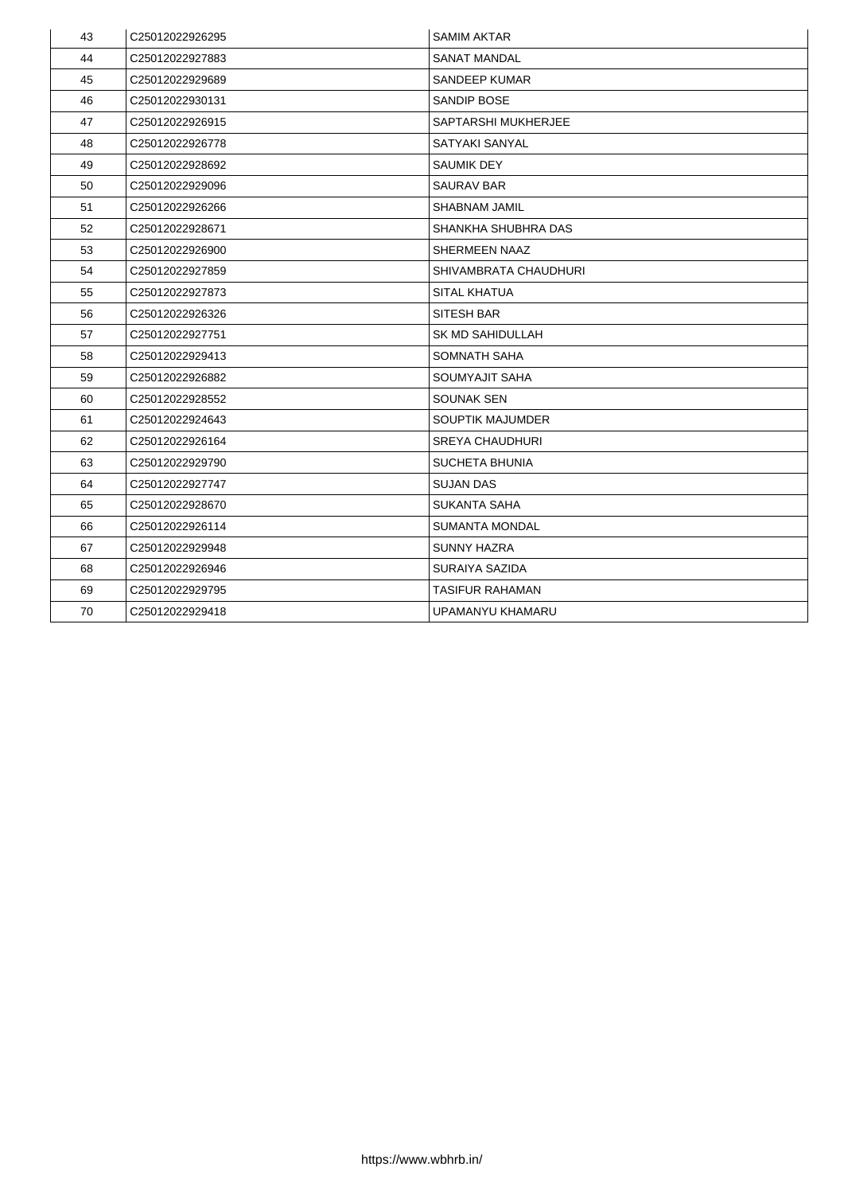| 43 | C25012022926295             | <b>SAMIM AKTAR</b>           |
|----|-----------------------------|------------------------------|
| 44 | C25012022927883             | <b>SANAT MANDAL</b>          |
| 45 | C25012022929689             | <b>SANDEEP KUMAR</b>         |
| 46 | C25012022930131             | <b>SANDIP BOSE</b>           |
| 47 | C25012022926915             | <b>SAPTARSHI MUKHERJEE</b>   |
| 48 | C25012022926778             | <b>SATYAKI SANYAL</b>        |
| 49 | C25012022928692             | <b>SAUMIK DEY</b>            |
| 50 | C25012022929096             | <b>SAURAV BAR</b>            |
| 51 | C25012022926266             | <b>SHABNAM JAMIL</b>         |
| 52 | C25012022928671             | <b>SHANKHA SHUBHRA DAS</b>   |
| 53 | C25012022926900             | <b>SHERMEEN NAAZ</b>         |
| 54 | C25012022927859             | <b>SHIVAMBRATA CHAUDHURI</b> |
| 55 | C <sub>25012022927873</sub> | <b>SITAL KHATUA</b>          |
| 56 | C25012022926326             | <b>SITESH BAR</b>            |
| 57 | C25012022927751             | <b>SK MD SAHIDULLAH</b>      |
| 58 | C25012022929413             | <b>SOMNATH SAHA</b>          |
| 59 | C25012022926882             | <b>SOUMYAJIT SAHA</b>        |
| 60 | C25012022928552             | <b>SOUNAK SEN</b>            |
| 61 | C25012022924643             | <b>SOUPTIK MAJUMDER</b>      |
| 62 | C25012022926164             | <b>SREYA CHAUDHURI</b>       |
| 63 | C25012022929790             | <b>SUCHETA BHUNIA</b>        |
| 64 | C25012022927747             | <b>SUJAN DAS</b>             |
| 65 | C25012022928670             | <b>SUKANTA SAHA</b>          |
| 66 | C25012022926114             | <b>SUMANTA MONDAL</b>        |
| 67 | C25012022929948             | <b>SUNNY HAZRA</b>           |
| 68 | C25012022926946             | <b>SURAIYA SAZIDA</b>        |
| 69 | C25012022929795             | <b>TASIFUR RAHAMAN</b>       |
| 70 | C25012022929418             | UPAMANYU KHAMARU             |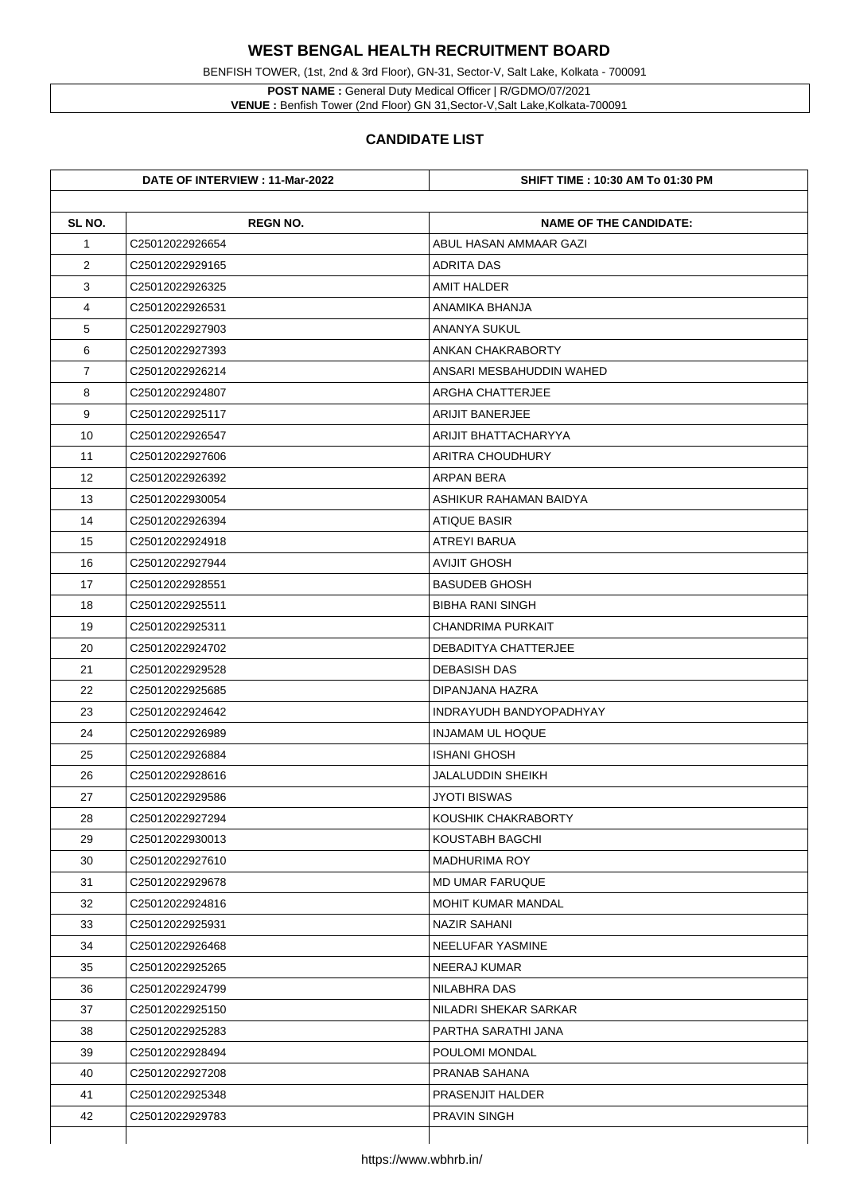BENFISH TOWER, (1st, 2nd & 3rd Floor), GN-31, Sector-V, Salt Lake, Kolkata - 700091

**POST NAME :** General Duty Medical Officer | R/GDMO/07/2021 **VENUE :** Benfish Tower (2nd Floor) GN 31,Sector-V,Salt Lake,Kolkata-700091

|                | DATE OF INTERVIEW : 11-Mar-2022 | <b>SHIFT TIME : 10:30 AM To 01:30 PM</b> |
|----------------|---------------------------------|------------------------------------------|
| SL NO.         | <b>REGN NO.</b>                 | <b>NAME OF THE CANDIDATE:</b>            |
| $\mathbf 1$    | C25012022926654                 | ABUL HASAN AMMAAR GAZI                   |
| $\overline{2}$ | C25012022929165                 | <b>ADRITA DAS</b>                        |
| 3              | C25012022926325                 | <b>AMIT HALDER</b>                       |
| 4              | C25012022926531                 | ANAMIKA BHANJA                           |
| 5              | C25012022927903                 | <b>ANANYA SUKUL</b>                      |
| 6              | C25012022927393                 | <b>ANKAN CHAKRABORTY</b>                 |
| $\overline{7}$ | C25012022926214                 | ANSARI MESBAHUDDIN WAHED                 |
| 8              | C25012022924807                 | <b>ARGHA CHATTERJEE</b>                  |
| 9              | C25012022925117                 | <b>ARIJIT BANERJEE</b>                   |
| 10             | C25012022926547                 | <b>ARIJIT BHATTACHARYYA</b>              |
| 11             | C25012022927606                 | <b>ARITRA CHOUDHURY</b>                  |
| 12             | C25012022926392                 | <b>ARPAN BERA</b>                        |
| 13             | C25012022930054                 | ASHIKUR RAHAMAN BAIDYA                   |
| 14             | C25012022926394                 | <b>ATIQUE BASIR</b>                      |
| 15             | C25012022924918                 | <b>ATREYI BARUA</b>                      |
| 16             | C25012022927944                 | <b>AVIJIT GHOSH</b>                      |
| 17             | C25012022928551                 | <b>BASUDEB GHOSH</b>                     |
| 18             | C25012022925511                 | <b>BIBHA RANI SINGH</b>                  |
| 19             | C25012022925311                 | <b>CHANDRIMA PURKAIT</b>                 |
| 20             | C25012022924702                 | <b>DEBADITYA CHATTERJEE</b>              |
| 21             | C25012022929528                 | <b>DEBASISH DAS</b>                      |
| 22             | C25012022925685                 | DIPANJANA HAZRA                          |
| 23             | C25012022924642                 | <b>INDRAYUDH BANDYOPADHYAY</b>           |
| 24             | C25012022926989                 | <b>INJAMAM UL HOQUE</b>                  |
| 25             | C25012022926884                 | <b>ISHANI GHOSH</b>                      |
| 26             | C25012022928616                 | <b>JALALUDDIN SHEIKH</b>                 |
| 27             | C25012022929586                 | <b>JYOTI BISWAS</b>                      |
| 28             | C25012022927294                 | KOUSHIK CHAKRABORTY                      |
| 29             | C25012022930013                 | <b>KOUSTABH BAGCHI</b>                   |
| 30             | C25012022927610                 | <b>MADHURIMA ROY</b>                     |
| 31             | C25012022929678                 | <b>MD UMAR FARUQUE</b>                   |
| 32             | C25012022924816                 | <b>MOHIT KUMAR MANDAL</b>                |
| 33             | C25012022925931                 | <b>NAZIR SAHANI</b>                      |
| 34             | C25012022926468                 | <b>NEELUFAR YASMINE</b>                  |
| 35             | C25012022925265                 | <b>NEERAJ KUMAR</b>                      |
| 36             | C25012022924799                 | <b>NILABHRA DAS</b>                      |
| 37             | C <sub>25012022925150</sub>     | <b>NILADRI SHEKAR SARKAR</b>             |
| 38             | C <sub>25012022925283</sub>     | PARTHA SARATHI JANA                      |
| 39             | C25012022928494                 | POULOMI MONDAL                           |
| 40             | C25012022927208                 | <b>PRANAB SAHANA</b>                     |
| 41             | C <sub>25012022925348</sub>     | <b>PRASENJIT HALDER</b>                  |
| 42             | C25012022929783                 | <b>PRAVIN SINGH</b>                      |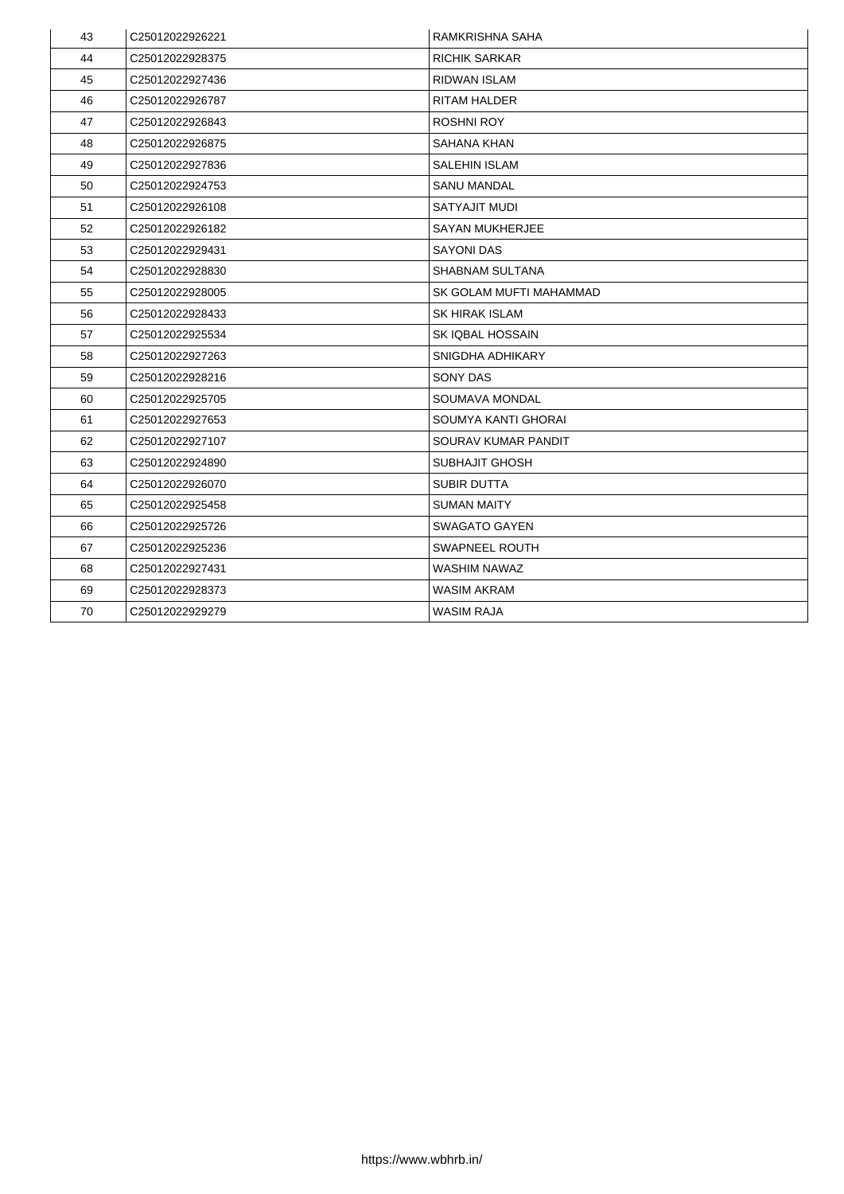| 43 | C25012022926221             | <b>RAMKRISHNA SAHA</b>     |
|----|-----------------------------|----------------------------|
| 44 | C25012022928375             | <b>RICHIK SARKAR</b>       |
| 45 | C25012022927436             | <b>RIDWAN ISLAM</b>        |
| 46 | C25012022926787             | <b>RITAM HALDER</b>        |
| 47 | C25012022926843             | <b>ROSHNI ROY</b>          |
| 48 | C25012022926875             | <b>SAHANA KHAN</b>         |
| 49 | C25012022927836             | <b>SALEHIN ISLAM</b>       |
| 50 | C25012022924753             | <b>SANU MANDAL</b>         |
| 51 | C25012022926108             | <b>SATYAJIT MUDI</b>       |
| 52 | C25012022926182             | <b>SAYAN MUKHERJEE</b>     |
| 53 | C25012022929431             | <b>SAYONI DAS</b>          |
| 54 | C25012022928830             | <b>SHABNAM SULTANA</b>     |
| 55 | C25012022928005             | SK GOLAM MUFTI MAHAMMAD    |
| 56 | C25012022928433             | <b>SK HIRAK ISLAM</b>      |
| 57 | C25012022925534             | <b>SK IQBAL HOSSAIN</b>    |
| 58 | C25012022927263             | <b>SNIGDHA ADHIKARY</b>    |
| 59 | C25012022928216             | <b>SONY DAS</b>            |
| 60 | C25012022925705             | <b>SOUMAVA MONDAL</b>      |
| 61 | C25012022927653             | <b>SOUMYA KANTI GHORAI</b> |
| 62 | C25012022927107             | <b>SOURAV KUMAR PANDIT</b> |
| 63 | C <sub>25012022924890</sub> | <b>SUBHAJIT GHOSH</b>      |
| 64 | C25012022926070             | <b>SUBIR DUTTA</b>         |
| 65 | C25012022925458             | <b>SUMAN MAITY</b>         |
| 66 | C25012022925726             | <b>SWAGATO GAYEN</b>       |
| 67 | C25012022925236             | <b>SWAPNEEL ROUTH</b>      |
| 68 | C25012022927431             | <b>WASHIM NAWAZ</b>        |
| 69 | C25012022928373             | <b>WASIM AKRAM</b>         |
| 70 | C25012022929279             | <b>WASIM RAJA</b>          |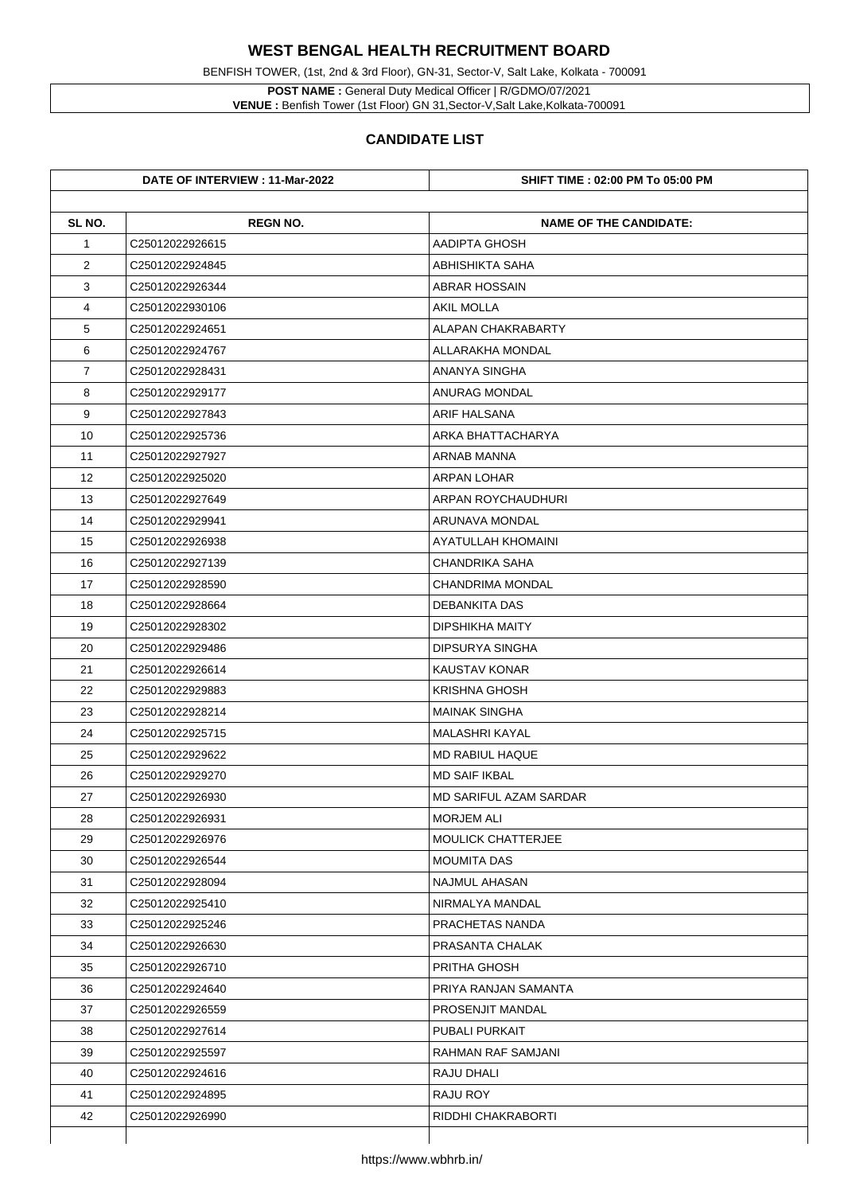**POST NAME :** General Duty Medical Officer | R/GDMO/07/2021 **VENUE :** Benfish Tower (1st Floor) GN 31, Sector-V, Salt Lake, Kolkata-700091

BENFISH TOWER, (1st, 2nd & 3rd Floor), GN-31, Sector-V, Salt Lake, Kolkata - 700091

|                | DATE OF INTERVIEW : 11-Mar-2022 | <b>SHIFT TIME : 02:00 PM To 05:00 PM</b> |
|----------------|---------------------------------|------------------------------------------|
| SL NO.         | <b>REGN NO.</b>                 | <b>NAME OF THE CANDIDATE:</b>            |
| $\mathbf 1$    | C25012022926615                 | <b>AADIPTA GHOSH</b>                     |
| $\overline{2}$ | C25012022924845                 | <b>ABHISHIKTA SAHA</b>                   |
| 3              | C25012022926344                 | <b>ABRAR HOSSAIN</b>                     |
| 4              | C25012022930106                 | <b>AKIL MOLLA</b>                        |
| 5              | C25012022924651                 | <b>ALAPAN CHAKRABARTY</b>                |
| 6              | C25012022924767                 | <b>ALLARAKHA MONDAL</b>                  |
| $\overline{7}$ | C25012022928431                 | <b>ANANYA SINGHA</b>                     |
| 8              | C25012022929177                 | <b>ANURAG MONDAL</b>                     |
| 9              | C25012022927843                 | <b>ARIF HALSANA</b>                      |
| 10             | C25012022925736                 | <b>ARKA BHATTACHARYA</b>                 |
| 11             | C25012022927927                 | <b>ARNAB MANNA</b>                       |
| 12             | C25012022925020                 | <b>ARPAN LOHAR</b>                       |
| 13             | C25012022927649                 | ARPAN ROYCHAUDHURI                       |
| 14             | C25012022929941                 | <b>ARUNAVA MONDAL</b>                    |
| 15             | C25012022926938                 | <b>AYATULLAH KHOMAINI</b>                |
| 16             | C25012022927139                 | <b>CHANDRIKA SAHA</b>                    |
| 17             | C25012022928590                 | <b>CHANDRIMA MONDAL</b>                  |
| 18             | C25012022928664                 | <b>DEBANKITA DAS</b>                     |
| 19             | C25012022928302                 | <b>DIPSHIKHA MAITY</b>                   |
| 20             | C25012022929486                 | <b>DIPSURYA SINGHA</b>                   |
| 21             | C25012022926614                 | <b>KAUSTAV KONAR</b>                     |
| 22             | C25012022929883                 | <b>KRISHNA GHOSH</b>                     |
| 23             | C25012022928214                 | <b>MAINAK SINGHA</b>                     |
| 24             | C25012022925715                 | <b>MALASHRI KAYAL</b>                    |
| 25             | C25012022929622                 | <b>MD RABIUL HAQUE</b>                   |
| 26             | C25012022929270                 | <b>MD SAIF IKBAL</b>                     |
| 27             | C25012022926930                 | <b>MD SARIFUL AZAM SARDAR</b>            |
| 28             | C25012022926931                 | <b>MORJEM ALI</b>                        |
| 29             | C25012022926976                 | <b>MOULICK CHATTERJEE</b>                |
| 30             | C25012022926544                 | <b>MOUMITA DAS</b>                       |
| 31             | C25012022928094                 | <b>NAJMUL AHASAN</b>                     |
| 32             | C25012022925410                 | NIRMALYA MANDAL                          |
| 33             | C25012022925246                 | <b>PRACHETAS NANDA</b>                   |
| 34             | C25012022926630                 | <b>PRASANTA CHALAK</b>                   |
| 35             | C25012022926710                 | <b>PRITHA GHOSH</b>                      |
| 36             | C25012022924640                 | PRIYA RANJAN SAMANTA                     |
| 37             | C25012022926559                 | <b>PROSENJIT MANDAL</b>                  |
| 38             | C25012022927614                 | <b>PUBALI PURKAIT</b>                    |
| 39             | C25012022925597                 | <b>RAHMAN RAF SAMJANI</b>                |
| 40             | C25012022924616                 | <b>RAJU DHALI</b>                        |
| 41             | C25012022924895                 | <b>RAJU ROY</b>                          |
| 42             | C25012022926990                 | RIDDHI CHAKRABORTI                       |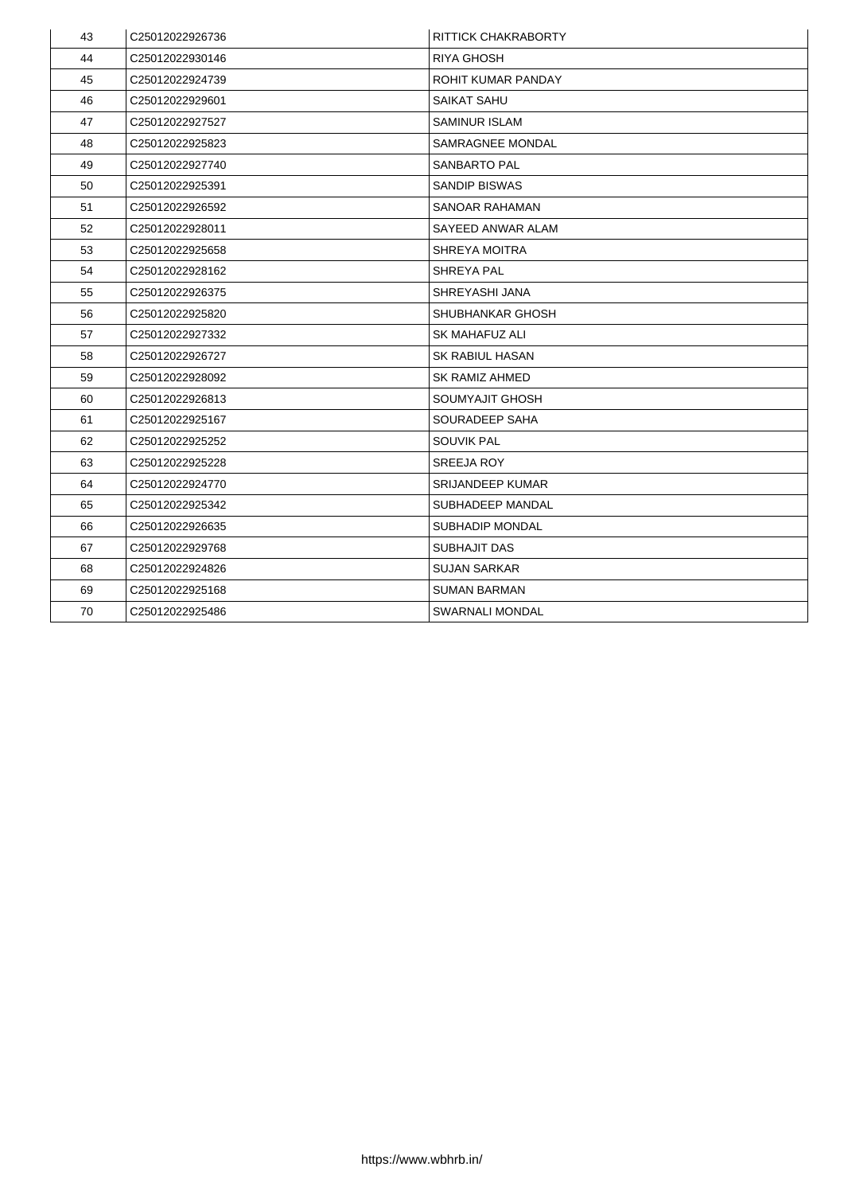| 43 | C25012022926736             | <b>RITTICK CHAKRABORTY</b> |
|----|-----------------------------|----------------------------|
| 44 | C25012022930146             | <b>RIYA GHOSH</b>          |
| 45 | C25012022924739             | <b>ROHIT KUMAR PANDAY</b>  |
| 46 | C25012022929601             | <b>SAIKAT SAHU</b>         |
| 47 | C25012022927527             | <b>SAMINUR ISLAM</b>       |
| 48 | C25012022925823             | <b>SAMRAGNEE MONDAL</b>    |
| 49 | C25012022927740             | <b>SANBARTO PAL</b>        |
| 50 | C25012022925391             | <b>SANDIP BISWAS</b>       |
| 51 | C25012022926592             | <b>SANOAR RAHAMAN</b>      |
| 52 | C25012022928011             | <b>SAYEED ANWAR ALAM</b>   |
| 53 | C25012022925658             | <b>SHREYA MOITRA</b>       |
| 54 | C25012022928162             | <b>SHREYA PAL</b>          |
| 55 | C25012022926375             | <b>SHREYASHI JANA</b>      |
| 56 | C25012022925820             | <b>SHUBHANKAR GHOSH</b>    |
| 57 | C25012022927332             | <b>SK MAHAFUZ ALI</b>      |
| 58 | C25012022926727             | <b>SK RABIUL HASAN</b>     |
| 59 | C25012022928092             | <b>SK RAMIZ AHMED</b>      |
| 60 | C25012022926813             | <b>SOUMYAJIT GHOSH</b>     |
| 61 | C25012022925167             | <b>SOURADEEP SAHA</b>      |
| 62 | C25012022925252             | <b>SOUVIK PAL</b>          |
| 63 | C <sub>25012022925228</sub> | <b>SREEJA ROY</b>          |
| 64 | C25012022924770             | <b>SRIJANDEEP KUMAR</b>    |
| 65 | C25012022925342             | <b>SUBHADEEP MANDAL</b>    |
| 66 | C25012022926635             | <b>SUBHADIP MONDAL</b>     |
| 67 | C25012022929768             | <b>SUBHAJIT DAS</b>        |
| 68 | C25012022924826             | <b>SUJAN SARKAR</b>        |
| 69 | C25012022925168             | <b>SUMAN BARMAN</b>        |
| 70 | C25012022925486             | <b>SWARNALI MONDAL</b>     |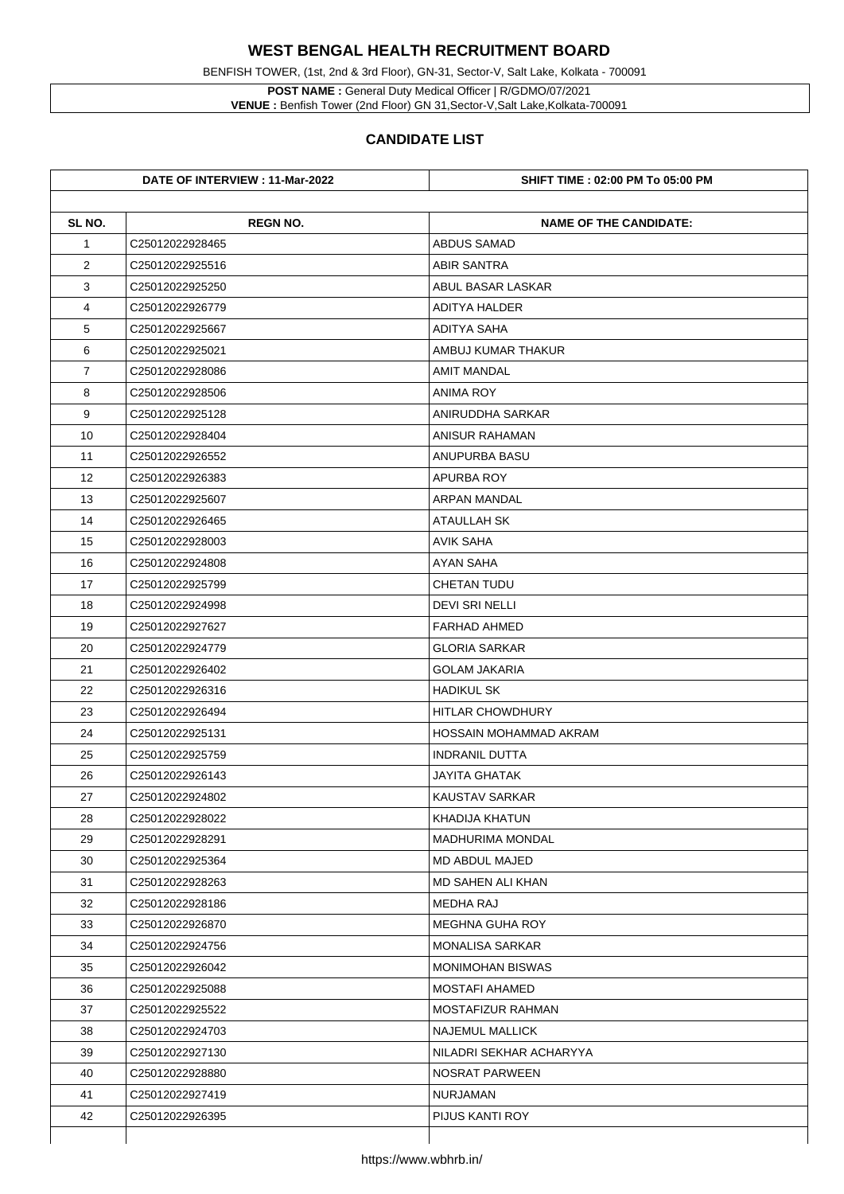BENFISH TOWER, (1st, 2nd & 3rd Floor), GN-31, Sector-V, Salt Lake, Kolkata - 700091

**POST NAME :** General Duty Medical Officer | R/GDMO/07/2021 **VENUE :** Benfish Tower (2nd Floor) GN 31,Sector-V,Salt Lake,Kolkata-700091

|                | DATE OF INTERVIEW : 11-Mar-2022 | <b>SHIFT TIME : 02:00 PM To 05:00 PM</b> |
|----------------|---------------------------------|------------------------------------------|
| SL NO.         | <b>REGN NO.</b>                 | <b>NAME OF THE CANDIDATE:</b>            |
| $\mathbf 1$    | C25012022928465                 | <b>ABDUS SAMAD</b>                       |
| $\overline{2}$ | C25012022925516                 | <b>ABIR SANTRA</b>                       |
| 3              | C25012022925250                 | <b>ABUL BASAR LASKAR</b>                 |
| 4              | C25012022926779                 | <b>ADITYA HALDER</b>                     |
| 5              | C25012022925667                 | <b>ADITYA SAHA</b>                       |
| 6              | C25012022925021                 | AMBUJ KUMAR THAKUR                       |
| $\overline{7}$ | C25012022928086                 | <b>AMIT MANDAL</b>                       |
| 8              | C25012022928506                 | <b>ANIMA ROY</b>                         |
| 9              | C25012022925128                 | <b>ANIRUDDHA SARKAR</b>                  |
| 10             | C25012022928404                 | <b>ANISUR RAHAMAN</b>                    |
| 11             | C25012022926552                 | <b>ANUPURBA BASU</b>                     |
| 12             | C25012022926383                 | <b>APURBA ROY</b>                        |
| 13             | C25012022925607                 | <b>ARPAN MANDAL</b>                      |
| 14             | C25012022926465                 | <b>ATAULLAH SK</b>                       |
| 15             | C25012022928003                 | <b>AVIK SAHA</b>                         |
| 16             | C25012022924808                 | <b>AYAN SAHA</b>                         |
| 17             | C25012022925799                 | <b>CHETAN TUDU</b>                       |
| 18             | C25012022924998                 | <b>DEVI SRI NELLI</b>                    |
| 19             | C25012022927627                 | <b>FARHAD AHMED</b>                      |
| 20             | C25012022924779                 | <b>GLORIA SARKAR</b>                     |
| 21             | C25012022926402                 | <b>GOLAM JAKARIA</b>                     |
| 22             | C25012022926316                 | <b>HADIKUL SK</b>                        |
| 23             | C25012022926494                 | <b>HITLAR CHOWDHURY</b>                  |
| 24             | C25012022925131                 | <b>HOSSAIN MOHAMMAD AKRAM</b>            |
| 25             | C25012022925759                 | <b>INDRANIL DUTTA</b>                    |
| 26             | C25012022926143                 | <b>JAYITA GHATAK</b>                     |
| 27             | C25012022924802                 | <b>KAUSTAV SARKAR</b>                    |
| 28             | C25012022928022                 | <b>KHADIJA KHATUN</b>                    |
| 29             | C25012022928291                 | <b>MADHURIMA MONDAL</b>                  |
| 30             | C25012022925364                 | <b>MD ABDUL MAJED</b>                    |
| 31             | C25012022928263                 | <b>MD SAHEN ALI KHAN</b>                 |
| 32             | C25012022928186                 | <b>MEDHA RAJ</b>                         |
| 33             | C25012022926870                 | <b>MEGHNA GUHA ROY</b>                   |
| 34             | C25012022924756                 | <b>MONALISA SARKAR</b>                   |
| 35             | C25012022926042                 | <b>MONIMOHAN BISWAS</b>                  |
| 36             | C25012022925088                 | <b>MOSTAFI AHAMED</b>                    |
| 37             | C25012022925522                 | <b>MOSTAFIZUR RAHMAN</b>                 |
| 38             | C25012022924703                 | <b>NAJEMUL MALLICK</b>                   |
| 39             | C25012022927130                 | NILADRI SEKHAR ACHARYYA                  |
| 40             | C25012022928880                 | <b>NOSRAT PARWEEN</b>                    |
| 41             | C25012022927419                 | <b>NURJAMAN</b>                          |
| 42             | C25012022926395                 | <b>PIJUS KANTI ROY</b>                   |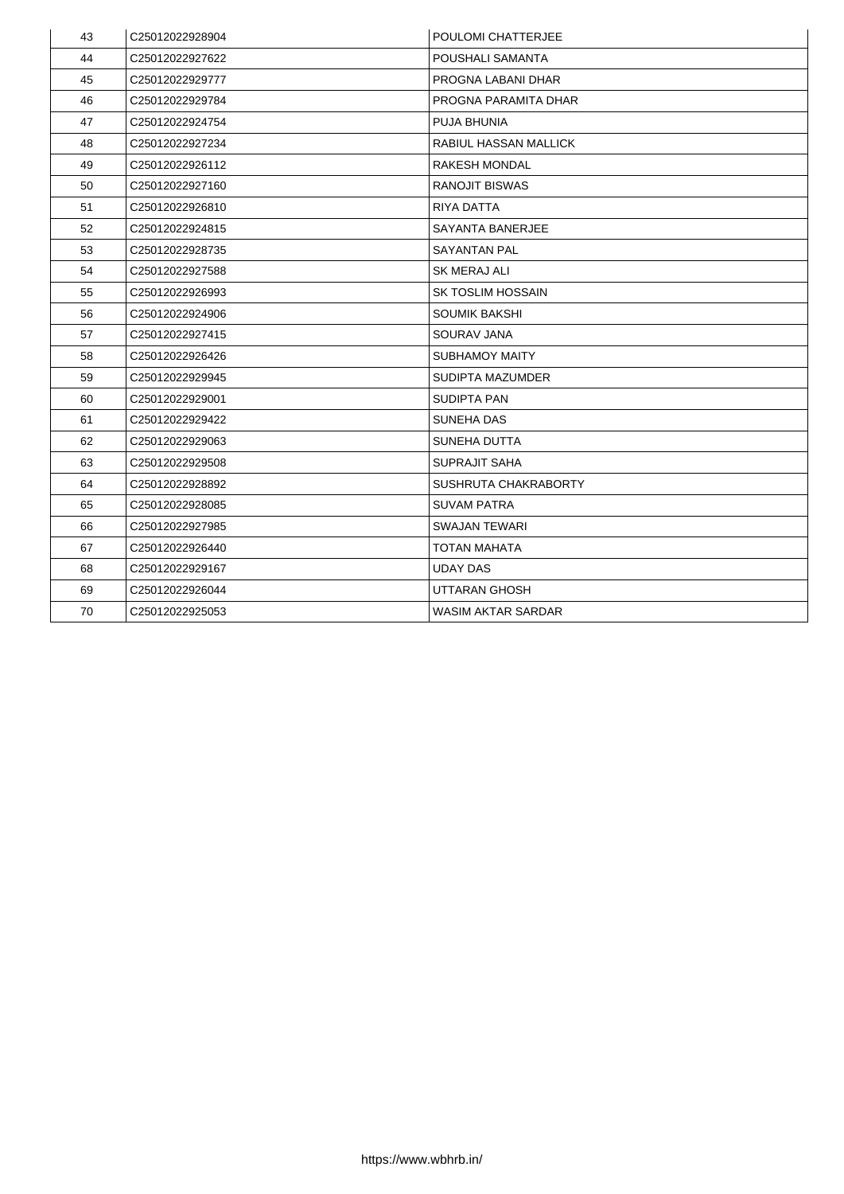| 43 | C25012022928904 | <b>POULOMI CHATTERJEE</b>    |
|----|-----------------|------------------------------|
| 44 | C25012022927622 | <b>POUSHALI SAMANTA</b>      |
| 45 | C25012022929777 | PROGNA LABANI DHAR           |
| 46 | C25012022929784 | PROGNA PARAMITA DHAR         |
| 47 | C25012022924754 | <b>PUJA BHUNIA</b>           |
| 48 | C25012022927234 | <b>RABIUL HASSAN MALLICK</b> |
| 49 | C25012022926112 | <b>RAKESH MONDAL</b>         |
| 50 | C25012022927160 | <b>RANOJIT BISWAS</b>        |
| 51 | C25012022926810 | <b>RIYA DATTA</b>            |
| 52 | C25012022924815 | <b>SAYANTA BANERJEE</b>      |
| 53 | C25012022928735 | <b>SAYANTAN PAL</b>          |
| 54 | C25012022927588 | <b>SK MERAJ ALI</b>          |
| 55 | C25012022926993 | <b>SK TOSLIM HOSSAIN</b>     |
| 56 | C25012022924906 | <b>SOUMIK BAKSHI</b>         |
| 57 | C25012022927415 | <b>SOURAV JANA</b>           |
| 58 | C25012022926426 | <b>SUBHAMOY MAITY</b>        |
| 59 | C25012022929945 | <b>SUDIPTA MAZUMDER</b>      |
| 60 | C25012022929001 | <b>SUDIPTA PAN</b>           |
| 61 | C25012022929422 | <b>SUNEHA DAS</b>            |
| 62 | C25012022929063 | <b>SUNEHA DUTTA</b>          |
| 63 | C25012022929508 | <b>SUPRAJIT SAHA</b>         |
| 64 | C25012022928892 | SUSHRUTA CHAKRABORTY         |
| 65 | C25012022928085 | <b>SUVAM PATRA</b>           |
| 66 | C25012022927985 | <b>SWAJAN TEWARI</b>         |
| 67 | C25012022926440 | <b>TOTAN MAHATA</b>          |
| 68 | C25012022929167 | <b>UDAY DAS</b>              |
| 69 | C25012022926044 | UTTARAN GHOSH                |
| 70 | C25012022925053 | <b>WASIM AKTAR SARDAR</b>    |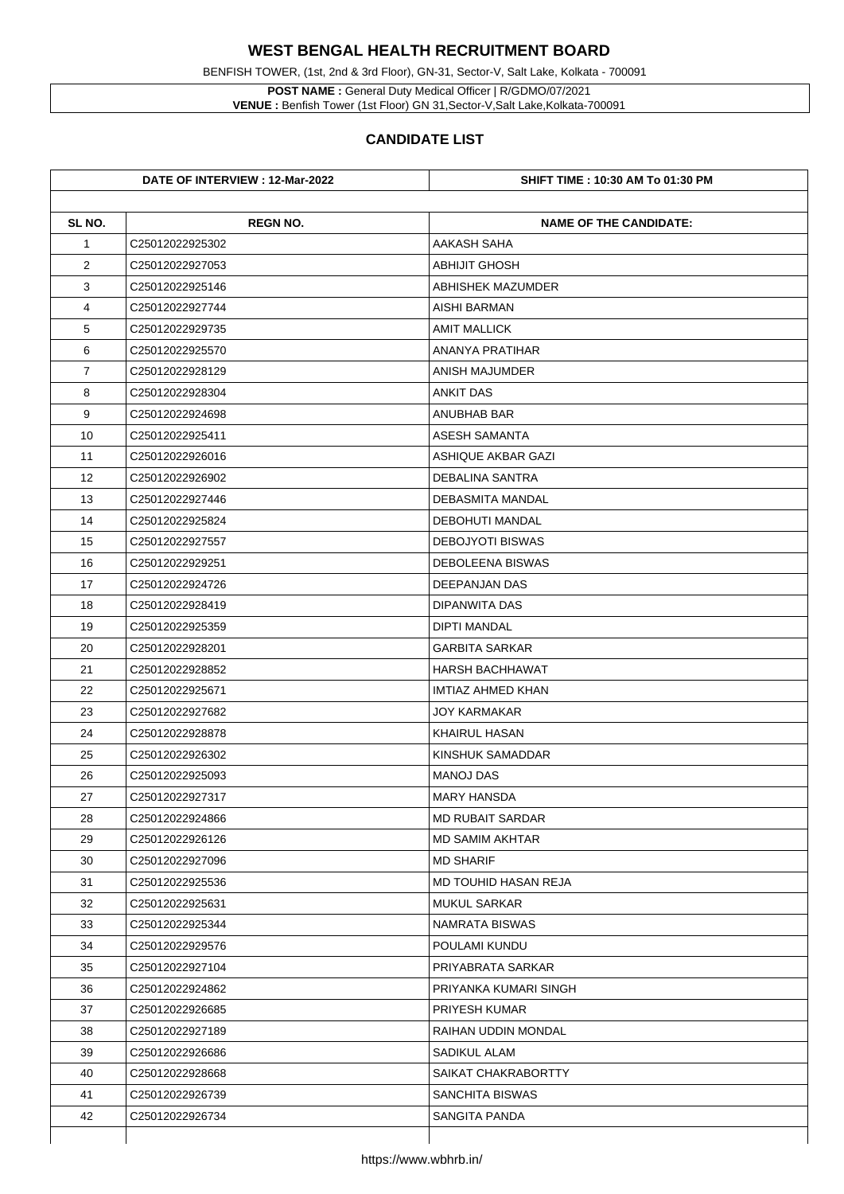**POST NAME :** General Duty Medical Officer | R/GDMO/07/2021 **VENUE :** Benfish Tower (1st Floor) GN 31, Sector-V, Salt Lake, Kolkata-700091

BENFISH TOWER, (1st, 2nd & 3rd Floor), GN-31, Sector-V, Salt Lake, Kolkata - 700091

|                | DATE OF INTERVIEW : 12-Mar-2022 | <b>SHIFT TIME : 10:30 AM To 01:30 PM</b> |
|----------------|---------------------------------|------------------------------------------|
| SL NO.         | <b>REGN NO.</b>                 | <b>NAME OF THE CANDIDATE:</b>            |
| $\mathbf 1$    | C25012022925302                 | <b>AAKASH SAHA</b>                       |
| $\overline{2}$ | C25012022927053                 | <b>ABHIJIT GHOSH</b>                     |
| 3              | C25012022925146                 | <b>ABHISHEK MAZUMDER</b>                 |
| 4              | C25012022927744                 | <b>AISHI BARMAN</b>                      |
| 5              | C25012022929735                 | <b>AMIT MALLICK</b>                      |
| 6              | C25012022925570                 | <b>ANANYA PRATIHAR</b>                   |
| $\overline{7}$ | C25012022928129                 | <b>ANISH MAJUMDER</b>                    |
| 8              | C25012022928304                 | <b>ANKIT DAS</b>                         |
| 9              | C25012022924698                 | <b>ANUBHAB BAR</b>                       |
| 10             | C25012022925411                 | <b>ASESH SAMANTA</b>                     |
| 11             | C25012022926016                 | <b>ASHIQUE AKBAR GAZI</b>                |
| 12             | C25012022926902                 | <b>DEBALINA SANTRA</b>                   |
| 13             | C25012022927446                 | <b>DEBASMITA MANDAL</b>                  |
| 14             | C25012022925824                 | <b>DEBOHUTI MANDAL</b>                   |
| 15             | C25012022927557                 | <b>DEBOJYOTI BISWAS</b>                  |
| 16             | C25012022929251                 | <b>DEBOLEENA BISWAS</b>                  |
| 17             | C25012022924726                 | <b>DEEPANJAN DAS</b>                     |
| 18             | C25012022928419                 | <b>DIPANWITA DAS</b>                     |
| 19             | C25012022925359                 | <b>DIPTI MANDAL</b>                      |
| 20             | C25012022928201                 | <b>GARBITA SARKAR</b>                    |
| 21             | C25012022928852                 | <b>HARSH BACHHAWAT</b>                   |
| 22             | C25012022925671                 | <b>IMTIAZ AHMED KHAN</b>                 |
| 23             | C25012022927682                 | <b>JOY KARMAKAR</b>                      |
| 24             | C25012022928878                 | <b>KHAIRUL HASAN</b>                     |
| 25             | C25012022926302                 | <b>KINSHUK SAMADDAR</b>                  |
| 26             | C25012022925093                 | <b>MANOJ DAS</b>                         |
| 27             | C25012022927317                 | <b>MARY HANSDA</b>                       |
| 28             | C <sub>25012022924866</sub>     | <b>MD RUBAIT SARDAR</b>                  |
| 29             | C25012022926126                 | <b>MD SAMIM AKHTAR</b>                   |
| 30             | C25012022927096                 | <b>MD SHARIF</b>                         |
| 31             | C25012022925536                 | <b>MD TOUHID HASAN REJA</b>              |
| 32             | C25012022925631                 | <b>MUKUL SARKAR</b>                      |
| 33             | C25012022925344                 | <b>NAMRATA BISWAS</b>                    |
| 34             | C <sub>25012022929576</sub>     | <b>POULAMI KUNDU</b>                     |
| 35             | C25012022927104                 | PRIYABRATA SARKAR                        |
| 36             | C25012022924862                 | PRIYANKA KUMARI SINGH                    |
| 37             | C25012022926685                 | <b>PRIYESH KUMAR</b>                     |
| 38             | C25012022927189                 | <b>RAIHAN UDDIN MONDAL</b>               |
| 39             | C25012022926686                 | <b>SADIKUL ALAM</b>                      |
| 40             | C25012022928668                 | <b>SAIKAT CHAKRABORTTY</b>               |
| 41             | C25012022926739                 | <b>SANCHITA BISWAS</b>                   |
| 42             | C25012022926734                 | <b>SANGITA PANDA</b>                     |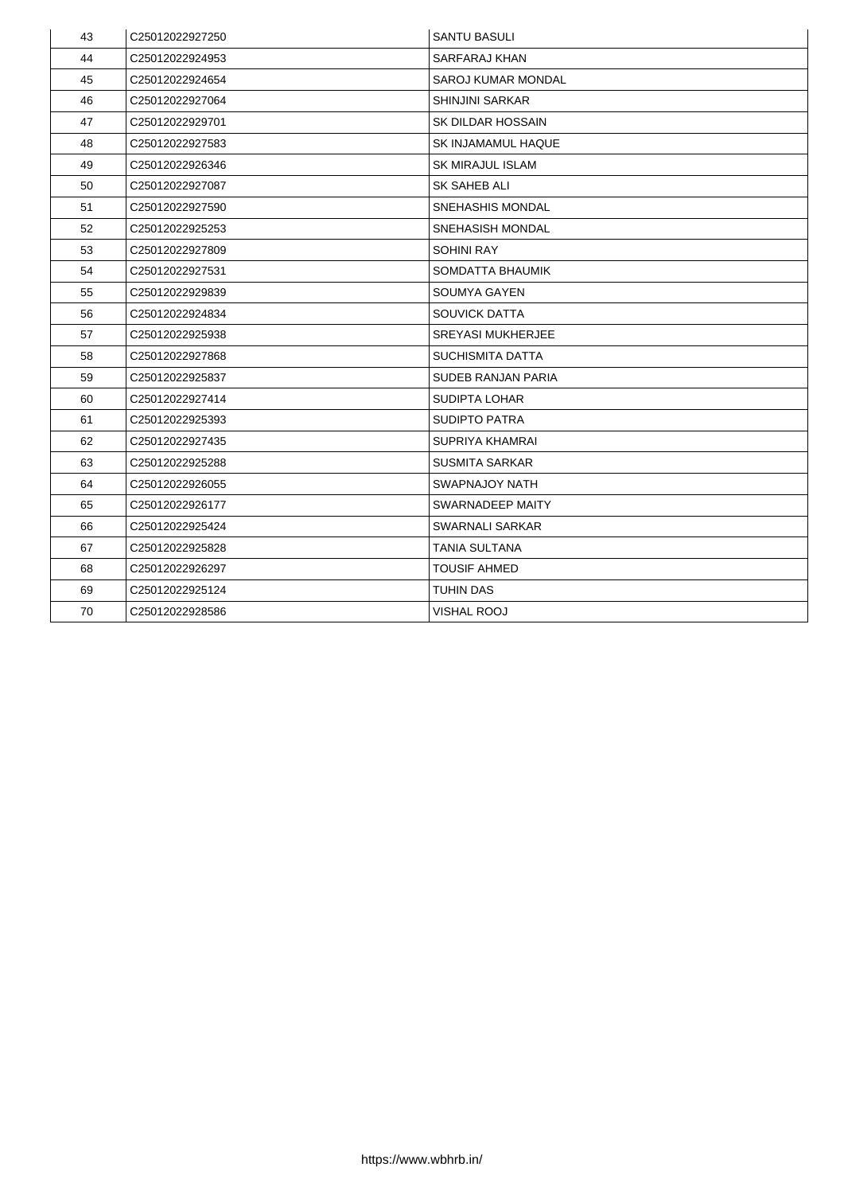| 43 | C25012022927250             | <b>SANTU BASULI</b>       |
|----|-----------------------------|---------------------------|
| 44 | C25012022924953             | <b>SARFARAJ KHAN</b>      |
| 45 | C25012022924654             | <b>SAROJ KUMAR MONDAL</b> |
| 46 | C25012022927064             | <b>SHINJINI SARKAR</b>    |
| 47 | C25012022929701             | <b>SK DILDAR HOSSAIN</b>  |
| 48 | C25012022927583             | <b>SK INJAMAMUL HAQUE</b> |
| 49 | C25012022926346             | <b>SK MIRAJUL ISLAM</b>   |
| 50 | C25012022927087             | <b>SK SAHEB ALI</b>       |
| 51 | C25012022927590             | <b>SNEHASHIS MONDAL</b>   |
| 52 | C25012022925253             | <b>SNEHASISH MONDAL</b>   |
| 53 | C25012022927809             | <b>SOHINI RAY</b>         |
| 54 | C25012022927531             | <b>SOMDATTA BHAUMIK</b>   |
| 55 | C25012022929839             | <b>SOUMYA GAYEN</b>       |
| 56 | C25012022924834             | <b>SOUVICK DATTA</b>      |
| 57 | C25012022925938             | <b>SREYASI MUKHERJEE</b>  |
| 58 | C25012022927868             | <b>SUCHISMITA DATTA</b>   |
| 59 | C25012022925837             | <b>SUDEB RANJAN PARIA</b> |
| 60 | C25012022927414             | <b>SUDIPTA LOHAR</b>      |
| 61 | C <sub>25012022925393</sub> | <b>SUDIPTO PATRA</b>      |
| 62 | C25012022927435             | <b>SUPRIYA KHAMRAI</b>    |
| 63 | C <sub>25012022925288</sub> | <b>SUSMITA SARKAR</b>     |
| 64 | C25012022926055             | <b>SWAPNAJOY NATH</b>     |
| 65 | C25012022926177             | <b>SWARNADEEP MAITY</b>   |
| 66 | C25012022925424             | <b>SWARNALI SARKAR</b>    |
| 67 | C25012022925828             | <b>TANIA SULTANA</b>      |
| 68 | C25012022926297             | <b>TOUSIF AHMED</b>       |
| 69 | C25012022925124             | <b>TUHIN DAS</b>          |
| 70 | C25012022928586             | <b>VISHAL ROOJ</b>        |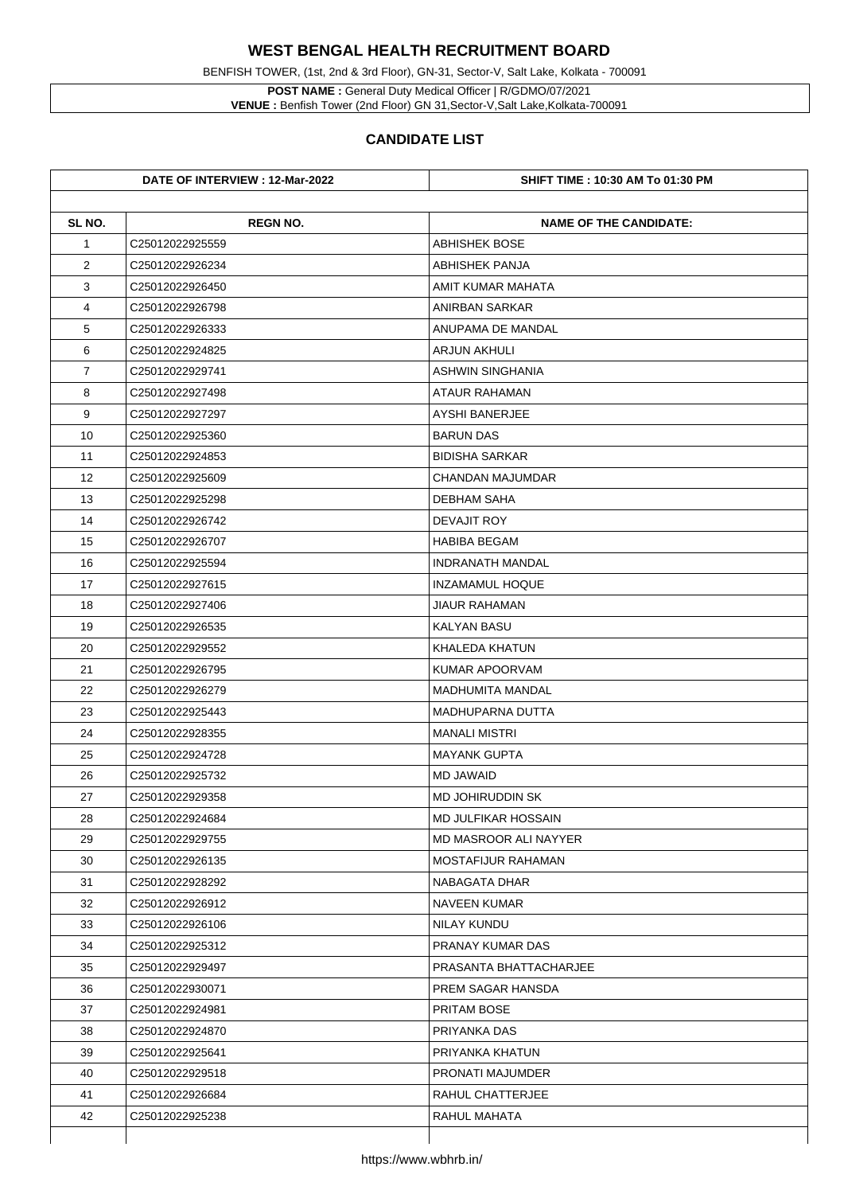BENFISH TOWER, (1st, 2nd & 3rd Floor), GN-31, Sector-V, Salt Lake, Kolkata - 700091

**POST NAME :** General Duty Medical Officer | R/GDMO/07/2021 **VENUE :** Benfish Tower (2nd Floor) GN 31,Sector-V,Salt Lake,Kolkata-700091

|                | DATE OF INTERVIEW : 12-Mar-2022 | <b>SHIFT TIME : 10:30 AM To 01:30 PM</b> |
|----------------|---------------------------------|------------------------------------------|
| SL NO.         | <b>REGN NO.</b>                 | <b>NAME OF THE CANDIDATE:</b>            |
| $\mathbf 1$    | C25012022925559                 | <b>ABHISHEK BOSE</b>                     |
| $\overline{2}$ | C25012022926234                 | <b>ABHISHEK PANJA</b>                    |
| 3              | C25012022926450                 | <b>AMIT KUMAR MAHATA</b>                 |
| 4              | C25012022926798                 | <b>ANIRBAN SARKAR</b>                    |
| 5              | C25012022926333                 | <b>ANUPAMA DE MANDAL</b>                 |
| 6              | C25012022924825                 | <b>ARJUN AKHULI</b>                      |
| $\overline{7}$ | C25012022929741                 | <b>ASHWIN SINGHANIA</b>                  |
| 8              | C25012022927498                 | <b>ATAUR RAHAMAN</b>                     |
| 9              | C25012022927297                 | <b>AYSHI BANERJEE</b>                    |
| 10             | C25012022925360                 | <b>BARUN DAS</b>                         |
| 11             | C25012022924853                 | <b>BIDISHA SARKAR</b>                    |
| 12             | C25012022925609                 | <b>CHANDAN MAJUMDAR</b>                  |
| 13             | C25012022925298                 | <b>DEBHAM SAHA</b>                       |
| 14             | C25012022926742                 | <b>DEVAJIT ROY</b>                       |
| 15             | C25012022926707                 | <b>HABIBA BEGAM</b>                      |
| 16             | C25012022925594                 | <b>INDRANATH MANDAL</b>                  |
| 17             | C25012022927615                 | <b>INZAMAMUL HOQUE</b>                   |
| 18             | C25012022927406                 | <b>JIAUR RAHAMAN</b>                     |
| 19             | C25012022926535                 | <b>KALYAN BASU</b>                       |
| 20             | C25012022929552                 | <b>KHALEDA KHATUN</b>                    |
| 21             | C25012022926795                 | <b>KUMAR APOORVAM</b>                    |
| 22             | C25012022926279                 | <b>MADHUMITA MANDAL</b>                  |
| 23             | C25012022925443                 | <b>MADHUPARNA DUTTA</b>                  |
| 24             | C25012022928355                 | <b>MANALI MISTRI</b>                     |
| 25             | C25012022924728                 | <b>MAYANK GUPTA</b>                      |
| 26             | C25012022925732                 | <b>MD JAWAID</b>                         |
| 27             | C25012022929358                 | <b>MD JOHIRUDDIN SK</b>                  |
| 28             | C25012022924684                 | <b>MD JULFIKAR HOSSAIN</b>               |
| 29             | C25012022929755                 | <b>MD MASROOR ALI NAYYER</b>             |
| 30             | C25012022926135                 | <b>MOSTAFIJUR RAHAMAN</b>                |
| 31             | C25012022928292                 | <b>NABAGATA DHAR</b>                     |
| 32             | C25012022926912                 | <b>NAVEEN KUMAR</b>                      |
| 33             | C25012022926106                 | <b>NILAY KUNDU</b>                       |
| 34             | C25012022925312                 | <b>PRANAY KUMAR DAS</b>                  |
| 35             | C25012022929497                 | PRASANTA BHATTACHARJEE                   |
| 36             | C25012022930071                 | PREM SAGAR HANSDA                        |
| 37             | C25012022924981                 | <b>PRITAM BOSE</b>                       |
| 38             | C25012022924870                 | <b>PRIYANKA DAS</b>                      |
| 39             | C25012022925641                 | PRIYANKA KHATUN                          |
| 40             | C25012022929518                 | <b>PRONATI MAJUMDER</b>                  |
| 41             | C25012022926684                 | <b>RAHUL CHATTERJEE</b>                  |
| 42             | C25012022925238                 | <b>RAHUL MAHATA</b>                      |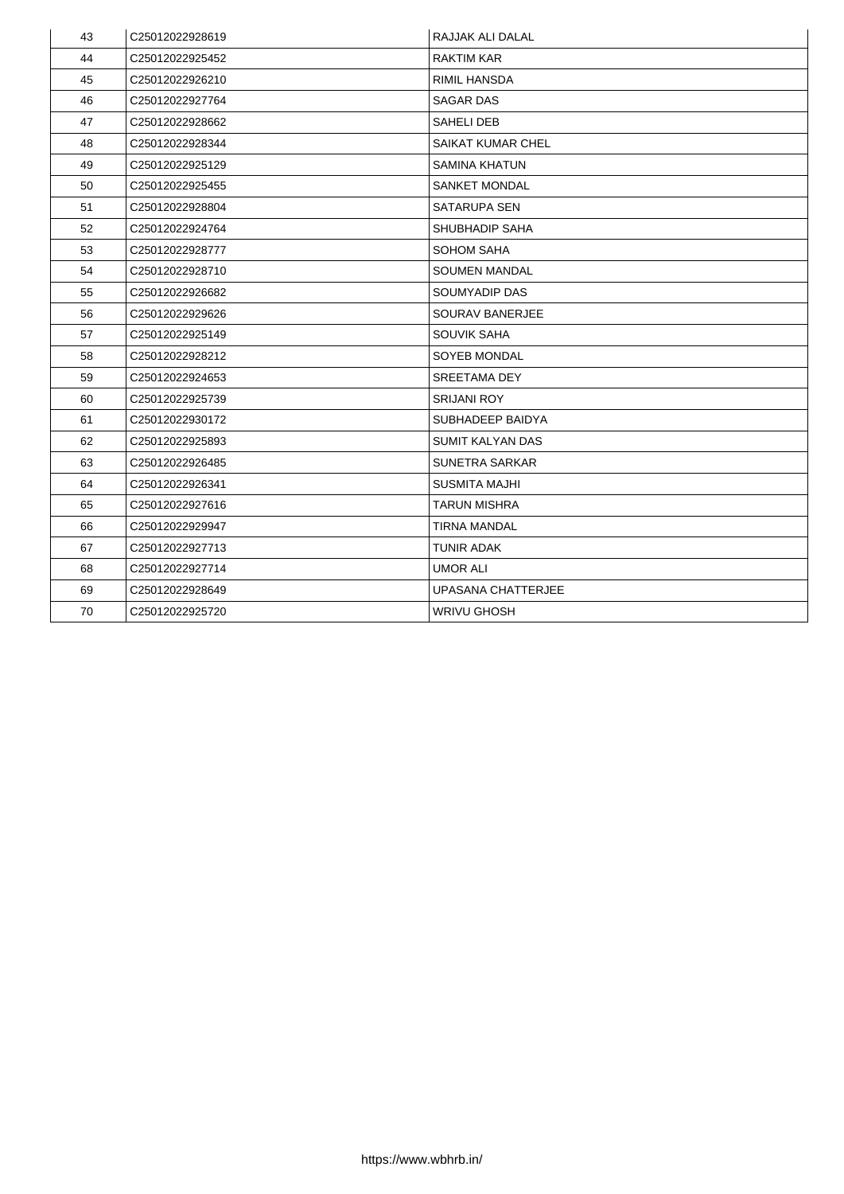| 43 | C25012022928619 | <b>RAJJAK ALI DALAL</b>   |
|----|-----------------|---------------------------|
| 44 | C25012022925452 | <b>RAKTIM KAR</b>         |
| 45 | C25012022926210 | <b>RIMIL HANSDA</b>       |
| 46 | C25012022927764 | <b>SAGAR DAS</b>          |
| 47 | C25012022928662 | <b>SAHELI DEB</b>         |
| 48 | C25012022928344 | <b>SAIKAT KUMAR CHEL</b>  |
| 49 | C25012022925129 | <b>SAMINA KHATUN</b>      |
| 50 | C25012022925455 | <b>SANKET MONDAL</b>      |
| 51 | C25012022928804 | <b>SATARUPA SEN</b>       |
| 52 | C25012022924764 | <b>SHUBHADIP SAHA</b>     |
| 53 | C25012022928777 | <b>SOHOM SAHA</b>         |
| 54 | C25012022928710 | <b>SOUMEN MANDAL</b>      |
| 55 | C25012022926682 | <b>SOUMYADIP DAS</b>      |
| 56 | C25012022929626 | <b>SOURAV BANERJEE</b>    |
| 57 | C25012022925149 | <b>SOUVIK SAHA</b>        |
| 58 | C25012022928212 | <b>SOYEB MONDAL</b>       |
| 59 | C25012022924653 | <b>SREETAMA DEY</b>       |
| 60 | C25012022925739 | <b>SRIJANI ROY</b>        |
| 61 | C25012022930172 | <b>SUBHADEEP BAIDYA</b>   |
| 62 | C25012022925893 | <b>SUMIT KALYAN DAS</b>   |
| 63 | C25012022926485 | <b>SUNETRA SARKAR</b>     |
| 64 | C25012022926341 | <b>SUSMITA MAJHI</b>      |
| 65 | C25012022927616 | TARUN MISHRA              |
| 66 | C25012022929947 | <b>TIRNA MANDAL</b>       |
| 67 | C25012022927713 | <b>TUNIR ADAK</b>         |
| 68 | C25012022927714 | <b>UMOR ALI</b>           |
| 69 | C25012022928649 | <b>UPASANA CHATTERJEE</b> |
| 70 | C25012022925720 | <b>WRIVU GHOSH</b>        |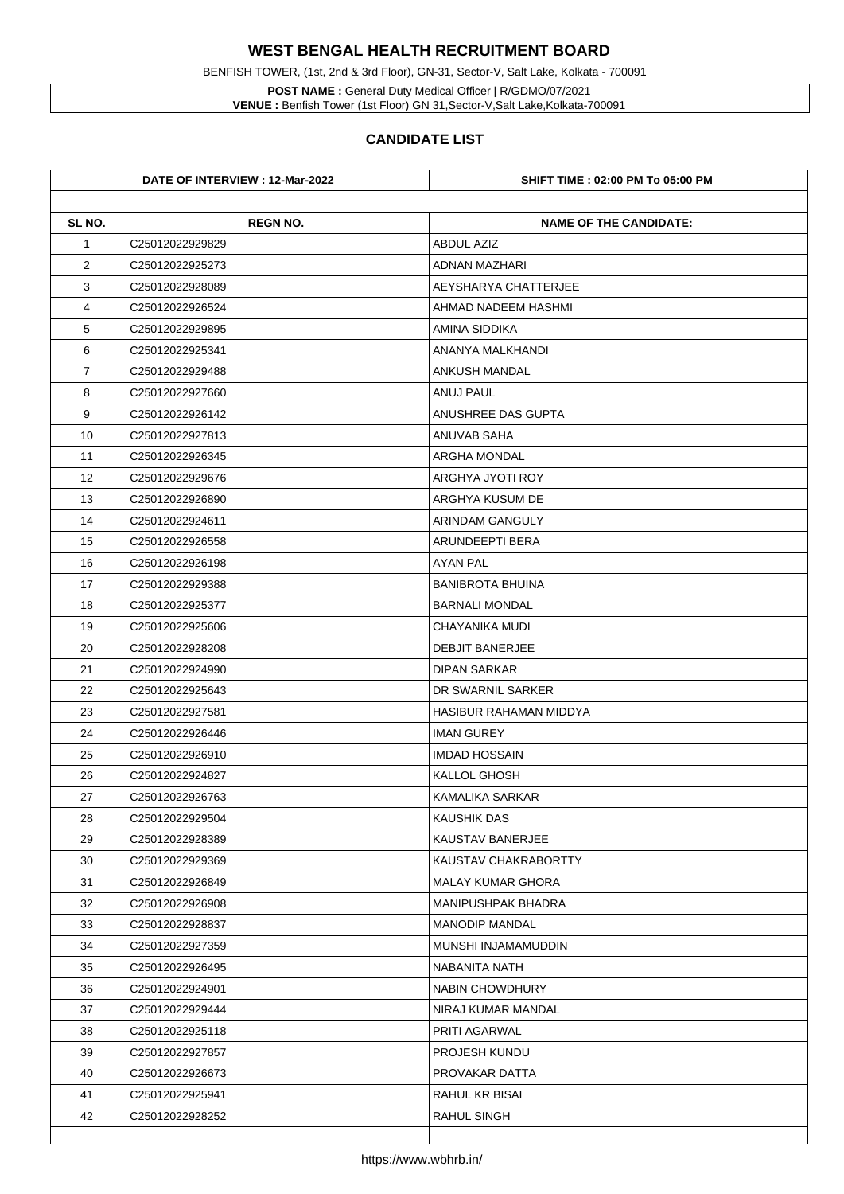**POST NAME :** General Duty Medical Officer | R/GDMO/07/2021 **VENUE :** Benfish Tower (1st Floor) GN 31, Sector-V, Salt Lake, Kolkata-700091

BENFISH TOWER, (1st, 2nd & 3rd Floor), GN-31, Sector-V, Salt Lake, Kolkata - 700091

|                | DATE OF INTERVIEW : 12-Mar-2022 | <b>SHIFT TIME : 02:00 PM To 05:00 PM</b> |
|----------------|---------------------------------|------------------------------------------|
| SL NO.         | <b>REGN NO.</b>                 | <b>NAME OF THE CANDIDATE:</b>            |
| $\mathbf 1$    | C25012022929829                 | <b>ABDUL AZIZ</b>                        |
| $\overline{2}$ | C25012022925273                 | <b>ADNAN MAZHARI</b>                     |
| 3              | C25012022928089                 | AEYSHARYA CHATTERJEE                     |
| 4              | C25012022926524                 | AHMAD NADEEM HASHMI                      |
| 5              | C25012022929895                 | <b>AMINA SIDDIKA</b>                     |
| 6              | C25012022925341                 | ANANYA MALKHANDI                         |
| $\overline{7}$ | C25012022929488                 | <b>ANKUSH MANDAL</b>                     |
| 8              | C25012022927660                 | <b>ANUJ PAUL</b>                         |
| 9              | C25012022926142                 | <b>ANUSHREE DAS GUPTA</b>                |
| 10             | C25012022927813                 | <b>ANUVAB SAHA</b>                       |
| 11             | C25012022926345                 | <b>ARGHA MONDAL</b>                      |
| 12             | C25012022929676                 | <b>ARGHYA JYOTI ROY</b>                  |
| 13             | C25012022926890                 | <b>ARGHYA KUSUM DE</b>                   |
| 14             | C25012022924611                 | <b>ARINDAM GANGULY</b>                   |
| 15             | C25012022926558                 | <b>ARUNDEEPTI BERA</b>                   |
| 16             | C25012022926198                 | <b>AYAN PAL</b>                          |
| 17             | C25012022929388                 | <b>BANIBROTA BHUINA</b>                  |
| 18             | C25012022925377                 | <b>BARNALI MONDAL</b>                    |
| 19             | C25012022925606                 | <b>CHAYANIKA MUDI</b>                    |
| 20             | C25012022928208                 | <b>DEBJIT BANERJEE</b>                   |
| 21             | C25012022924990                 | <b>DIPAN SARKAR</b>                      |
| 22             | C25012022925643                 | DR SWARNIL SARKER                        |
| 23             | C25012022927581                 | <b>HASIBUR RAHAMAN MIDDYA</b>            |
| 24             | C25012022926446                 | <b>IMAN GUREY</b>                        |
| 25             | C25012022926910                 | <b>IMDAD HOSSAIN</b>                     |
| 26             | C25012022924827                 | <b>KALLOL GHOSH</b>                      |
| 27             | C25012022926763                 | <b>KAMALIKA SARKAR</b>                   |
| 28             | C25012022929504                 | <b>KAUSHIK DAS</b>                       |
| 29             | C25012022928389                 | <b>KAUSTAV BANERJEE</b>                  |
| 30             | C25012022929369                 | <b>KAUSTAV CHAKRABORTTY</b>              |
| 31             | C25012022926849                 | <b>MALAY KUMAR GHORA</b>                 |
| 32             | C25012022926908                 | <b>MANIPUSHPAK BHADRA</b>                |
| 33             | C25012022928837                 | <b>MANODIP MANDAL</b>                    |
| 34             | C25012022927359                 | MUNSHI INJAMAMUDDIN                      |
| 35             | C25012022926495                 | <b>NABANITA NATH</b>                     |
| 36             | C25012022924901                 | <b>NABIN CHOWDHURY</b>                   |
| 37             | C25012022929444                 | NIRAJ KUMAR MANDAL                       |
| 38             | C25012022925118                 | <b>PRITI AGARWAL</b>                     |
| 39             | C25012022927857                 | <b>PROJESH KUNDU</b>                     |
| 40             | C25012022926673                 | PROVAKAR DATTA                           |
| 41             | C25012022925941                 | <b>RAHUL KR BISAI</b>                    |
| 42             | C25012022928252                 | <b>RAHUL SINGH</b>                       |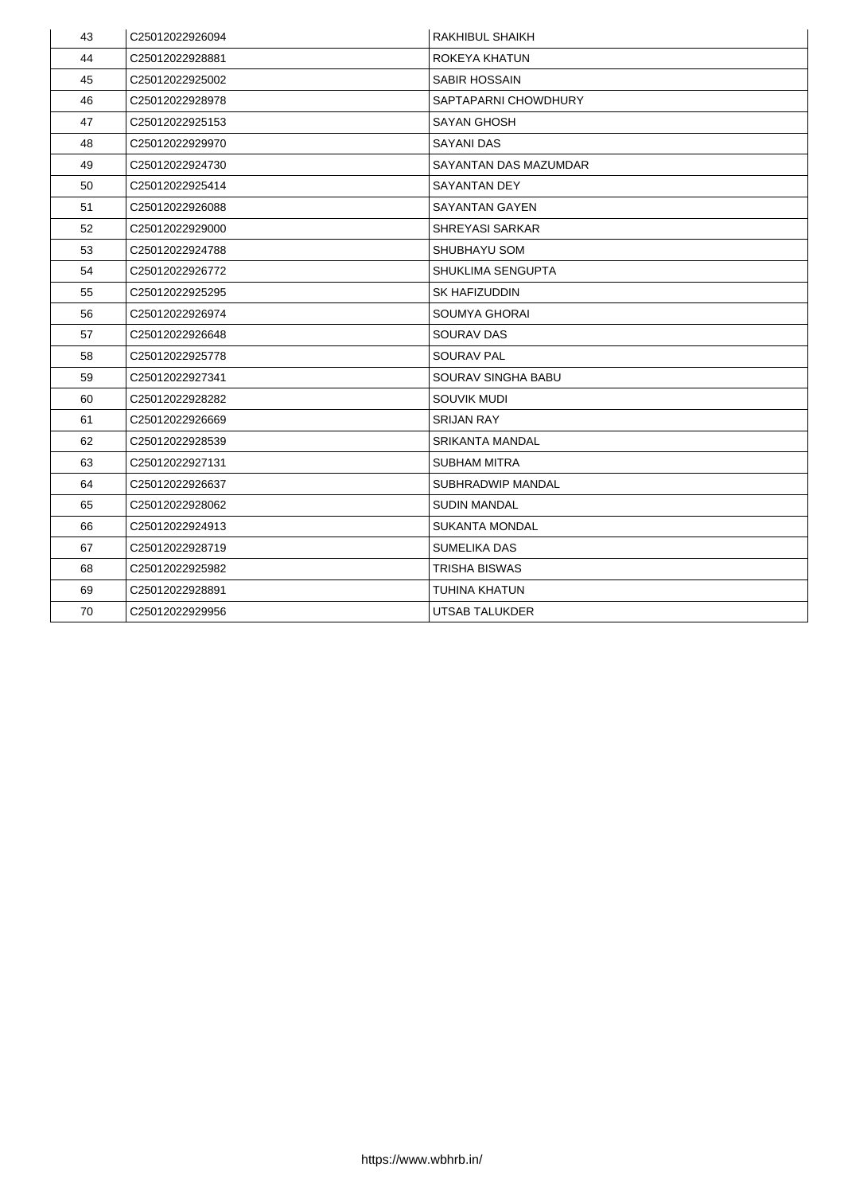| 43 | C25012022926094 | <b>RAKHIBUL SHAIKH</b>       |
|----|-----------------|------------------------------|
| 44 | C25012022928881 | ROKEYA KHATUN                |
| 45 | C25012022925002 | <b>SABIR HOSSAIN</b>         |
| 46 | C25012022928978 | SAPTAPARNI CHOWDHURY         |
| 47 | C25012022925153 | <b>SAYAN GHOSH</b>           |
| 48 | C25012022929970 | <b>SAYANI DAS</b>            |
| 49 | C25012022924730 | <b>SAYANTAN DAS MAZUMDAR</b> |
| 50 | C25012022925414 | <b>SAYANTAN DEY</b>          |
| 51 | C25012022926088 | <b>SAYANTAN GAYEN</b>        |
| 52 | C25012022929000 | <b>SHREYASI SARKAR</b>       |
| 53 | C25012022924788 | <b>SHUBHAYU SOM</b>          |
| 54 | C25012022926772 | <b>SHUKLIMA SENGUPTA</b>     |
| 55 | C25012022925295 | <b>SK HAFIZUDDIN</b>         |
| 56 | C25012022926974 | <b>SOUMYA GHORAI</b>         |
| 57 | C25012022926648 | <b>SOURAV DAS</b>            |
| 58 | C25012022925778 | <b>SOURAV PAL</b>            |
| 59 | C25012022927341 | <b>SOURAV SINGHA BABU</b>    |
| 60 | C25012022928282 | <b>SOUVIK MUDI</b>           |
| 61 | C25012022926669 | <b>SRIJAN RAY</b>            |
| 62 | C25012022928539 | <b>SRIKANTA MANDAL</b>       |
| 63 | C25012022927131 | <b>SUBHAM MITRA</b>          |
| 64 | C25012022926637 | <b>SUBHRADWIP MANDAL</b>     |
| 65 | C25012022928062 | <b>SUDIN MANDAL</b>          |
| 66 | C25012022924913 | <b>SUKANTA MONDAL</b>        |
| 67 | C25012022928719 | <b>SUMELIKA DAS</b>          |
| 68 | C25012022925982 | <b>TRISHA BISWAS</b>         |
| 69 | C25012022928891 | <b>TUHINA KHATUN</b>         |
| 70 | C25012022929956 | <b>UTSAB TALUKDER</b>        |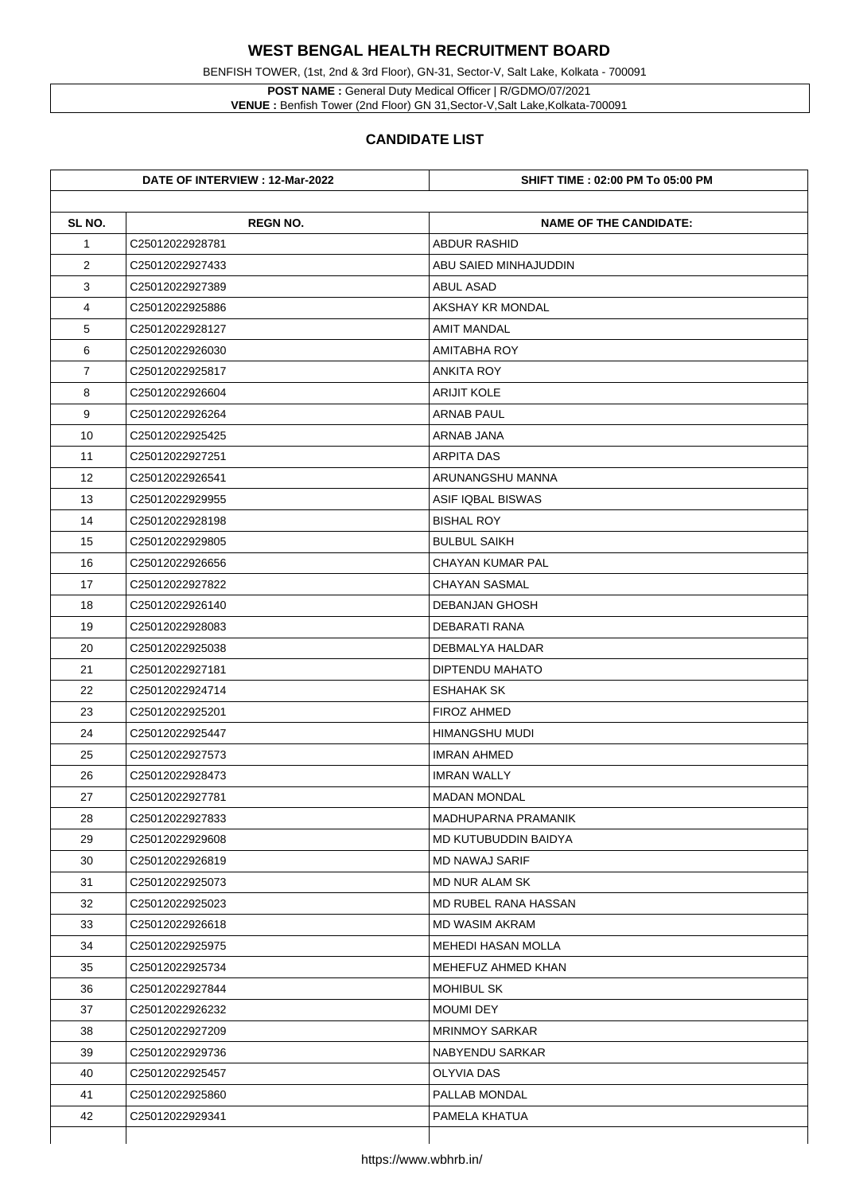BENFISH TOWER, (1st, 2nd & 3rd Floor), GN-31, Sector-V, Salt Lake, Kolkata - 700091

**POST NAME :** General Duty Medical Officer | R/GDMO/07/2021 **VENUE :** Benfish Tower (2nd Floor) GN 31,Sector-V,Salt Lake,Kolkata-700091

|                | DATE OF INTERVIEW : 12-Mar-2022 | <b>SHIFT TIME : 02:00 PM To 05:00 PM</b> |
|----------------|---------------------------------|------------------------------------------|
| SL NO.         | <b>REGN NO.</b>                 | <b>NAME OF THE CANDIDATE:</b>            |
| $\mathbf 1$    | C25012022928781                 | <b>ABDUR RASHID</b>                      |
| $\overline{2}$ | C25012022927433                 | ABU SAIED MINHAJUDDIN                    |
| 3              | C25012022927389                 | <b>ABUL ASAD</b>                         |
| 4              | C25012022925886                 | <b>AKSHAY KR MONDAL</b>                  |
| 5              | C25012022928127                 | <b>AMIT MANDAL</b>                       |
| 6              | C25012022926030                 | <b>AMITABHA ROY</b>                      |
| $\overline{7}$ | C25012022925817                 | <b>ANKITA ROY</b>                        |
| 8              | C25012022926604                 | <b>ARIJIT KOLE</b>                       |
| 9              | C25012022926264                 | <b>ARNAB PAUL</b>                        |
| 10             | C25012022925425                 | <b>ARNAB JANA</b>                        |
| 11             | C25012022927251                 | <b>ARPITA DAS</b>                        |
| 12             | C25012022926541                 | ARUNANGSHU MANNA                         |
| 13             | C25012022929955                 | <b>ASIF IQBAL BISWAS</b>                 |
| 14             | C25012022928198                 | <b>BISHAL ROY</b>                        |
| 15             | C25012022929805                 | <b>BULBUL SAIKH</b>                      |
| 16             | C25012022926656                 | <b>CHAYAN KUMAR PAL</b>                  |
| 17             | C25012022927822                 | <b>CHAYAN SASMAL</b>                     |
| 18             | C25012022926140                 | <b>DEBANJAN GHOSH</b>                    |
| 19             | C25012022928083                 | <b>DEBARATI RANA</b>                     |
| 20             | C25012022925038                 | <b>DEBMALYA HALDAR</b>                   |
| 21             | C25012022927181                 | <b>DIPTENDU MAHATO</b>                   |
| 22             | C25012022924714                 | <b>ESHAHAK SK</b>                        |
| 23             | C25012022925201                 | FIROZ AHMED                              |
| 24             | C25012022925447                 | <b>HIMANGSHU MUDI</b>                    |
| 25             | C25012022927573                 | <b>IMRAN AHMED</b>                       |
| 26             | C25012022928473                 | <b>IMRAN WALLY</b>                       |
| 27             | C25012022927781                 | <b>MADAN MONDAL</b>                      |
| 28             | C25012022927833                 | <b>MADHUPARNA PRAMANIK</b>               |
| 29             | C25012022929608                 | MD KUTUBUDDIN BAIDYA                     |
| 30             | C25012022926819                 | <b>MD NAWAJ SARIF</b>                    |
| 31             | C25012022925073                 | <b>MD NUR ALAM SK</b>                    |
| 32             | C25012022925023                 | <b>MD RUBEL RANA HASSAN</b>              |
| 33             | C25012022926618                 | <b>MD WASIM AKRAM</b>                    |
| 34             | C25012022925975                 | <b>MEHEDI HASAN MOLLA</b>                |
| 35             | C25012022925734                 | MEHEFUZ AHMED KHAN                       |
| 36             | C25012022927844                 | <b>MOHIBUL SK</b>                        |
| 37             | C25012022926232                 | <b>MOUMI DEY</b>                         |
| 38             | C25012022927209                 | <b>MRINMOY SARKAR</b>                    |
| 39             | C25012022929736                 | <b>NABYENDU SARKAR</b>                   |
| 40             | C25012022925457                 | <b>OLYVIA DAS</b>                        |
| 41             | C25012022925860                 | <b>PALLAB MONDAL</b>                     |
| 42             | C25012022929341                 | PAMELA KHATUA                            |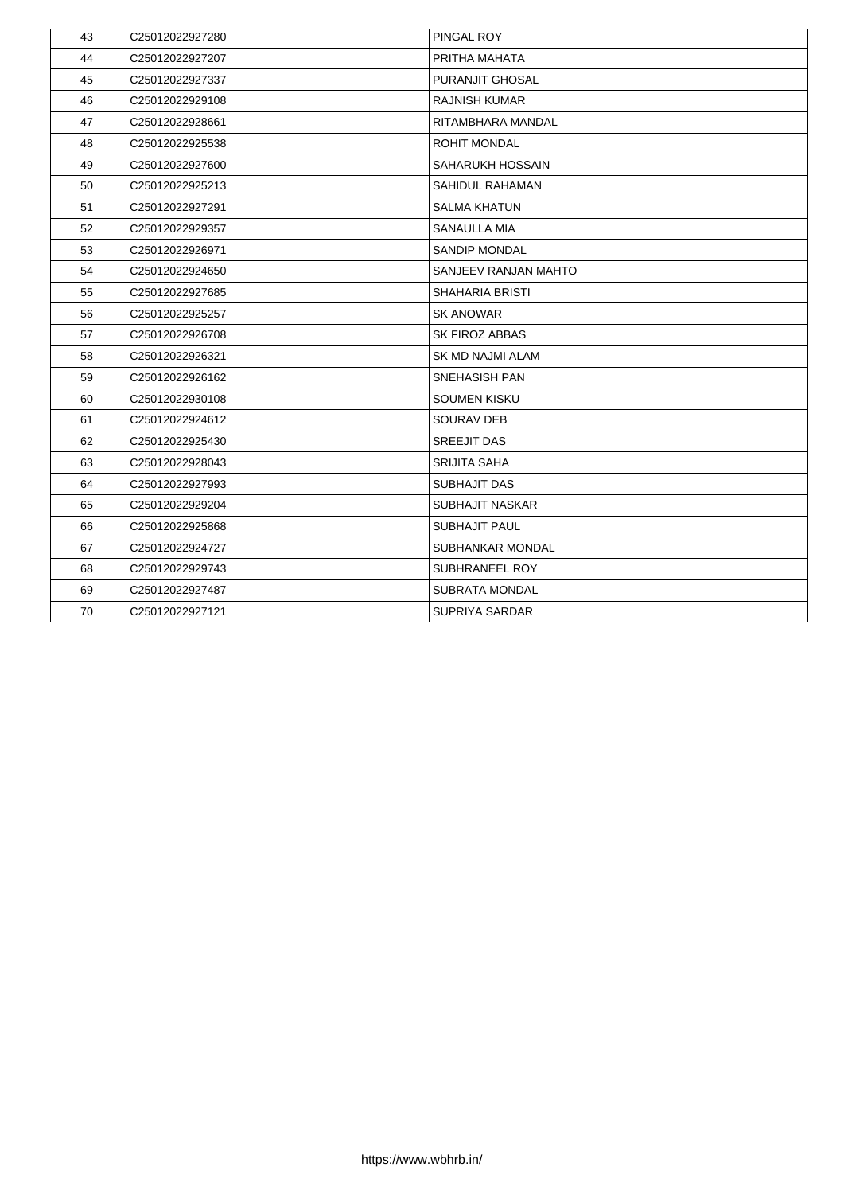| 43 | C25012022927280             | <b>PINGAL ROY</b>       |
|----|-----------------------------|-------------------------|
| 44 | C25012022927207             | PRITHA MAHATA           |
| 45 | C25012022927337             | <b>PURANJIT GHOSAL</b>  |
| 46 | C25012022929108             | <b>RAJNISH KUMAR</b>    |
| 47 | C25012022928661             | RITAMBHARA MANDAL       |
| 48 | C25012022925538             | <b>ROHIT MONDAL</b>     |
| 49 | C <sub>25012022927600</sub> | <b>SAHARUKH HOSSAIN</b> |
| 50 | C25012022925213             | <b>SAHIDUL RAHAMAN</b>  |
| 51 | C25012022927291             | <b>SALMA KHATUN</b>     |
| 52 | C25012022929357             | <b>SANAULLA MIA</b>     |
| 53 | C25012022926971             | <b>SANDIP MONDAL</b>    |
| 54 | C25012022924650             | SANJEEV RANJAN MAHTO    |
| 55 | C25012022927685             | <b>SHAHARIA BRISTI</b>  |
| 56 | C25012022925257             | <b>SK ANOWAR</b>        |
| 57 | C25012022926708             | <b>SK FIROZ ABBAS</b>   |
| 58 | C25012022926321             | <b>SK MD NAJMI ALAM</b> |
| 59 | C25012022926162             | <b>SNEHASISH PAN</b>    |
| 60 | C25012022930108             | <b>SOUMEN KISKU</b>     |
| 61 | C25012022924612             | <b>SOURAV DEB</b>       |
| 62 | C <sub>25012022925430</sub> | <b>SREEJIT DAS</b>      |
| 63 | C25012022928043             | <b>SRIJITA SAHA</b>     |
| 64 | C25012022927993             | <b>SUBHAJIT DAS</b>     |
| 65 | C25012022929204             | <b>SUBHAJIT NASKAR</b>  |
| 66 | C25012022925868             | <b>SUBHAJIT PAUL</b>    |
| 67 | C25012022924727             | <b>SUBHANKAR MONDAL</b> |
| 68 | C25012022929743             | <b>SUBHRANEEL ROY</b>   |
| 69 | C25012022927487             | <b>SUBRATA MONDAL</b>   |
| 70 | C25012022927121             | <b>SUPRIYA SARDAR</b>   |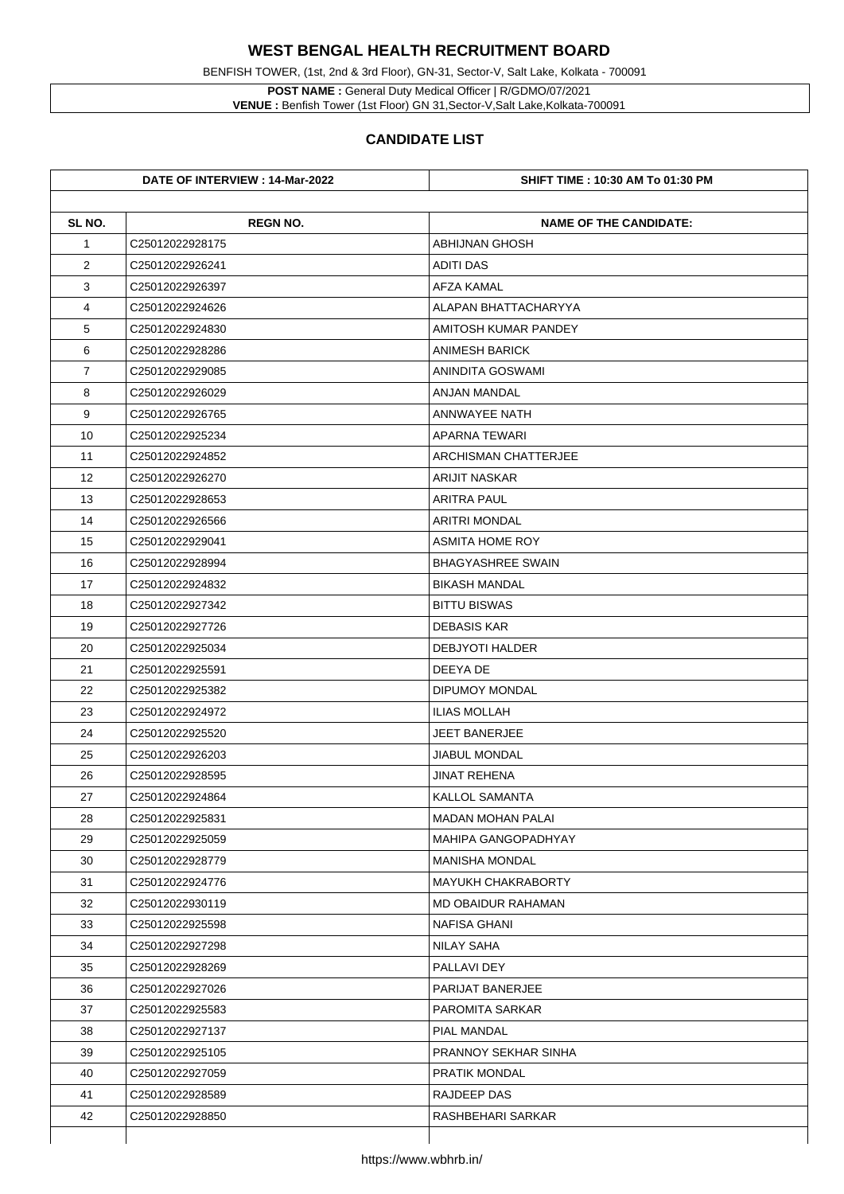**POST NAME :** General Duty Medical Officer | R/GDMO/07/2021 **VENUE :** Benfish Tower (1st Floor) GN 31, Sector-V, Salt Lake, Kolkata-700091

BENFISH TOWER, (1st, 2nd & 3rd Floor), GN-31, Sector-V, Salt Lake, Kolkata - 700091

|                | DATE OF INTERVIEW : 14-Mar-2022 | <b>SHIFT TIME : 10:30 AM To 01:30 PM</b> |
|----------------|---------------------------------|------------------------------------------|
| SL NO.         | <b>REGN NO.</b>                 | <b>NAME OF THE CANDIDATE:</b>            |
| $\mathbf 1$    | C25012022928175                 | <b>ABHIJNAN GHOSH</b>                    |
| $\overline{2}$ | C25012022926241                 | <b>ADITI DAS</b>                         |
| 3              | C25012022926397                 | <b>AFZA KAMAL</b>                        |
| 4              | C25012022924626                 | ALAPAN BHATTACHARYYA                     |
| 5              | C25012022924830                 | <b>AMITOSH KUMAR PANDEY</b>              |
| 6              | C25012022928286                 | <b>ANIMESH BARICK</b>                    |
| $\overline{7}$ | C25012022929085                 | ANINDITA GOSWAMI                         |
| 8              | C25012022926029                 | <b>ANJAN MANDAL</b>                      |
| 9              | C25012022926765                 | <b>ANNWAYEE NATH</b>                     |
| 10             | C25012022925234                 | <b>APARNA TEWARI</b>                     |
| 11             | C25012022924852                 | <b>ARCHISMAN CHATTERJEE</b>              |
| 12             | C25012022926270                 | <b>ARIJIT NASKAR</b>                     |
| 13             | C25012022928653                 | <b>ARITRA PAUL</b>                       |
| 14             | C25012022926566                 | <b>ARITRI MONDAL</b>                     |
| 15             | C25012022929041                 | <b>ASMITA HOME ROY</b>                   |
| 16             | C25012022928994                 | <b>BHAGYASHREE SWAIN</b>                 |
| 17             | C25012022924832                 | <b>BIKASH MANDAL</b>                     |
| 18             | C25012022927342                 | <b>BITTU BISWAS</b>                      |
| 19             | C25012022927726                 | <b>DEBASIS KAR</b>                       |
| 20             | C25012022925034                 | <b>DEBJYOTI HALDER</b>                   |
| 21             | C25012022925591                 | DEEYA DE                                 |
| 22             | C25012022925382                 | <b>DIPUMOY MONDAL</b>                    |
| 23             | C25012022924972                 | <b>ILIAS MOLLAH</b>                      |
| 24             | C25012022925520                 | <b>JEET BANERJEE</b>                     |
| 25             | C25012022926203                 | <b>JIABUL MONDAL</b>                     |
| 26             | C25012022928595                 | <b>JINAT REHENA</b>                      |
| 27             | C25012022924864                 | <b>KALLOL SAMANTA</b>                    |
| 28             | C25012022925831                 | <b>MADAN MOHAN PALAI</b>                 |
| 29             | C25012022925059                 | <b>MAHIPA GANGOPADHYAY</b>               |
| 30             | C25012022928779                 | <b>MANISHA MONDAL</b>                    |
| 31             | C25012022924776                 | <b>MAYUKH CHAKRABORTY</b>                |
| 32             | C25012022930119                 | <b>MD OBAIDUR RAHAMAN</b>                |
| 33             | C25012022925598                 | <b>NAFISA GHANI</b>                      |
| 34             | C25012022927298                 | <b>NILAY SAHA</b>                        |
| 35             | C25012022928269                 | <b>PALLAVI DEY</b>                       |
| 36             | C25012022927026                 | <b>PARIJAT BANERJEE</b>                  |
| 37             | C25012022925583                 | <b>PAROMITA SARKAR</b>                   |
| 38             | C25012022927137                 | <b>PIAL MANDAL</b>                       |
| 39             | C25012022925105                 | <b>PRANNOY SEKHAR SINHA</b>              |
| 40             | C25012022927059                 | <b>PRATIK MONDAL</b>                     |
| 41             | C25012022928589                 | <b>RAJDEEP DAS</b>                       |
| 42             | C25012022928850                 | <b>RASHBEHARI SARKAR</b>                 |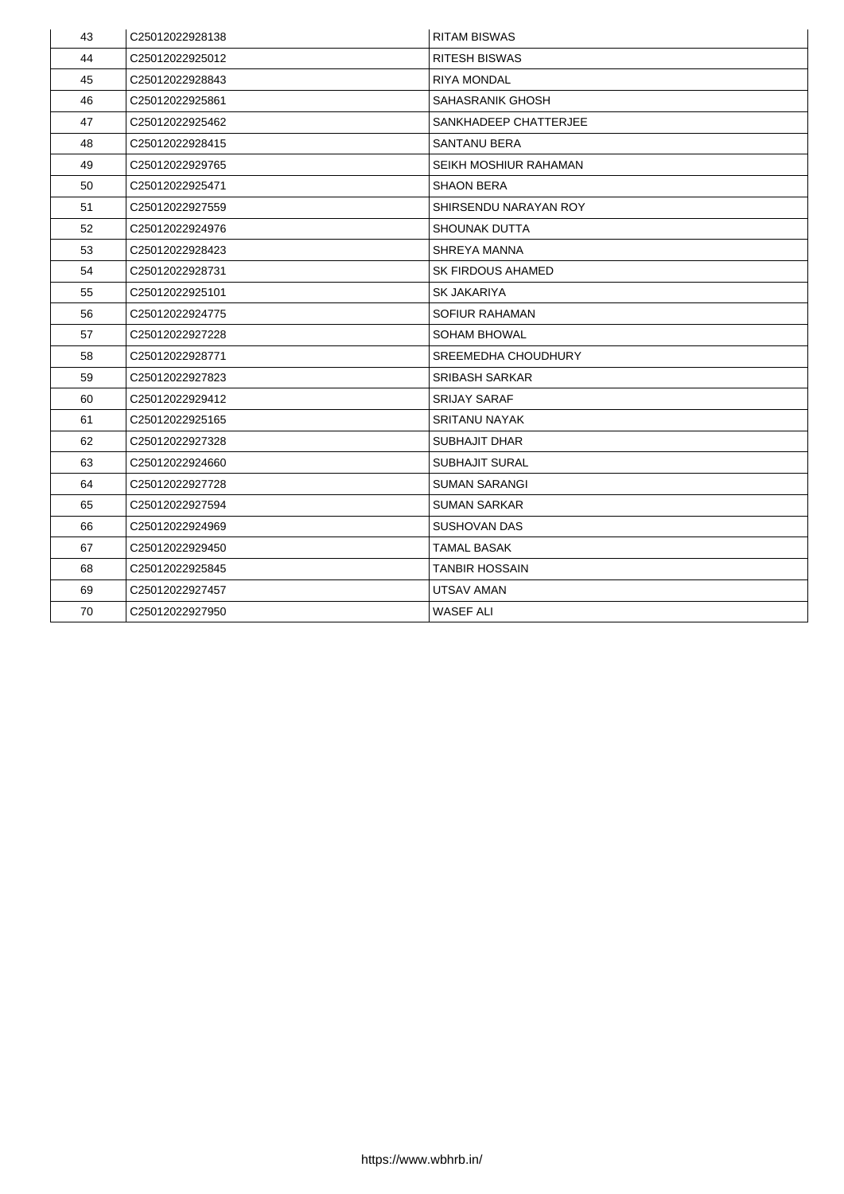| 43 | C25012022928138             | <b>RITAM BISWAS</b>          |
|----|-----------------------------|------------------------------|
| 44 | C25012022925012             | <b>RITESH BISWAS</b>         |
| 45 | C25012022928843             | <b>RIYA MONDAL</b>           |
| 46 | C25012022925861             | <b>SAHASRANIK GHOSH</b>      |
| 47 | C25012022925462             | SANKHADEEP CHATTERJEE        |
| 48 | C25012022928415             | <b>SANTANU BERA</b>          |
| 49 | C25012022929765             | <b>SEIKH MOSHIUR RAHAMAN</b> |
| 50 | C25012022925471             | <b>SHAON BERA</b>            |
| 51 | C25012022927559             | SHIRSENDU NARAYAN ROY        |
| 52 | C25012022924976             | <b>SHOUNAK DUTTA</b>         |
| 53 | C25012022928423             | <b>SHREYA MANNA</b>          |
| 54 | C25012022928731             | <b>SK FIRDOUS AHAMED</b>     |
| 55 | C25012022925101             | <b>SK JAKARIYA</b>           |
| 56 | C25012022924775             | <b>SOFIUR RAHAMAN</b>        |
| 57 | C25012022927228             | <b>SOHAM BHOWAL</b>          |
| 58 | C25012022928771             | <b>SREEMEDHA CHOUDHURY</b>   |
| 59 | C25012022927823             | <b>SRIBASH SARKAR</b>        |
| 60 | C25012022929412             | <b>SRIJAY SARAF</b>          |
| 61 | C <sub>25012022925165</sub> | <b>SRITANU NAYAK</b>         |
| 62 | C25012022927328             | <b>SUBHAJIT DHAR</b>         |
| 63 | C <sub>25012022924660</sub> | <b>SUBHAJIT SURAL</b>        |
| 64 | C25012022927728             | <b>SUMAN SARANGI</b>         |
| 65 | C25012022927594             | <b>SUMAN SARKAR</b>          |
| 66 | C25012022924969             | <b>SUSHOVAN DAS</b>          |
| 67 | C25012022929450             | <b>TAMAL BASAK</b>           |
| 68 | C25012022925845             | <b>TANBIR HOSSAIN</b>        |
| 69 | C25012022927457             | <b>UTSAV AMAN</b>            |
| 70 | C25012022927950             | <b>WASEF ALI</b>             |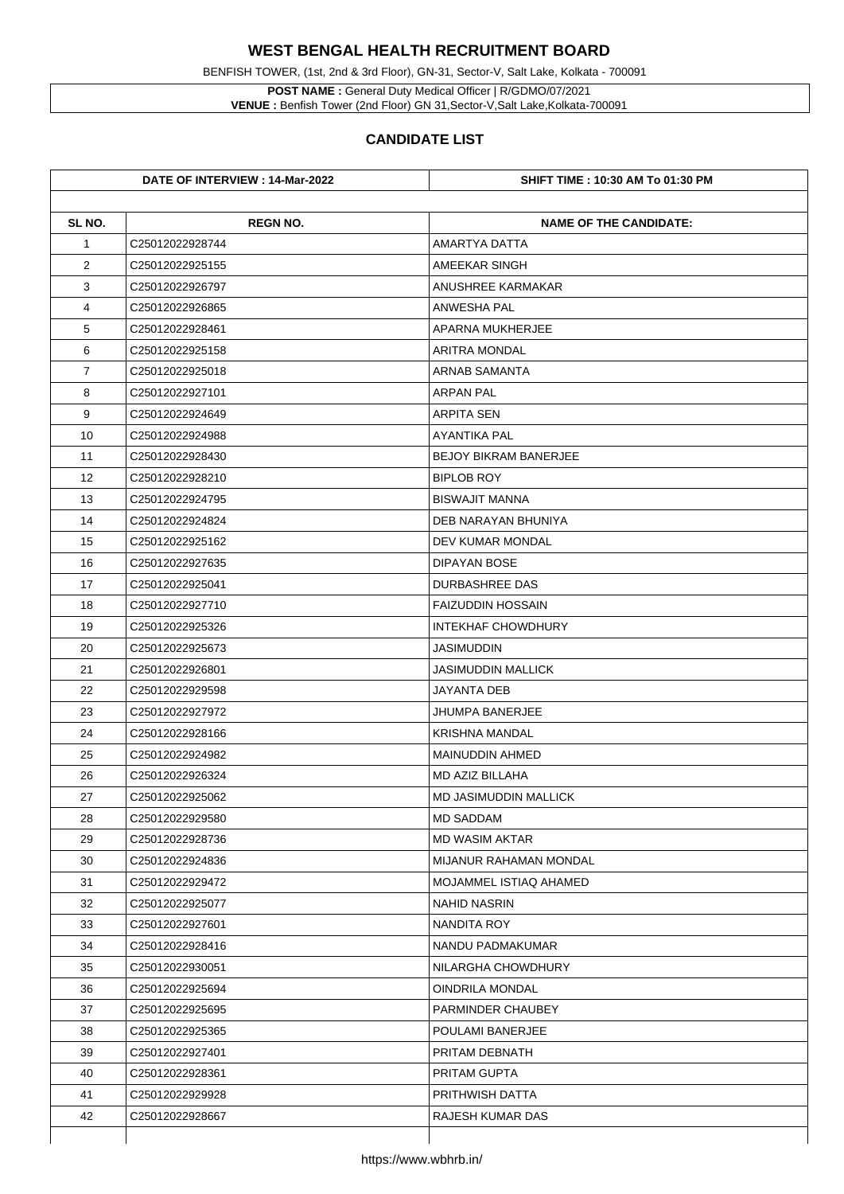BENFISH TOWER, (1st, 2nd & 3rd Floor), GN-31, Sector-V, Salt Lake, Kolkata - 700091

**POST NAME :** General Duty Medical Officer | R/GDMO/07/2021 **VENUE :** Benfish Tower (2nd Floor) GN 31,Sector-V,Salt Lake,Kolkata-700091

| SL NO.         | <b>REGN NO.</b> | <b>NAME OF THE CANDIDATE:</b> |
|----------------|-----------------|-------------------------------|
| $\mathbf 1$    | C25012022928744 | <b>AMARTYA DATTA</b>          |
| $\overline{2}$ | C25012022925155 | AMEEKAR SINGH                 |
| 3              | C25012022926797 | <b>ANUSHREE KARMAKAR</b>      |
| 4              | C25012022926865 | <b>ANWESHA PAL</b>            |
| 5              | C25012022928461 | <b>APARNA MUKHERJEE</b>       |
| 6              | C25012022925158 | <b>ARITRA MONDAL</b>          |
| $\overline{7}$ | C25012022925018 | <b>ARNAB SAMANTA</b>          |
| 8              | C25012022927101 | <b>ARPAN PAL</b>              |
| 9              | C25012022924649 | <b>ARPITA SEN</b>             |
| 10             | C25012022924988 | <b>AYANTIKA PAL</b>           |
| 11             | C25012022928430 | <b>BEJOY BIKRAM BANERJEE</b>  |
| 12             | C25012022928210 | <b>BIPLOB ROY</b>             |
| 13             | C25012022924795 | <b>BISWAJIT MANNA</b>         |
| 14             | C25012022924824 | DEB NARAYAN BHUNIYA           |
| 15             | C25012022925162 | <b>DEV KUMAR MONDAL</b>       |
| 16             | C25012022927635 | <b>DIPAYAN BOSE</b>           |
| 17             | C25012022925041 | <b>DURBASHREE DAS</b>         |
| 18             | C25012022927710 | <b>FAIZUDDIN HOSSAIN</b>      |
| 19             | C25012022925326 | <b>INTEKHAF CHOWDHURY</b>     |
| 20             | C25012022925673 | <b>JASIMUDDIN</b>             |
| 21             | C25012022926801 | <b>JASIMUDDIN MALLICK</b>     |
| 22             | C25012022929598 | <b>JAYANTA DEB</b>            |
| 23             | C25012022927972 | <b>JHUMPA BANERJEE</b>        |
| 24             | C25012022928166 | <b>KRISHNA MANDAL</b>         |
| 25             | C25012022924982 | <b>MAINUDDIN AHMED</b>        |
| 26             | C25012022926324 | <b>MD AZIZ BILLAHA</b>        |
| 27             | C25012022925062 | <b>MD JASIMUDDIN MALLICK</b>  |
| 28             | C25012022929580 | <b>MD SADDAM</b>              |
| 29             | C25012022928736 | <b>MD WASIM AKTAR</b>         |
| 30             | C25012022924836 | <b>MIJANUR RAHAMAN MONDAL</b> |
| 31             | C25012022929472 | MOJAMMEL ISTIAQ AHAMED        |
| 32             | C25012022925077 | <b>NAHID NASRIN</b>           |
| 33             | C25012022927601 | <b>NANDITA ROY</b>            |
| 34             | C25012022928416 | NANDU PADMAKUMAR              |
| 35             | C25012022930051 | NILARGHA CHOWDHURY            |
| 36             | C25012022925694 | <b>OINDRILA MONDAL</b>        |
| 37             | C25012022925695 | <b>PARMINDER CHAUBEY</b>      |
| 38             | C25012022925365 | <b>POULAMI BANERJEE</b>       |
| 39             | C25012022927401 | PRITAM DEBNATH                |
| 40             | C25012022928361 | <b>PRITAM GUPTA</b>           |
| 41             | C25012022929928 | <b>PRITHWISH DATTA</b>        |
| 42             | C25012022928667 | <b>RAJESH KUMAR DAS</b>       |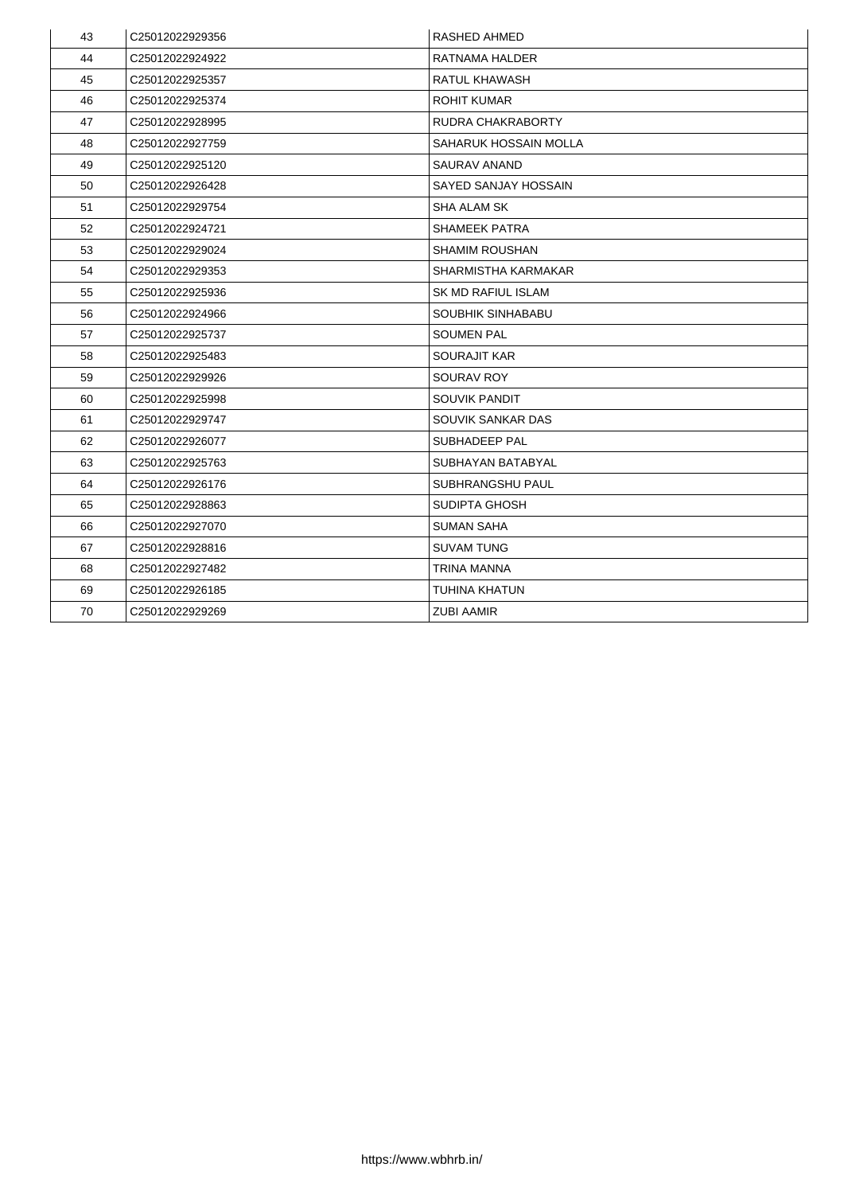| 43 | C25012022929356             | <b>RASHED AHMED</b>          |
|----|-----------------------------|------------------------------|
| 44 | C25012022924922             | RATNAMA HALDER               |
| 45 | C25012022925357             | <b>RATUL KHAWASH</b>         |
| 46 | C25012022925374             | <b>ROHIT KUMAR</b>           |
| 47 | C25012022928995             | <b>RUDRA CHAKRABORTY</b>     |
| 48 | C25012022927759             | <b>SAHARUK HOSSAIN MOLLA</b> |
| 49 | C25012022925120             | <b>SAURAV ANAND</b>          |
| 50 | C25012022926428             | <b>SAYED SANJAY HOSSAIN</b>  |
| 51 | C25012022929754             | <b>SHA ALAM SK</b>           |
| 52 | C25012022924721             | <b>SHAMEEK PATRA</b>         |
| 53 | C25012022929024             | <b>SHAMIM ROUSHAN</b>        |
| 54 | C25012022929353             | <b>SHARMISTHA KARMAKAR</b>   |
| 55 | C25012022925936             | <b>SK MD RAFIUL ISLAM</b>    |
| 56 | C25012022924966             | <b>SOUBHIK SINHABABU</b>     |
| 57 | C25012022925737             | <b>SOUMEN PAL</b>            |
| 58 | C25012022925483             | <b>SOURAJIT KAR</b>          |
| 59 | C25012022929926             | <b>SOURAV ROY</b>            |
| 60 | C25012022925998             | <b>SOUVIK PANDIT</b>         |
| 61 | C25012022929747             | <b>SOUVIK SANKAR DAS</b>     |
| 62 | C25012022926077             | <b>SUBHADEEP PAL</b>         |
| 63 | C <sub>25012022925763</sub> | <b>SUBHAYAN BATABYAL</b>     |
| 64 | C25012022926176             | <b>SUBHRANGSHU PAUL</b>      |
| 65 | C25012022928863             | <b>SUDIPTA GHOSH</b>         |
| 66 | C25012022927070             | <b>SUMAN SAHA</b>            |
| 67 | C25012022928816             | <b>SUVAM TUNG</b>            |
| 68 | C25012022927482             | TRINA MANNA                  |
| 69 | C25012022926185             | <b>TUHINA KHATUN</b>         |
| 70 | C25012022929269             | <b>ZUBI AAMIR</b>            |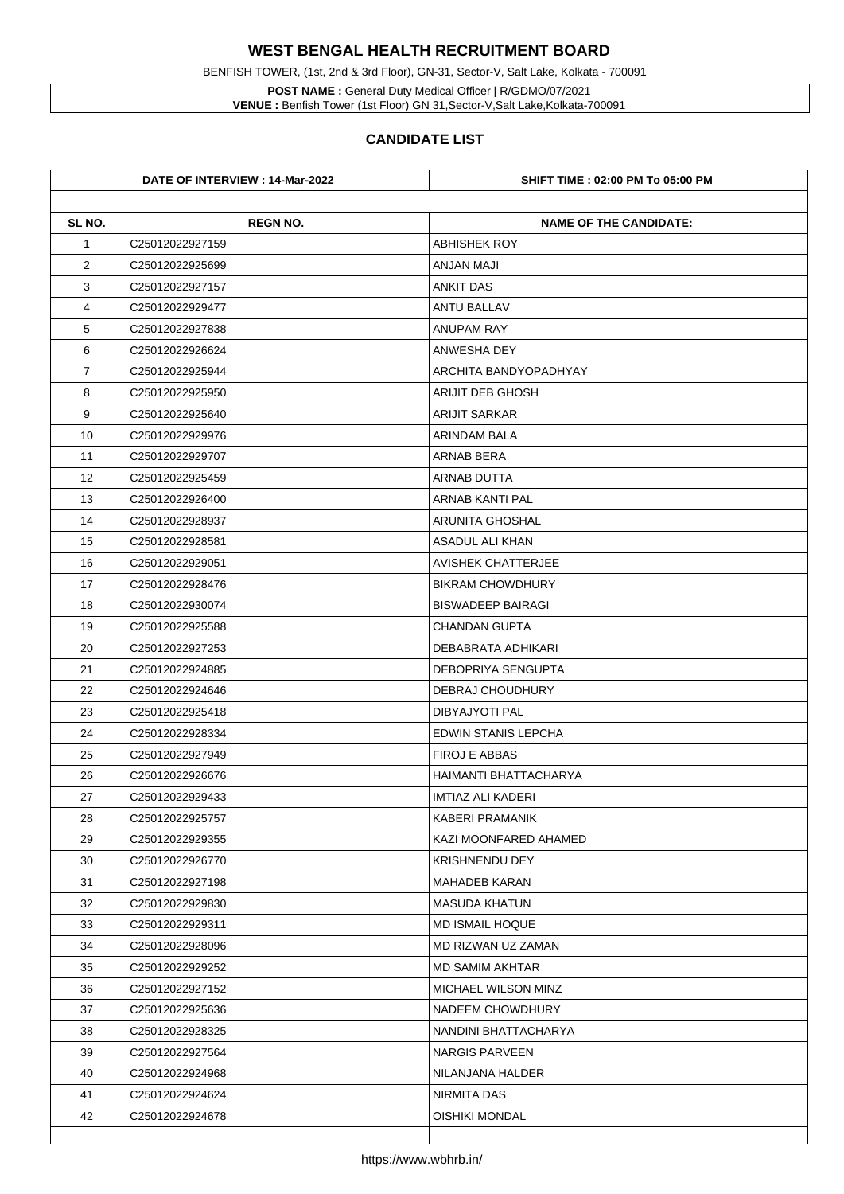**POST NAME :** General Duty Medical Officer | R/GDMO/07/2021 **VENUE :** Benfish Tower (1st Floor) GN 31, Sector-V, Salt Lake, Kolkata-700091

BENFISH TOWER, (1st, 2nd & 3rd Floor), GN-31, Sector-V, Salt Lake, Kolkata - 700091

|                | DATE OF INTERVIEW : 14-Mar-2022 | <b>SHIFT TIME : 02:00 PM To 05:00 PM</b> |
|----------------|---------------------------------|------------------------------------------|
| SL NO.         | <b>REGN NO.</b>                 | <b>NAME OF THE CANDIDATE:</b>            |
| $\mathbf 1$    | C25012022927159                 | <b>ABHISHEK ROY</b>                      |
| $\overline{2}$ | C25012022925699                 | <b>ANJAN MAJI</b>                        |
| 3              | C25012022927157                 | <b>ANKIT DAS</b>                         |
| 4              | C25012022929477                 | <b>ANTU BALLAV</b>                       |
| 5              | C25012022927838                 | <b>ANUPAM RAY</b>                        |
| 6              | C25012022926624                 | <b>ANWESHA DEY</b>                       |
| $\overline{7}$ | C25012022925944                 | <b>ARCHITA BANDYOPADHYAY</b>             |
| 8              | C25012022925950                 | <b>ARIJIT DEB GHOSH</b>                  |
| 9              | C25012022925640                 | <b>ARIJIT SARKAR</b>                     |
| 10             | C25012022929976                 | <b>ARINDAM BALA</b>                      |
| 11             | C25012022929707                 | <b>ARNAB BERA</b>                        |
| 12             | C25012022925459                 | <b>ARNAB DUTTA</b>                       |
| 13             | C25012022926400                 | <b>ARNAB KANTI PAL</b>                   |
| 14             | C25012022928937                 | <b>ARUNITA GHOSHAL</b>                   |
| 15             | C25012022928581                 | <b>ASADUL ALI KHAN</b>                   |
| 16             | C25012022929051                 | <b>AVISHEK CHATTERJEE</b>                |
| 17             | C <sub>25012022928476</sub>     | <b>BIKRAM CHOWDHURY</b>                  |
| 18             | C25012022930074                 | <b>BISWADEEP BAIRAGI</b>                 |
| 19             | C25012022925588                 | <b>CHANDAN GUPTA</b>                     |
| 20             | C25012022927253                 | <b>DEBABRATA ADHIKARI</b>                |
| 21             | C25012022924885                 | <b>DEBOPRIYA SENGUPTA</b>                |
| 22             | C25012022924646                 | <b>DEBRAJ CHOUDHURY</b>                  |
| 23             | C25012022925418                 | <b>DIBYAJYOTI PAL</b>                    |
| 24             | C25012022928334                 | <b>EDWIN STANIS LEPCHA</b>               |
| 25             | C25012022927949                 | <b>FIROJ E ABBAS</b>                     |
| 26             | C25012022926676                 | HAIMANTI BHATTACHARYA                    |
| 27             | C25012022929433                 | <b>IMTIAZ ALI KADERI</b>                 |
| 28             | C25012022925757                 | KABERI PRAMANIK                          |
| 29             | C25012022929355                 | <b>KAZI MOONFARED AHAMED</b>             |
| 30             | C25012022926770                 | <b>KRISHNENDU DEY</b>                    |
| 31             | C25012022927198                 | <b>MAHADEB KARAN</b>                     |
| 32             | C25012022929830                 | <b>MASUDA KHATUN</b>                     |
| 33             | C25012022929311                 | <b>MD ISMAIL HOQUE</b>                   |
| 34             | C25012022928096                 | <b>MD RIZWAN UZ ZAMAN</b>                |
| 35             | C25012022929252                 | <b>MD SAMIM AKHTAR</b>                   |
| 36             | C25012022927152                 | <b>MICHAEL WILSON MINZ</b>               |
| 37             | C25012022925636                 | NADEEM CHOWDHURY                         |
| 38             | C25012022928325                 | NANDINI BHATTACHARYA                     |
| 39             | C25012022927564                 | <b>NARGIS PARVEEN</b>                    |
| 40             | C25012022924968                 | NILANJANA HALDER                         |
| 41             | C25012022924624                 | <b>NIRMITA DAS</b>                       |
| 42             | C25012022924678                 | <b>OISHIKI MONDAL</b>                    |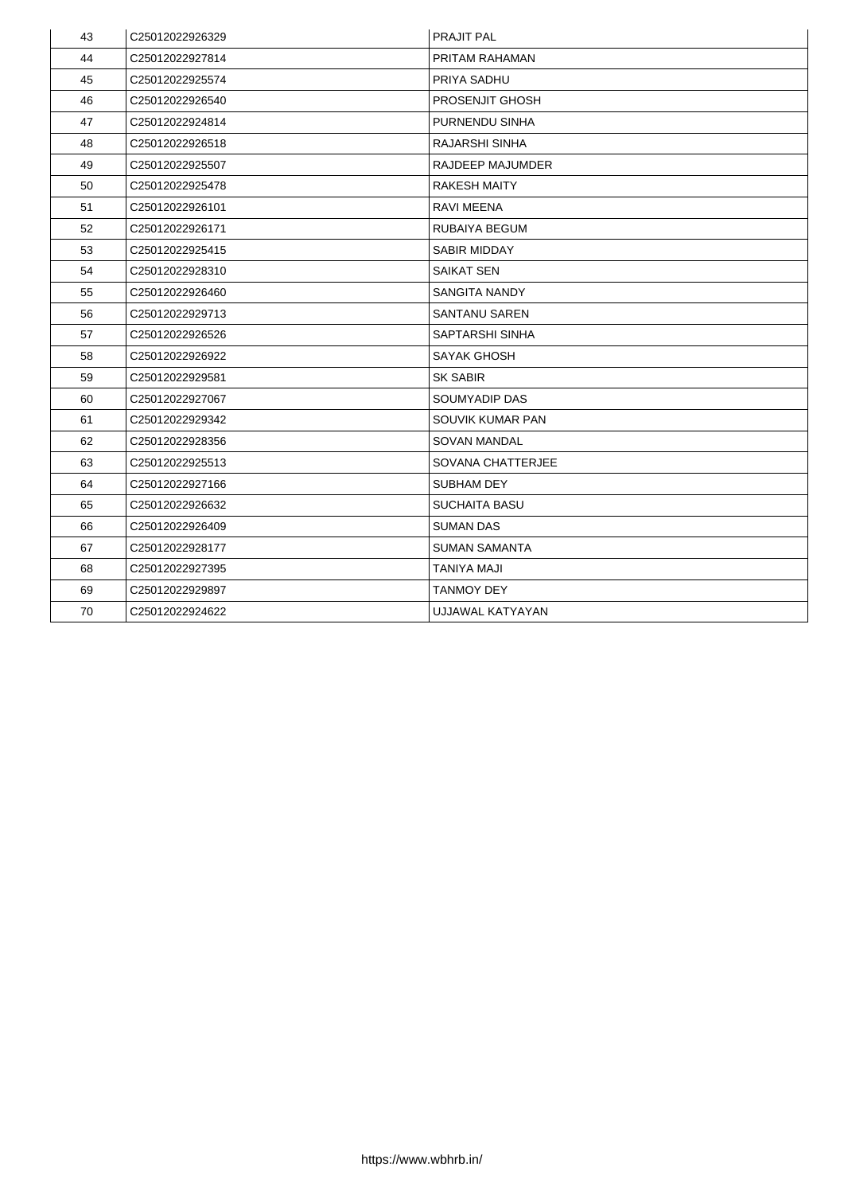| 43 | C25012022926329 | <b>PRAJIT PAL</b>        |
|----|-----------------|--------------------------|
| 44 | C25012022927814 | PRITAM RAHAMAN           |
| 45 | C25012022925574 | <b>PRIYA SADHU</b>       |
| 46 | C25012022926540 | <b>PROSENJIT GHOSH</b>   |
| 47 | C25012022924814 | <b>PURNENDU SINHA</b>    |
| 48 | C25012022926518 | <b>RAJARSHI SINHA</b>    |
| 49 | C25012022925507 | <b>RAJDEEP MAJUMDER</b>  |
| 50 | C25012022925478 | <b>RAKESH MAITY</b>      |
| 51 | C25012022926101 | <b>RAVI MEENA</b>        |
| 52 | C25012022926171 | <b>RUBAIYA BEGUM</b>     |
| 53 | C25012022925415 | <b>SABIR MIDDAY</b>      |
| 54 | C25012022928310 | <b>SAIKAT SEN</b>        |
| 55 | C25012022926460 | <b>SANGITA NANDY</b>     |
| 56 | C25012022929713 | <b>SANTANU SAREN</b>     |
| 57 | C25012022926526 | <b>SAPTARSHI SINHA</b>   |
| 58 | C25012022926922 | <b>SAYAK GHOSH</b>       |
| 59 | C25012022929581 | <b>SK SABIR</b>          |
| 60 | C25012022927067 | <b>SOUMYADIP DAS</b>     |
| 61 | C25012022929342 | <b>SOUVIK KUMAR PAN</b>  |
| 62 | C25012022928356 | <b>SOVAN MANDAL</b>      |
| 63 | C25012022925513 | <b>SOVANA CHATTERJEE</b> |
| 64 | C25012022927166 | <b>SUBHAM DEY</b>        |
| 65 | C25012022926632 | <b>SUCHAITA BASU</b>     |
| 66 | C25012022926409 | <b>SUMAN DAS</b>         |
| 67 | C25012022928177 | <b>SUMAN SAMANTA</b>     |
| 68 | C25012022927395 | <b>TANIYA MAJI</b>       |
| 69 | C25012022929897 | <b>TANMOY DEY</b>        |
| 70 | C25012022924622 | UJJAWAL KATYAYAN         |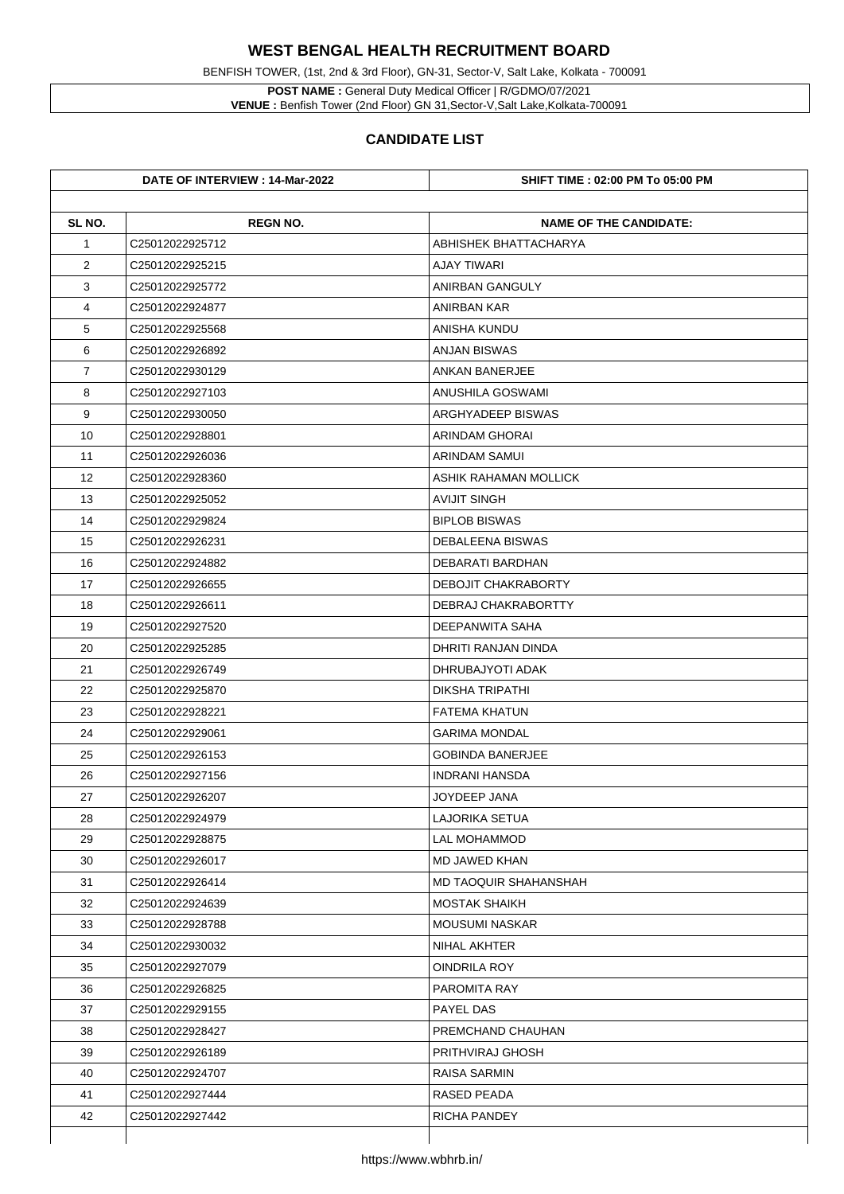BENFISH TOWER, (1st, 2nd & 3rd Floor), GN-31, Sector-V, Salt Lake, Kolkata - 700091

**POST NAME :** General Duty Medical Officer | R/GDMO/07/2021 **VENUE :** Benfish Tower (2nd Floor) GN 31,Sector-V,Salt Lake,Kolkata-700091

|                | DATE OF INTERVIEW : 14-Mar-2022 | <b>SHIFT TIME : 02:00 PM To 05:00 PM</b> |
|----------------|---------------------------------|------------------------------------------|
| SL NO.         | <b>REGN NO.</b>                 | <b>NAME OF THE CANDIDATE:</b>            |
| $\mathbf 1$    | C25012022925712                 | ABHISHEK BHATTACHARYA                    |
| $\overline{2}$ | C <sub>25012022925215</sub>     | <b>AJAY TIWARI</b>                       |
| 3              | C25012022925772                 | <b>ANIRBAN GANGULY</b>                   |
| 4              | C25012022924877                 | <b>ANIRBAN KAR</b>                       |
| 5              | C25012022925568                 | <b>ANISHA KUNDU</b>                      |
| 6              | C25012022926892                 | <b>ANJAN BISWAS</b>                      |
| $\overline{7}$ | C25012022930129                 | <b>ANKAN BANERJEE</b>                    |
| 8              | C25012022927103                 | <b>ANUSHILA GOSWAMI</b>                  |
| 9              | C25012022930050                 | <b>ARGHYADEEP BISWAS</b>                 |
| 10             | C25012022928801                 | <b>ARINDAM GHORAI</b>                    |
| 11             | C25012022926036                 | <b>ARINDAM SAMUI</b>                     |
| 12             | C25012022928360                 | <b>ASHIK RAHAMAN MOLLICK</b>             |
| 13             | C25012022925052                 | <b>AVIJIT SINGH</b>                      |
| 14             | C25012022929824                 | <b>BIPLOB BISWAS</b>                     |
| 15             | C25012022926231                 | <b>DEBALEENA BISWAS</b>                  |
| 16             | C25012022924882                 | <b>DEBARATI BARDHAN</b>                  |
| 17             | C <sub>25012022926655</sub>     | <b>DEBOJIT CHAKRABORTY</b>               |
| 18             | C25012022926611                 | DEBRAJ CHAKRABORTTY                      |
| 19             | C25012022927520                 | DEEPANWITA SAHA                          |
| 20             | C25012022925285                 | DHRITI RANJAN DINDA                      |
| 21             | C25012022926749                 | DHRUBAJYOTI ADAK                         |
| 22             | C25012022925870                 | <b>DIKSHA TRIPATHI</b>                   |
| 23             | C25012022928221                 | <b>FATEMA KHATUN</b>                     |
| 24             | C25012022929061                 | <b>GARIMA MONDAL</b>                     |
| 25             | C25012022926153                 | <b>GOBINDA BANERJEE</b>                  |
| 26             | C25012022927156                 | <b>INDRANI HANSDA</b>                    |
| 27             | C25012022926207                 | <b>JOYDEEP JANA</b>                      |
| 28             | C25012022924979                 | <b>LAJORIKA SETUA</b>                    |
| 29             | C25012022928875                 | <b>LAL MOHAMMOD</b>                      |
| 30             | C25012022926017                 | <b>MD JAWED KHAN</b>                     |
| 31             | C25012022926414                 | <b>MD TAOQUIR SHAHANSHAH</b>             |
| 32             | C25012022924639                 | <b>MOSTAK SHAIKH</b>                     |
| 33             | C25012022928788                 | <b>MOUSUMI NASKAR</b>                    |
| 34             | C25012022930032                 | <b>NIHAL AKHTER</b>                      |
| 35             | C25012022927079                 | <b>OINDRILA ROY</b>                      |
| 36             | C25012022926825                 | <b>PAROMITA RAY</b>                      |
| 37             | C25012022929155                 | <b>PAYEL DAS</b>                         |
| 38             | C25012022928427                 | PREMCHAND CHAUHAN                        |
| 39             | C25012022926189                 | <b>PRITHVIRAJ GHOSH</b>                  |
| 40             | C25012022924707                 | <b>RAISA SARMIN</b>                      |
| 41             | C25012022927444                 | RASED PEADA                              |
| 42             | C25012022927442                 | <b>RICHA PANDEY</b>                      |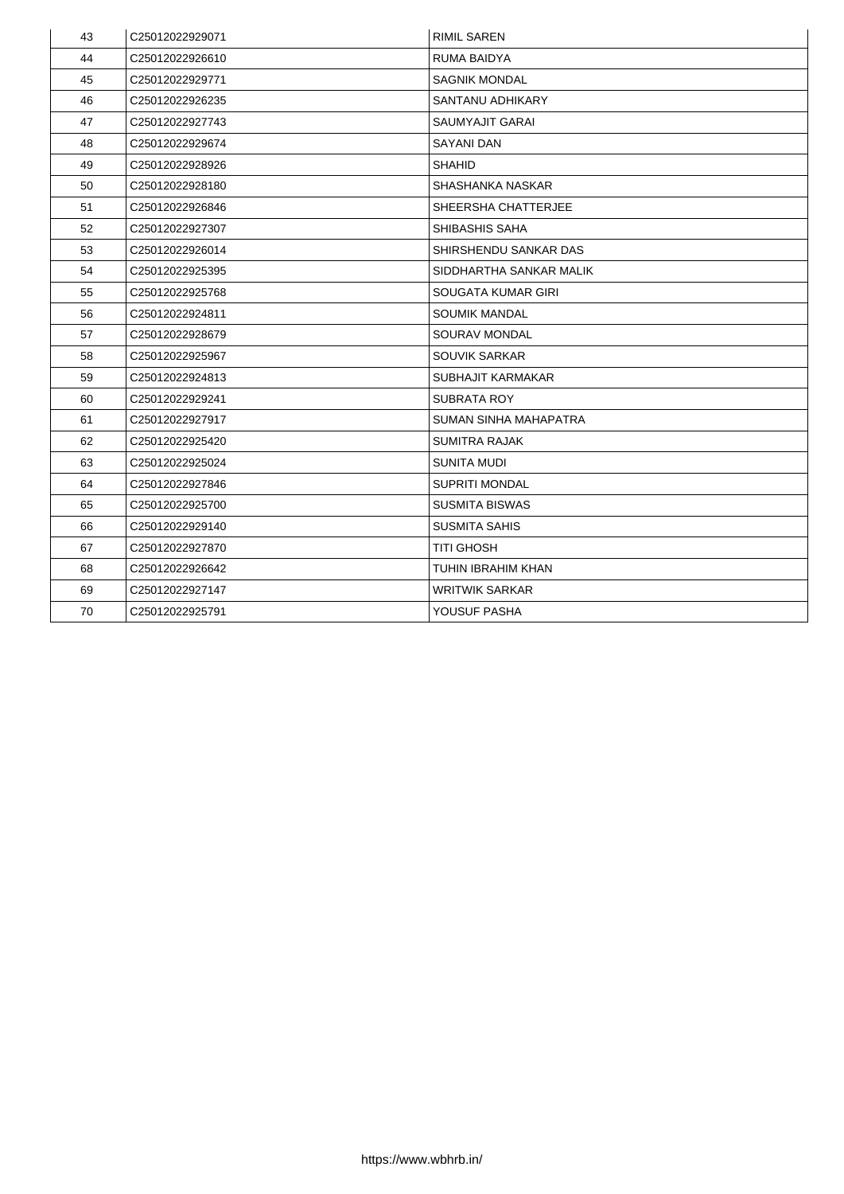| 43 | C25012022929071             | <b>RIMIL SAREN</b>           |
|----|-----------------------------|------------------------------|
| 44 | C25012022926610             | <b>RUMA BAIDYA</b>           |
| 45 | C25012022929771             | <b>SAGNIK MONDAL</b>         |
| 46 | C25012022926235             | <b>SANTANU ADHIKARY</b>      |
| 47 | C25012022927743             | <b>SAUMYAJIT GARAI</b>       |
| 48 | C25012022929674             | <b>SAYANI DAN</b>            |
| 49 | C25012022928926             | <b>SHAHID</b>                |
| 50 | C25012022928180             | <b>SHASHANKA NASKAR</b>      |
| 51 | C25012022926846             | <b>SHEERSHA CHATTERJEE</b>   |
| 52 | C25012022927307             | <b>SHIBASHIS SAHA</b>        |
| 53 | C25012022926014             | <b>SHIRSHENDU SANKAR DAS</b> |
| 54 | C25012022925395             | SIDDHARTHA SANKAR MALIK      |
| 55 | C <sub>25012022925768</sub> | <b>SOUGATA KUMAR GIRI</b>    |
| 56 | C25012022924811             | <b>SOUMIK MANDAL</b>         |
| 57 | C25012022928679             | <b>SOURAV MONDAL</b>         |
| 58 | C25012022925967             | <b>SOUVIK SARKAR</b>         |
| 59 | C25012022924813             | <b>SUBHAJIT KARMAKAR</b>     |
| 60 | C25012022929241             | <b>SUBRATA ROY</b>           |
| 61 | C25012022927917             | <b>SUMAN SINHA MAHAPATRA</b> |
| 62 | C25012022925420             | <b>SUMITRA RAJAK</b>         |
| 63 | C25012022925024             | <b>SUNITA MUDI</b>           |
| 64 | C25012022927846             | <b>SUPRITI MONDAL</b>        |
| 65 | C25012022925700             | <b>SUSMITA BISWAS</b>        |
| 66 | C25012022929140             | <b>SUSMITA SAHIS</b>         |
| 67 | C25012022927870             | <b>TITI GHOSH</b>            |
| 68 | C25012022926642             | <b>TUHIN IBRAHIM KHAN</b>    |
| 69 | C25012022927147             | <b>WRITWIK SARKAR</b>        |
| 70 | C25012022925791             | <b>YOUSUF PASHA</b>          |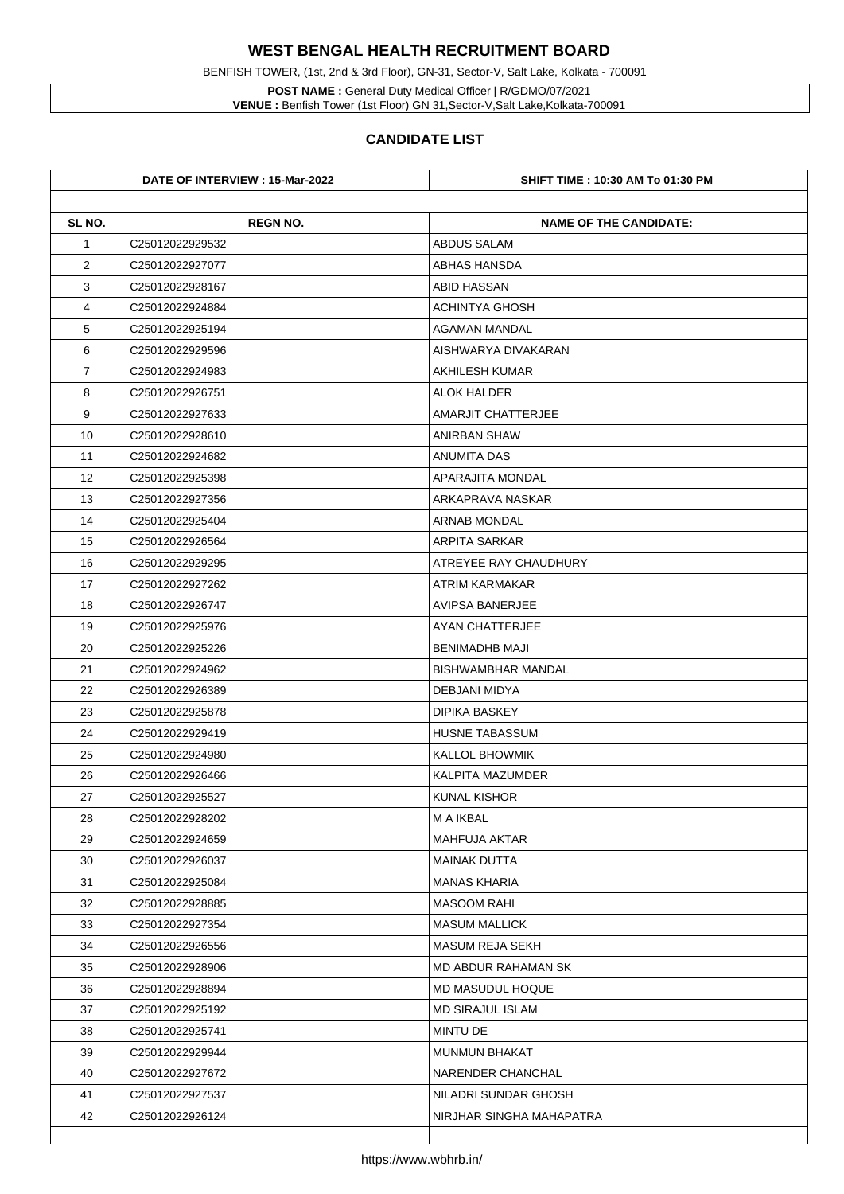**POST NAME :** General Duty Medical Officer | R/GDMO/07/2021 **VENUE :** Benfish Tower (1st Floor) GN 31, Sector-V, Salt Lake, Kolkata-700091

BENFISH TOWER, (1st, 2nd & 3rd Floor), GN-31, Sector-V, Salt Lake, Kolkata - 700091

|                 | DATE OF INTERVIEW : 15-Mar-2022 | <b>SHIFT TIME : 10:30 AM To 01:30 PM</b> |
|-----------------|---------------------------------|------------------------------------------|
| SL NO.          | <b>REGN NO.</b>                 | <b>NAME OF THE CANDIDATE:</b>            |
| $\mathbf 1$     | C25012022929532                 | <b>ABDUS SALAM</b>                       |
| $\overline{2}$  | C25012022927077                 | <b>ABHAS HANSDA</b>                      |
| 3               | C25012022928167                 | <b>ABID HASSAN</b>                       |
| 4               | C25012022924884                 | <b>ACHINTYA GHOSH</b>                    |
| 5               | C25012022925194                 | <b>AGAMAN MANDAL</b>                     |
| 6               | C25012022929596                 | AISHWARYA DIVAKARAN                      |
| $\overline{7}$  | C25012022924983                 | <b>AKHILESH KUMAR</b>                    |
| 8               | C25012022926751                 | <b>ALOK HALDER</b>                       |
| 9               | C25012022927633                 | <b>AMARJIT CHATTERJEE</b>                |
| 10 <sup>°</sup> | C25012022928610                 | <b>ANIRBAN SHAW</b>                      |
| 11              | C25012022924682                 | <b>ANUMITA DAS</b>                       |
| 12              | C25012022925398                 | <b>APARAJITA MONDAL</b>                  |
| 13              | C25012022927356                 | ARKAPRAVA NASKAR                         |
| 14              | C25012022925404                 | <b>ARNAB MONDAL</b>                      |
| 15              | C25012022926564                 | <b>ARPITA SARKAR</b>                     |
| 16              | C25012022929295                 | ATREYEE RAY CHAUDHURY                    |
| 17              | C25012022927262                 | ATRIM KARMAKAR                           |
| 18              | C25012022926747                 | <b>AVIPSA BANERJEE</b>                   |
| 19              | C <sub>25012022925976</sub>     | <b>AYAN CHATTERJEE</b>                   |
| 20              | C25012022925226                 | <b>BENIMADHB MAJI</b>                    |
| 21              | C25012022924962                 | <b>BISHWAMBHAR MANDAL</b>                |
| 22              | C25012022926389                 | <b>DEBJANI MIDYA</b>                     |
| 23              | C25012022925878                 | <b>DIPIKA BASKEY</b>                     |
| 24              | C25012022929419                 | <b>HUSNE TABASSUM</b>                    |
| 25              | C25012022924980                 | <b>KALLOL BHOWMIK</b>                    |
| 26              | C25012022926466                 | <b>KALPITA MAZUMDER</b>                  |
| 27              | C25012022925527                 | <b>KUNAL KISHOR</b>                      |
| 28              | C25012022928202                 | <b>MAIKBAL</b>                           |
| 29              | C25012022924659                 | <b>MAHFUJA AKTAR</b>                     |
| 30              | C25012022926037                 | <b>MAINAK DUTTA</b>                      |
| 31              | C25012022925084                 | <b>MANAS KHARIA</b>                      |
| 32              | C25012022928885                 | <b>MASOOM RAHI</b>                       |
| 33              | C25012022927354                 | <b>MASUM MALLICK</b>                     |
| 34              | C25012022926556                 | <b>MASUM REJA SEKH</b>                   |
| 35              | C25012022928906                 | <b>MD ABDUR RAHAMAN SK</b>               |
| 36              | C25012022928894                 | <b>MD MASUDUL HOQUE</b>                  |
| 37              | C25012022925192                 | <b>MD SIRAJUL ISLAM</b>                  |
| 38              | C25012022925741                 | <b>MINTU DE</b>                          |
| 39              | C25012022929944                 | <b>MUNMUN BHAKAT</b>                     |
| 40              | C25012022927672                 | NARENDER CHANCHAL                        |
| 41              | C25012022927537                 | NILADRI SUNDAR GHOSH                     |
| 42              | C25012022926124                 | NIRJHAR SINGHA MAHAPATRA                 |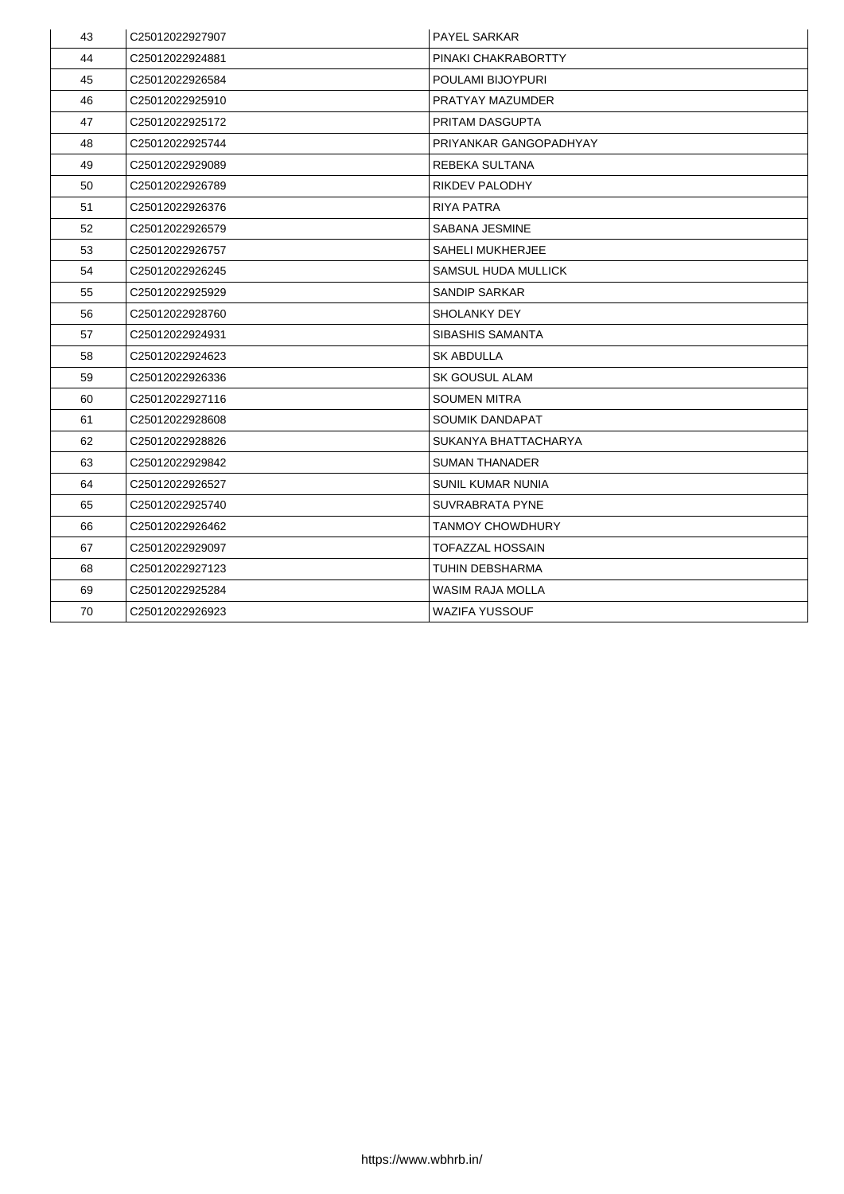| 43 | C25012022927907 | <b>PAYEL SARKAR</b>        |
|----|-----------------|----------------------------|
| 44 | C25012022924881 | PINAKI CHAKRABORTTY        |
| 45 | C25012022926584 | <b>POULAMI BIJOYPURI</b>   |
| 46 | C25012022925910 | <b>PRATYAY MAZUMDER</b>    |
| 47 | C25012022925172 | <b>PRITAM DASGUPTA</b>     |
| 48 | C25012022925744 | PRIYANKAR GANGOPADHYAY     |
| 49 | C25012022929089 | <b>REBEKA SULTANA</b>      |
| 50 | C25012022926789 | <b>RIKDEV PALODHY</b>      |
| 51 | C25012022926376 | <b>RIYA PATRA</b>          |
| 52 | C25012022926579 | <b>SABANA JESMINE</b>      |
| 53 | C25012022926757 | <b>SAHELI MUKHERJEE</b>    |
| 54 | C25012022926245 | <b>SAMSUL HUDA MULLICK</b> |
| 55 | C25012022925929 | <b>SANDIP SARKAR</b>       |
| 56 | C25012022928760 | <b>SHOLANKY DEY</b>        |
| 57 | C25012022924931 | <b>SIBASHIS SAMANTA</b>    |
| 58 | C25012022924623 | <b>SK ABDULLA</b>          |
| 59 | C25012022926336 | <b>SK GOUSUL ALAM</b>      |
| 60 | C25012022927116 | <b>SOUMEN MITRA</b>        |
| 61 | C25012022928608 | <b>SOUMIK DANDAPAT</b>     |
| 62 | C25012022928826 | SUKANYA BHATTACHARYA       |
| 63 | C25012022929842 | <b>SUMAN THANADER</b>      |
| 64 | C25012022926527 | <b>SUNIL KUMAR NUNIA</b>   |
| 65 | C25012022925740 | <b>SUVRABRATA PYNE</b>     |
| 66 | C25012022926462 | <b>TANMOY CHOWDHURY</b>    |
| 67 | C25012022929097 | <b>TOFAZZAL HOSSAIN</b>    |
| 68 | C25012022927123 | <b>TUHIN DEBSHARMA</b>     |
| 69 | C25012022925284 | <b>WASIM RAJA MOLLA</b>    |
| 70 | C25012022926923 | <b>WAZIFA YUSSOUF</b>      |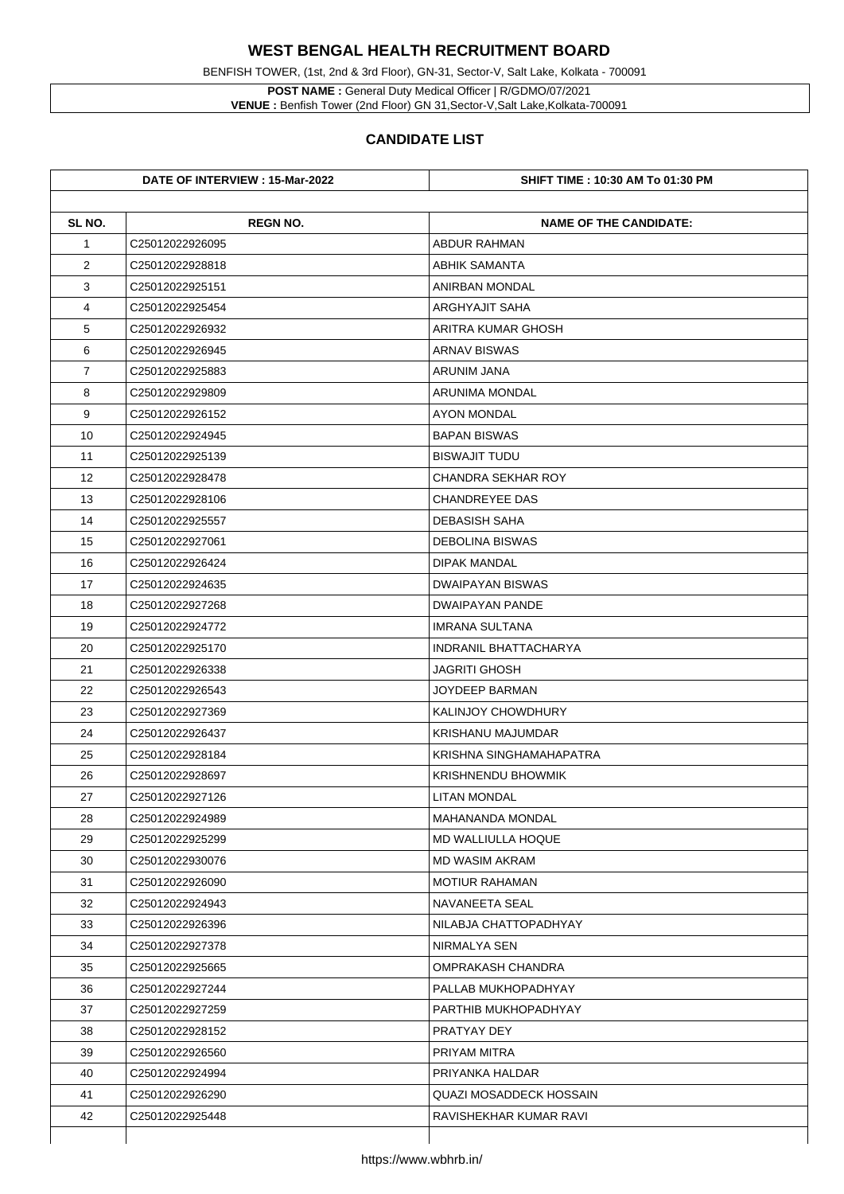BENFISH TOWER, (1st, 2nd & 3rd Floor), GN-31, Sector-V, Salt Lake, Kolkata - 700091

**POST NAME :** General Duty Medical Officer | R/GDMO/07/2021 **VENUE :** Benfish Tower (2nd Floor) GN 31,Sector-V,Salt Lake,Kolkata-700091

|                | DATE OF INTERVIEW : 15-Mar-2022 | <b>SHIFT TIME : 10:30 AM To 01:30 PM</b> |
|----------------|---------------------------------|------------------------------------------|
| SL NO.         | <b>REGN NO.</b>                 | <b>NAME OF THE CANDIDATE:</b>            |
| $\mathbf 1$    | C25012022926095                 | <b>ABDUR RAHMAN</b>                      |
| $\overline{2}$ | C25012022928818                 | <b>ABHIK SAMANTA</b>                     |
| 3              | C25012022925151                 | <b>ANIRBAN MONDAL</b>                    |
| 4              | C25012022925454                 | <b>ARGHYAJIT SAHA</b>                    |
| 5              | C25012022926932                 | <b>ARITRA KUMAR GHOSH</b>                |
| 6              | C25012022926945                 | <b>ARNAV BISWAS</b>                      |
| $\overline{7}$ | C25012022925883                 | <b>ARUNIM JANA</b>                       |
| 8              | C25012022929809                 | <b>ARUNIMA MONDAL</b>                    |
| 9              | C25012022926152                 | <b>AYON MONDAL</b>                       |
| 10             | C25012022924945                 | <b>BAPAN BISWAS</b>                      |
| 11             | C25012022925139                 | <b>BISWAJIT TUDU</b>                     |
| 12             | C25012022928478                 | <b>CHANDRA SEKHAR ROY</b>                |
| 13             | C25012022928106                 | <b>CHANDREYEE DAS</b>                    |
| 14             | C25012022925557                 | <b>DEBASISH SAHA</b>                     |
| 15             | C25012022927061                 | <b>DEBOLINA BISWAS</b>                   |
| 16             | C25012022926424                 | <b>DIPAK MANDAL</b>                      |
| 17             | C25012022924635                 | <b>DWAIPAYAN BISWAS</b>                  |
| 18             | C25012022927268                 | <b>DWAIPAYAN PANDE</b>                   |
| 19             | C25012022924772                 | <b>IMRANA SULTANA</b>                    |
| 20             | C25012022925170                 | <b>INDRANIL BHATTACHARYA</b>             |
| 21             | C25012022926338                 | <b>JAGRITI GHOSH</b>                     |
| 22             | C25012022926543                 | <b>JOYDEEP BARMAN</b>                    |
| 23             | C25012022927369                 | <b>KALINJOY CHOWDHURY</b>                |
| 24             | C25012022926437                 | <b>KRISHANU MAJUMDAR</b>                 |
| 25             | C25012022928184                 | KRISHNA SINGHAMAHAPATRA                  |
| 26             | C25012022928697                 | <b>KRISHNENDU BHOWMIK</b>                |
| 27             | C25012022927126                 | <b>LITAN MONDAL</b>                      |
| 28             | C25012022924989                 | <b>MAHANANDA MONDAL</b>                  |
| 29             | C25012022925299                 | <b>MD WALLIULLA HOQUE</b>                |
| 30             | C25012022930076                 | <b>MD WASIM AKRAM</b>                    |
| 31             | C25012022926090                 | <b>MOTIUR RAHAMAN</b>                    |
| 32             | C25012022924943                 | <b>NAVANEETA SEAL</b>                    |
| 33             | C25012022926396                 | NILABJA CHATTOPADHYAY                    |
| 34             | C25012022927378                 | NIRMALYA SEN                             |
| 35             | C25012022925665                 | <b>OMPRAKASH CHANDRA</b>                 |
| 36             | C25012022927244                 | PALLAB MUKHOPADHYAY                      |
| 37             | C25012022927259                 | PARTHIB MUKHOPADHYAY                     |
| 38             | C25012022928152                 | <b>PRATYAY DEY</b>                       |
| 39             | C25012022926560                 | <b>PRIYAM MITRA</b>                      |
| 40             | C25012022924994                 | PRIYANKA HALDAR                          |
| 41             | C25012022926290                 | <b>QUAZI MOSADDECK HOSSAIN</b>           |
| 42             | C25012022925448                 | RAVISHEKHAR KUMAR RAVI                   |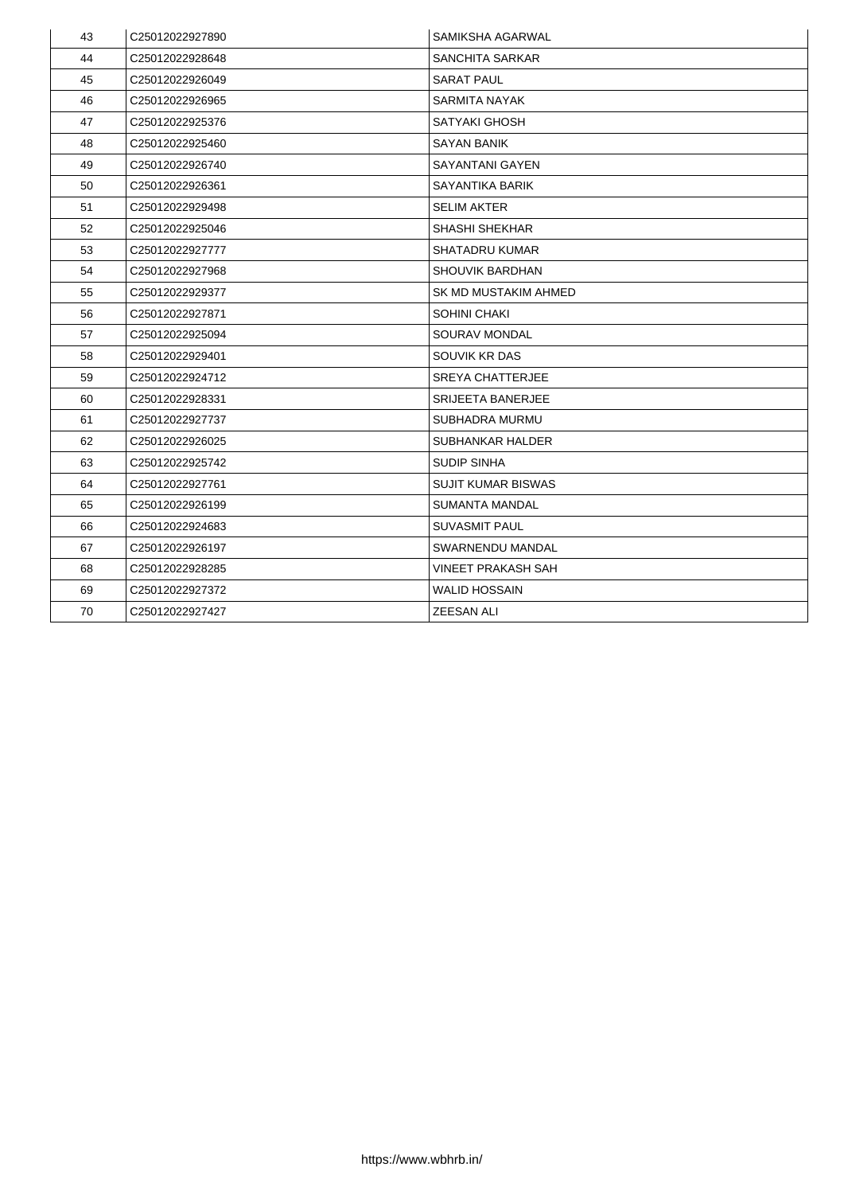| 43 | C25012022927890 | <b>SAMIKSHA AGARWAL</b>     |
|----|-----------------|-----------------------------|
| 44 | C25012022928648 | <b>SANCHITA SARKAR</b>      |
| 45 | C25012022926049 | <b>SARAT PAUL</b>           |
| 46 | C25012022926965 | <b>SARMITA NAYAK</b>        |
| 47 | C25012022925376 | <b>SATYAKI GHOSH</b>        |
| 48 | C25012022925460 | <b>SAYAN BANIK</b>          |
| 49 | C25012022926740 | <b>SAYANTANI GAYEN</b>      |
| 50 | C25012022926361 | <b>SAYANTIKA BARIK</b>      |
| 51 | C25012022929498 | <b>SELIM AKTER</b>          |
| 52 | C25012022925046 | <b>SHASHI SHEKHAR</b>       |
| 53 | C25012022927777 | <b>SHATADRU KUMAR</b>       |
| 54 | C25012022927968 | <b>SHOUVIK BARDHAN</b>      |
| 55 | C25012022929377 | <b>SK MD MUSTAKIM AHMED</b> |
| 56 | C25012022927871 | <b>SOHINI CHAKI</b>         |
| 57 | C25012022925094 | <b>SOURAV MONDAL</b>        |
| 58 | C25012022929401 | <b>SOUVIK KR DAS</b>        |
| 59 | C25012022924712 | <b>SREYA CHATTERJEE</b>     |
| 60 | C25012022928331 | <b>SRIJEETA BANERJEE</b>    |
| 61 | C25012022927737 | <b>SUBHADRA MURMU</b>       |
| 62 | C25012022926025 | <b>SUBHANKAR HALDER</b>     |
| 63 | C25012022925742 | <b>SUDIP SINHA</b>          |
| 64 | C25012022927761 | <b>SUJIT KUMAR BISWAS</b>   |
| 65 | C25012022926199 | <b>SUMANTA MANDAL</b>       |
| 66 | C25012022924683 | <b>SUVASMIT PAUL</b>        |
| 67 | C25012022926197 | <b>SWARNENDU MANDAL</b>     |
| 68 | C25012022928285 | <b>VINEET PRAKASH SAH</b>   |
| 69 | C25012022927372 | <b>WALID HOSSAIN</b>        |
| 70 | C25012022927427 | <b>ZEESAN ALI</b>           |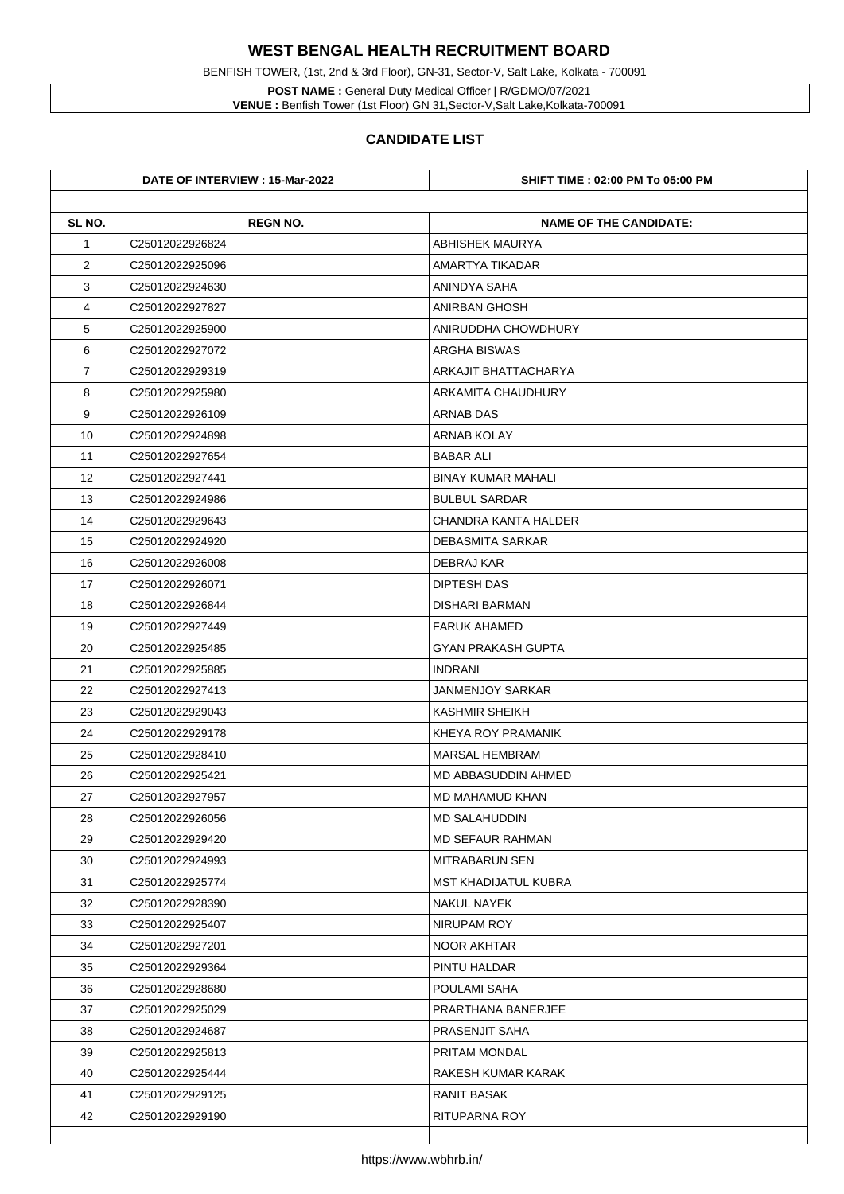**POST NAME :** General Duty Medical Officer | R/GDMO/07/2021 **VENUE :** Benfish Tower (1st Floor) GN 31, Sector-V, Salt Lake, Kolkata-700091

BENFISH TOWER, (1st, 2nd & 3rd Floor), GN-31, Sector-V, Salt Lake, Kolkata - 700091

|                | DATE OF INTERVIEW : 15-Mar-2022 | <b>SHIFT TIME : 02:00 PM To 05:00 PM</b> |
|----------------|---------------------------------|------------------------------------------|
| SL NO.         | <b>REGN NO.</b>                 | <b>NAME OF THE CANDIDATE:</b>            |
| $\mathbf 1$    | C25012022926824                 | <b>ABHISHEK MAURYA</b>                   |
| $\overline{2}$ | C25012022925096                 | AMARTYA TIKADAR                          |
| 3              | C25012022924630                 | <b>ANINDYA SAHA</b>                      |
| 4              | C25012022927827                 | <b>ANIRBAN GHOSH</b>                     |
| 5              | C25012022925900                 | ANIRUDDHA CHOWDHURY                      |
| 6              | C25012022927072                 | <b>ARGHA BISWAS</b>                      |
| $\overline{7}$ | C25012022929319                 | <b>ARKAJIT BHATTACHARYA</b>              |
| 8              | C25012022925980                 | <b>ARKAMITA CHAUDHURY</b>                |
| 9              | C25012022926109                 | <b>ARNAB DAS</b>                         |
| 10             | C25012022924898                 | <b>ARNAB KOLAY</b>                       |
| 11             | C25012022927654                 | <b>BABAR ALI</b>                         |
| 12             | C25012022927441                 | <b>BINAY KUMAR MAHALI</b>                |
| 13             | C25012022924986                 | <b>BULBUL SARDAR</b>                     |
| 14             | C25012022929643                 | <b>CHANDRA KANTA HALDER</b>              |
| 15             | C25012022924920                 | <b>DEBASMITA SARKAR</b>                  |
| 16             | C25012022926008                 | <b>DEBRAJ KAR</b>                        |
| 17             | C25012022926071                 | <b>DIPTESH DAS</b>                       |
| 18             | C25012022926844                 | <b>DISHARI BARMAN</b>                    |
| 19             | C25012022927449                 | <b>FARUK AHAMED</b>                      |
| 20             | C25012022925485                 | <b>GYAN PRAKASH GUPTA</b>                |
| 21             | C25012022925885                 | <b>INDRANI</b>                           |
| 22             | C25012022927413                 | <b>JANMENJOY SARKAR</b>                  |
| 23             | C25012022929043                 | <b>KASHMIR SHEIKH</b>                    |
| 24             | C25012022929178                 | <b>KHEYA ROY PRAMANIK</b>                |
| 25             | C25012022928410                 | <b>MARSAL HEMBRAM</b>                    |
| 26             | C25012022925421                 | <b>MD ABBASUDDIN AHMED</b>               |
| 27             | C25012022927957                 | <b>MD MAHAMUD KHAN</b>                   |
| 28             | C25012022926056                 | <b>MD SALAHUDDIN</b>                     |
| 29             | C25012022929420                 | <b>MD SEFAUR RAHMAN</b>                  |
| 30             | C25012022924993                 | <b>MITRABARUN SEN</b>                    |
| 31             | C25012022925774                 | <b>MST KHADIJATUL KUBRA</b>              |
| 32             | C25012022928390                 | <b>NAKUL NAYEK</b>                       |
| 33             | C25012022925407                 | NIRUPAM ROY                              |
| 34             | C25012022927201                 | NOOR AKHTAR                              |
| 35             | C25012022929364                 | PINTU HALDAR                             |
| 36             | C25012022928680                 | <b>POULAMI SAHA</b>                      |
| 37             | C25012022925029                 | PRARTHANA BANERJEE                       |
| 38             | C25012022924687                 | <b>PRASENJIT SAHA</b>                    |
| 39             | C25012022925813                 | <b>PRITAM MONDAL</b>                     |
| 40             | C25012022925444                 | RAKESH KUMAR KARAK                       |
| 41             | C25012022929125                 | <b>RANIT BASAK</b>                       |
| 42             | C25012022929190                 | <b>RITUPARNA ROY</b>                     |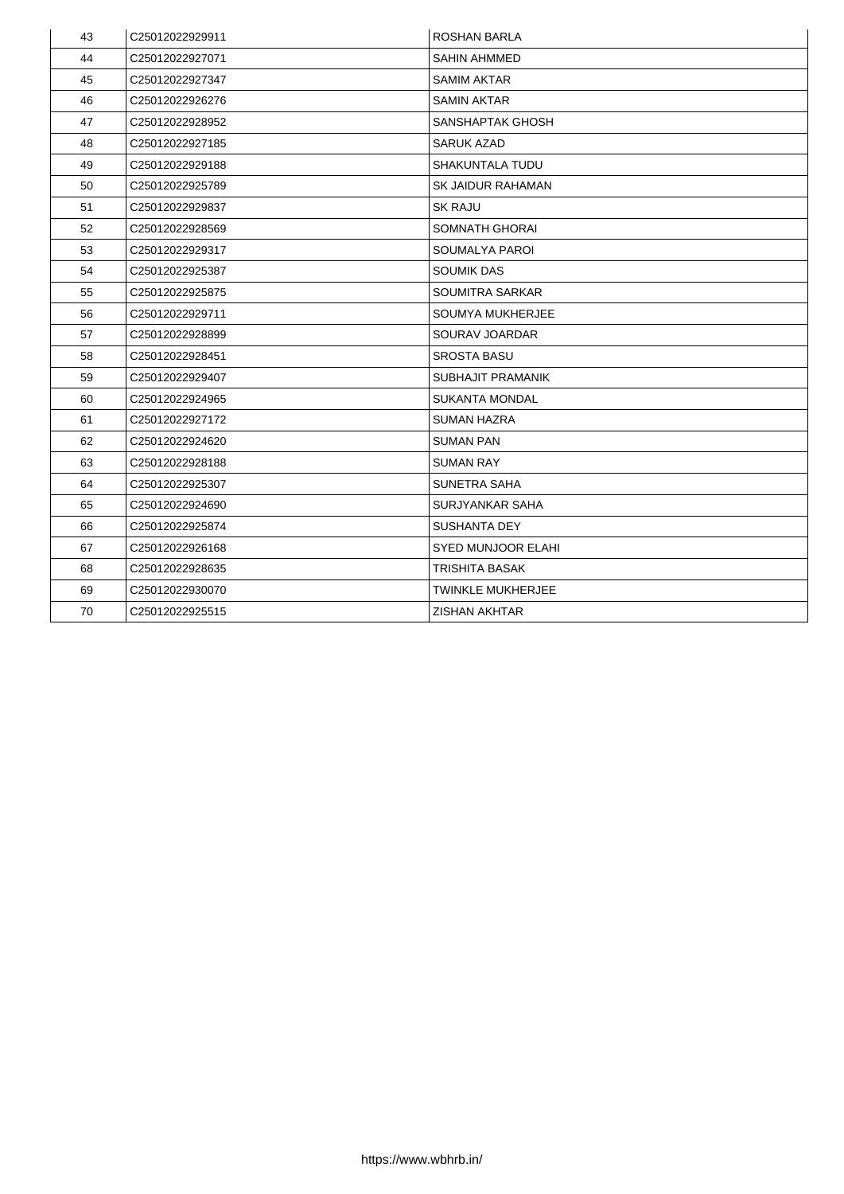| 43 | C25012022929911             | <b>ROSHAN BARLA</b>       |
|----|-----------------------------|---------------------------|
| 44 | C25012022927071             | <b>SAHIN AHMMED</b>       |
| 45 | C25012022927347             | <b>SAMIM AKTAR</b>        |
| 46 | C25012022926276             | <b>SAMIN AKTAR</b>        |
| 47 | C25012022928952             | <b>SANSHAPTAK GHOSH</b>   |
| 48 | C25012022927185             | <b>SARUK AZAD</b>         |
| 49 | C <sub>25012022929188</sub> | <b>SHAKUNTALA TUDU</b>    |
| 50 | C25012022925789             | <b>SK JAIDUR RAHAMAN</b>  |
| 51 | C25012022929837             | <b>SK RAJU</b>            |
| 52 | C25012022928569             | <b>SOMNATH GHORAI</b>     |
| 53 | C25012022929317             | <b>SOUMALYA PAROI</b>     |
| 54 | C25012022925387             | <b>SOUMIK DAS</b>         |
| 55 | C25012022925875             | <b>SOUMITRA SARKAR</b>    |
| 56 | C25012022929711             | <b>SOUMYA MUKHERJEE</b>   |
| 57 | C25012022928899             | <b>SOURAV JOARDAR</b>     |
| 58 | C25012022928451             | <b>SROSTA BASU</b>        |
| 59 | C25012022929407             | <b>SUBHAJIT PRAMANIK</b>  |
| 60 | C25012022924965             | <b>SUKANTA MONDAL</b>     |
| 61 | C25012022927172             | <b>SUMAN HAZRA</b>        |
| 62 | C25012022924620             | <b>SUMAN PAN</b>          |
| 63 | C25012022928188             | <b>SUMAN RAY</b>          |
| 64 | C25012022925307             | <b>SUNETRA SAHA</b>       |
| 65 | C25012022924690             | <b>SURJYANKAR SAHA</b>    |
| 66 | C25012022925874             | <b>SUSHANTA DEY</b>       |
| 67 | C25012022926168             | <b>SYED MUNJOOR ELAHI</b> |
| 68 | C25012022928635             | <b>TRISHITA BASAK</b>     |
| 69 | C25012022930070             | <b>TWINKLE MUKHERJEE</b>  |
| 70 | C25012022925515             | <b>ZISHAN AKHTAR</b>      |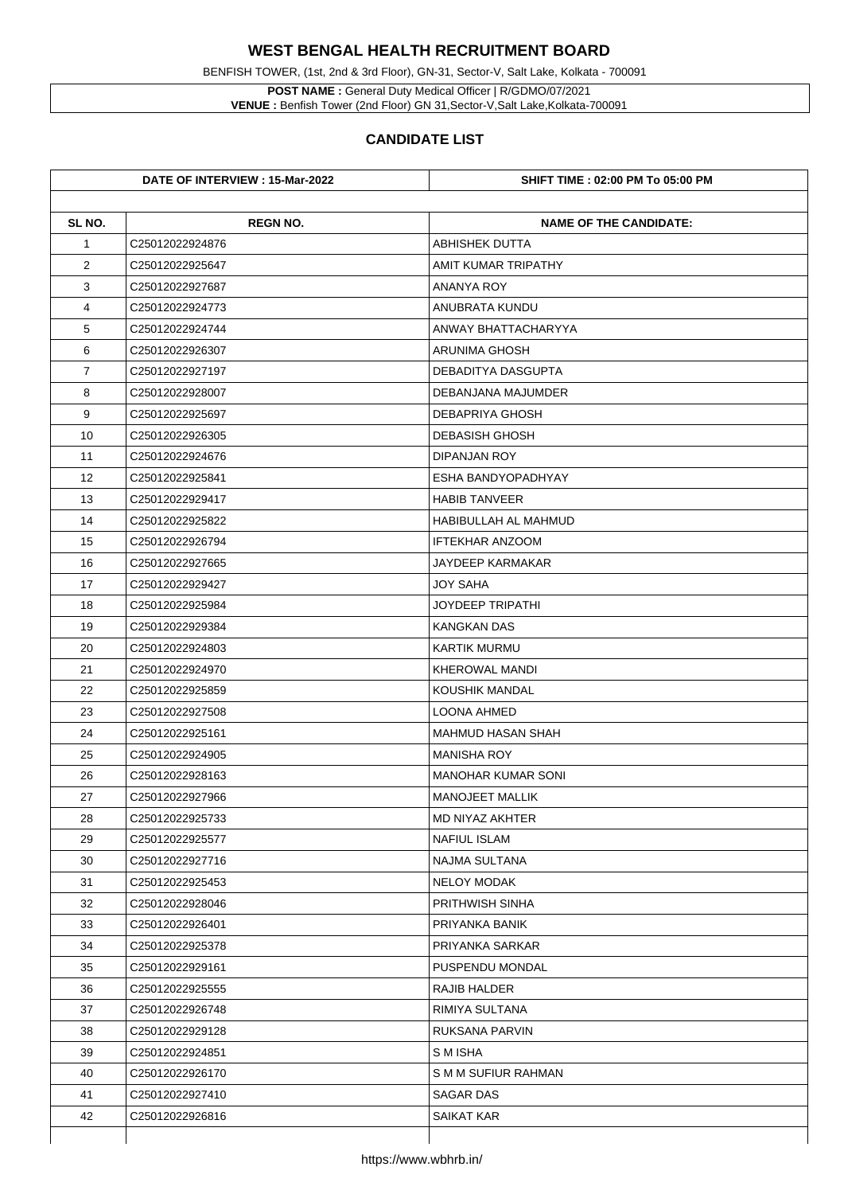BENFISH TOWER, (1st, 2nd & 3rd Floor), GN-31, Sector-V, Salt Lake, Kolkata - 700091

**POST NAME :** General Duty Medical Officer | R/GDMO/07/2021 **VENUE :** Benfish Tower (2nd Floor) GN 31,Sector-V,Salt Lake,Kolkata-700091

|                | DATE OF INTERVIEW : 15-Mar-2022 | <b>SHIFT TIME : 02:00 PM To 05:00 PM</b> |
|----------------|---------------------------------|------------------------------------------|
| SL NO.         | <b>REGN NO.</b>                 | <b>NAME OF THE CANDIDATE:</b>            |
| $\mathbf 1$    | C25012022924876                 | <b>ABHISHEK DUTTA</b>                    |
| $\overline{2}$ | C25012022925647                 | <b>AMIT KUMAR TRIPATHY</b>               |
| 3              | C25012022927687                 | <b>ANANYA ROY</b>                        |
| 4              | C25012022924773                 | <b>ANUBRATA KUNDU</b>                    |
| 5              | C25012022924744                 | ANWAY BHATTACHARYYA                      |
| 6              | C25012022926307                 | <b>ARUNIMA GHOSH</b>                     |
| $\overline{7}$ | C25012022927197                 | <b>DEBADITYA DASGUPTA</b>                |
| 8              | C25012022928007                 | <b>DEBANJANA MAJUMDER</b>                |
| 9              | C25012022925697                 | <b>DEBAPRIYA GHOSH</b>                   |
| 10             | C25012022926305                 | <b>DEBASISH GHOSH</b>                    |
| 11             | C25012022924676                 | <b>DIPANJAN ROY</b>                      |
| 12             | C25012022925841                 | ESHA BANDYOPADHYAY                       |
| 13             | C25012022929417                 | <b>HABIB TANVEER</b>                     |
| 14             | C25012022925822                 | <b>HABIBULLAH AL MAHMUD</b>              |
| 15             | C25012022926794                 | <b>IFTEKHAR ANZOOM</b>                   |
| 16             | C25012022927665                 | <b>JAYDEEP KARMAKAR</b>                  |
| 17             | C25012022929427                 | <b>JOY SAHA</b>                          |
| 18             | C25012022925984                 | <b>JOYDEEP TRIPATHI</b>                  |
| 19             | C25012022929384                 | <b>KANGKAN DAS</b>                       |
| 20             | C25012022924803                 | <b>KARTIK MURMU</b>                      |
| 21             | C25012022924970                 | <b>KHEROWAL MANDI</b>                    |
| 22             | C25012022925859                 | <b>KOUSHIK MANDAL</b>                    |
| 23             | C25012022927508                 | <b>LOONA AHMED</b>                       |
| 24             | C25012022925161                 | <b>MAHMUD HASAN SHAH</b>                 |
| 25             | C25012022924905                 | <b>MANISHA ROY</b>                       |
| 26             | C25012022928163                 | <b>MANOHAR KUMAR SONI</b>                |
| 27             | C25012022927966                 | <b>MANOJEET MALLIK</b>                   |
| 28             | C25012022925733                 | <b>MD NIYAZ AKHTER</b>                   |
| 29             | C25012022925577                 | <b>NAFIUL ISLAM</b>                      |
| 30             | C25012022927716                 | <b>NAJMA SULTANA</b>                     |
| 31             | C25012022925453                 | <b>NELOY MODAK</b>                       |
| 32             | C25012022928046                 | <b>PRITHWISH SINHA</b>                   |
| 33             | C25012022926401                 | PRIYANKA BANIK                           |
| 34             | C25012022925378                 | <b>PRIYANKA SARKAR</b>                   |
| 35             | C25012022929161                 | <b>PUSPENDU MONDAL</b>                   |
| 36             | C <sub>25012022925555</sub>     | <b>RAJIB HALDER</b>                      |
| 37             | C25012022926748                 | <b>RIMIYA SULTANA</b>                    |
| 38             | C25012022929128                 | <b>RUKSANA PARVIN</b>                    |
| 39             | C25012022924851                 | <b>SMISHA</b>                            |
| 40             | C25012022926170                 | <b>SMM SUFIUR RAHMAN</b>                 |
| 41             | C25012022927410                 | <b>SAGAR DAS</b>                         |
| 42             | C25012022926816                 | <b>SAIKAT KAR</b>                        |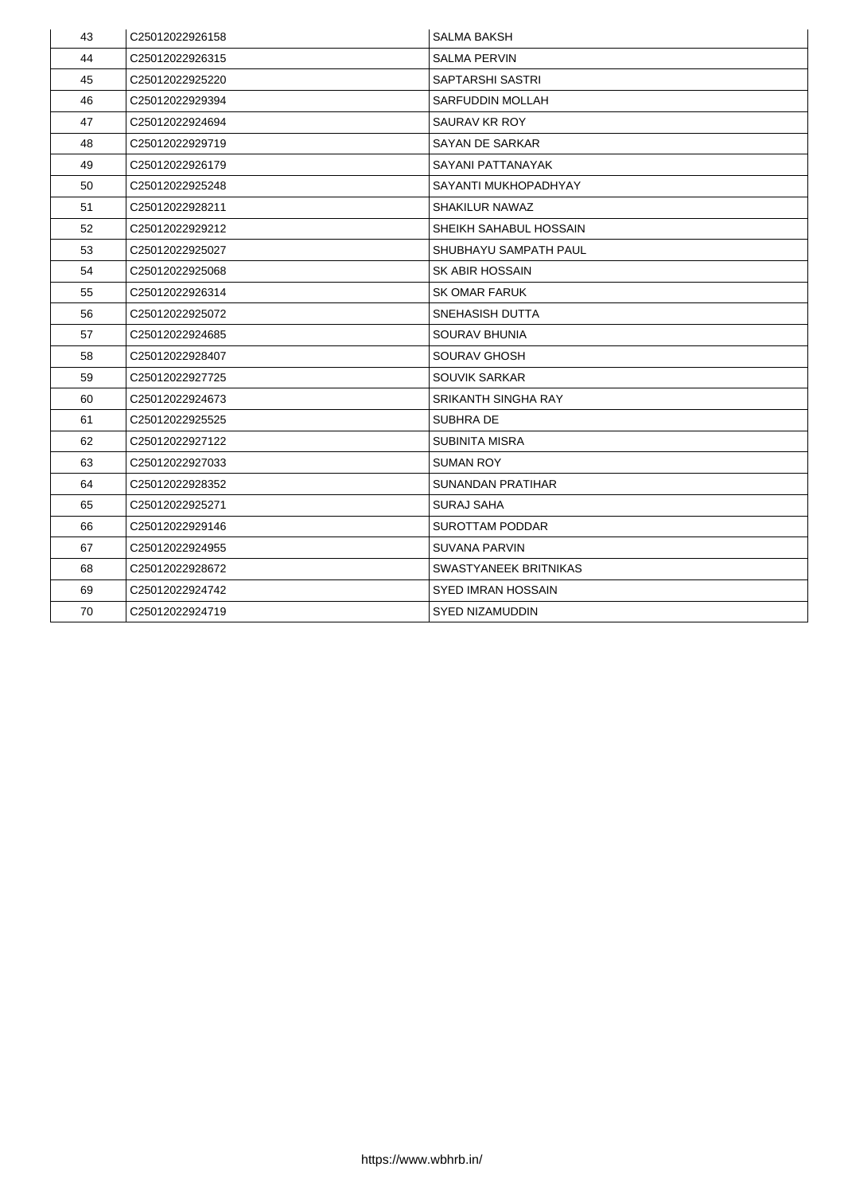| 43 | C25012022926158             | <b>SALMA BAKSH</b>            |
|----|-----------------------------|-------------------------------|
| 44 | C25012022926315             | <b>SALMA PERVIN</b>           |
| 45 | C25012022925220             | <b>SAPTARSHI SASTRI</b>       |
| 46 | C25012022929394             | <b>SARFUDDIN MOLLAH</b>       |
| 47 | C25012022924694             | <b>SAURAV KR ROY</b>          |
| 48 | C25012022929719             | <b>SAYAN DE SARKAR</b>        |
| 49 | C <sub>25012022926179</sub> | <b>SAYANI PATTANAYAK</b>      |
| 50 | C25012022925248             | SAYANTI MUKHOPADHYAY          |
| 51 | C25012022928211             | <b>SHAKILUR NAWAZ</b>         |
| 52 | C25012022929212             | <b>SHEIKH SAHABUL HOSSAIN</b> |
| 53 | C25012022925027             | <b>SHUBHAYU SAMPATH PAUL</b>  |
| 54 | C <sub>25012022925068</sub> | <b>SK ABIR HOSSAIN</b>        |
| 55 | C25012022926314             | <b>SK OMAR FARUK</b>          |
| 56 | C25012022925072             | <b>SNEHASISH DUTTA</b>        |
| 57 | C25012022924685             | <b>SOURAV BHUNIA</b>          |
| 58 | C25012022928407             | <b>SOURAV GHOSH</b>           |
| 59 | C25012022927725             | <b>SOUVIK SARKAR</b>          |
| 60 | C25012022924673             | <b>SRIKANTH SINGHA RAY</b>    |
| 61 | C25012022925525             | <b>SUBHRADE</b>               |
| 62 | C25012022927122             | <b>SUBINITA MISRA</b>         |
| 63 | C25012022927033             | <b>SUMAN ROY</b>              |
| 64 | C25012022928352             | <b>SUNANDAN PRATIHAR</b>      |
| 65 | C25012022925271             | <b>SURAJ SAHA</b>             |
| 66 | C25012022929146             | <b>SUROTTAM PODDAR</b>        |
| 67 | C25012022924955             | <b>SUVANA PARVIN</b>          |
| 68 | C25012022928672             | <b>SWASTYANEEK BRITNIKAS</b>  |
| 69 | C25012022924742             | <b>SYED IMRAN HOSSAIN</b>     |
| 70 | C25012022924719             | <b>SYED NIZAMUDDIN</b>        |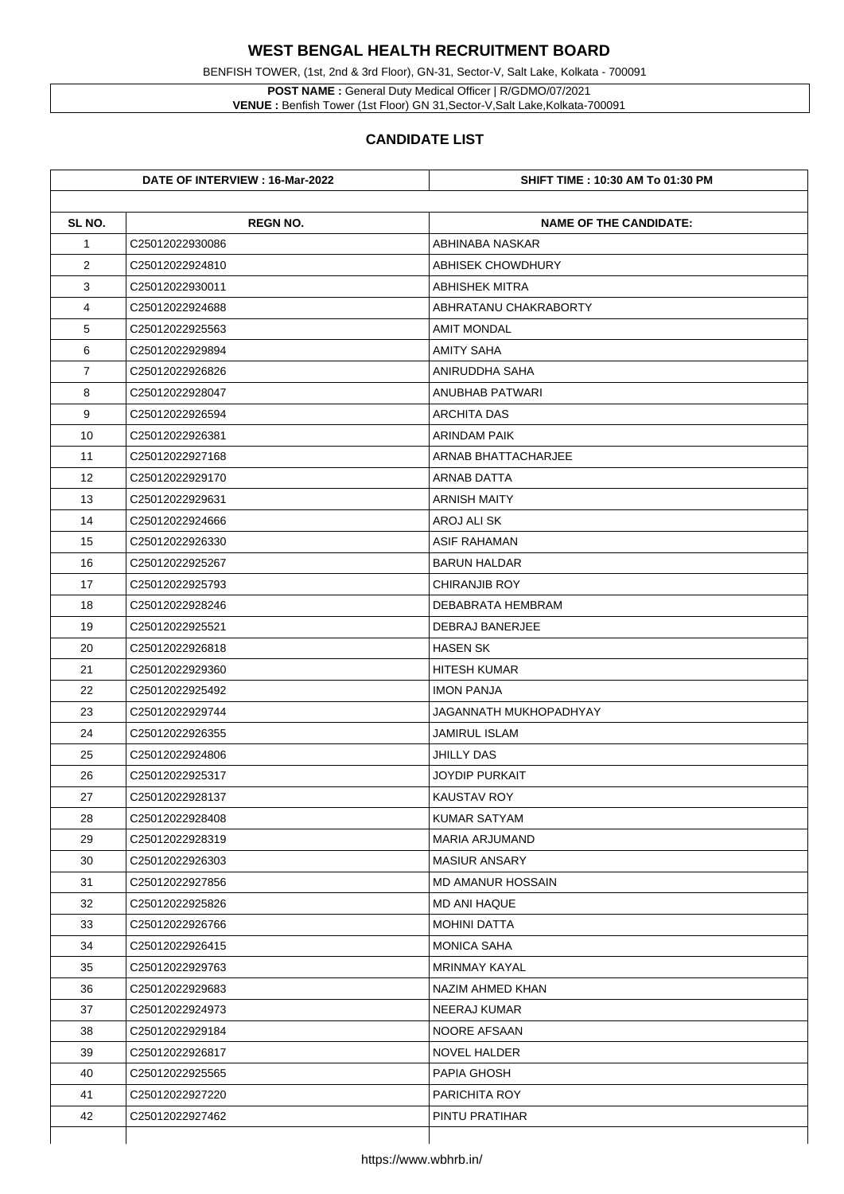**POST NAME :** General Duty Medical Officer | R/GDMO/07/2021 **VENUE :** Benfish Tower (1st Floor) GN 31, Sector-V, Salt Lake, Kolkata-700091

BENFISH TOWER, (1st, 2nd & 3rd Floor), GN-31, Sector-V, Salt Lake, Kolkata - 700091

|                | DATE OF INTERVIEW : 16-Mar-2022 | <b>SHIFT TIME : 10:30 AM To 01:30 PM</b> |
|----------------|---------------------------------|------------------------------------------|
| SL NO.         | <b>REGN NO.</b>                 | <b>NAME OF THE CANDIDATE:</b>            |
| $\mathbf 1$    | C25012022930086                 | ABHINABA NASKAR                          |
| $\overline{2}$ | C25012022924810                 | <b>ABHISEK CHOWDHURY</b>                 |
| 3              | C25012022930011                 | <b>ABHISHEK MITRA</b>                    |
| 4              | C25012022924688                 | ABHRATANU CHAKRABORTY                    |
| 5              | C25012022925563                 | <b>AMIT MONDAL</b>                       |
| 6              | C25012022929894                 | <b>AMITY SAHA</b>                        |
| $\overline{7}$ | C25012022926826                 | ANIRUDDHA SAHA                           |
| 8              | C25012022928047                 | <b>ANUBHAB PATWARI</b>                   |
| 9              | C25012022926594                 | <b>ARCHITA DAS</b>                       |
| 10             | C25012022926381                 | <b>ARINDAM PAIK</b>                      |
| 11             | C25012022927168                 | ARNAB BHATTACHARJEE                      |
| 12             | C25012022929170                 | <b>ARNAB DATTA</b>                       |
| 13             | C25012022929631                 | <b>ARNISH MAITY</b>                      |
| 14             | C25012022924666                 | <b>AROJ ALI SK</b>                       |
| 15             | C25012022926330                 | <b>ASIF RAHAMAN</b>                      |
| 16             | C25012022925267                 | <b>BARUN HALDAR</b>                      |
| 17             | C25012022925793                 | <b>CHIRANJIB ROY</b>                     |
| 18             | C25012022928246                 | <b>DEBABRATA HEMBRAM</b>                 |
| 19             | C25012022925521                 | <b>DEBRAJ BANERJEE</b>                   |
| 20             | C25012022926818                 | <b>HASEN SK</b>                          |
| 21             | C <sub>25012022929360</sub>     | <b>HITESH KUMAR</b>                      |
| 22             | C25012022925492                 | <b>IMON PANJA</b>                        |
| 23             | C25012022929744                 | JAGANNATH MUKHOPADHYAY                   |
| 24             | C25012022926355                 | <b>JAMIRUL ISLAM</b>                     |
| 25             | C25012022924806                 | <b>JHILLY DAS</b>                        |
| 26             | C25012022925317                 | <b>JOYDIP PURKAIT</b>                    |
| 27             | C25012022928137                 | <b>KAUSTAV ROY</b>                       |
| 28             | C25012022928408                 | <b>KUMAR SATYAM</b>                      |
| 29             | C25012022928319                 | <b>MARIA ARJUMAND</b>                    |
| 30             | C25012022926303                 | <b>MASIUR ANSARY</b>                     |
| 31             | C25012022927856                 | <b>MD AMANUR HOSSAIN</b>                 |
| 32             | C25012022925826                 | <b>MD ANI HAQUE</b>                      |
| 33             | C25012022926766                 | <b>MOHINI DATTA</b>                      |
| 34             | C25012022926415                 | <b>MONICA SAHA</b>                       |
| 35             | C25012022929763                 | <b>MRINMAY KAYAL</b>                     |
| 36             | C25012022929683                 | NAZIM AHMED KHAN                         |
| 37             | C25012022924973                 | <b>NEERAJ KUMAR</b>                      |
| 38             | C25012022929184                 | NOORE AFSAAN                             |
| 39             | C25012022926817                 | <b>NOVEL HALDER</b>                      |
|                |                                 |                                          |
| 40             | C25012022925565                 | <b>PAPIA GHOSH</b>                       |
| 41             | C25012022927220                 | <b>PARICHITA ROY</b>                     |
| 42             | C25012022927462                 | PINTU PRATIHAR                           |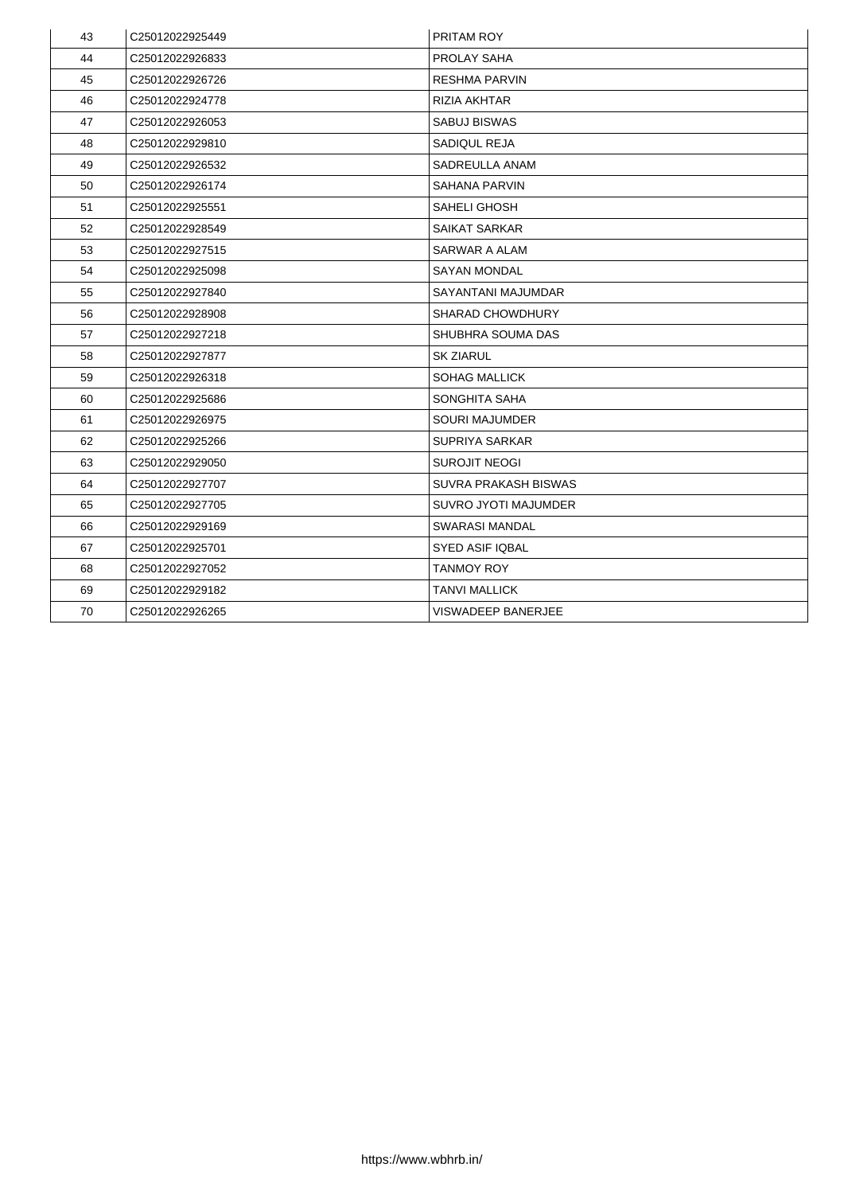| 43 | C25012022925449             | <b>PRITAM ROY</b>           |
|----|-----------------------------|-----------------------------|
| 44 | C25012022926833             | <b>PROLAY SAHA</b>          |
| 45 | C25012022926726             | <b>RESHMA PARVIN</b>        |
| 46 | C <sub>25012022924778</sub> | RIZIA AKHTAR                |
| 47 | C25012022926053             | <b>SABUJ BISWAS</b>         |
| 48 | C <sub>25012022929810</sub> | <b>SADIQUL REJA</b>         |
| 49 | C25012022926532             | <b>SADREULLA ANAM</b>       |
| 50 | C25012022926174             | <b>SAHANA PARVIN</b>        |
| 51 | C25012022925551             | <b>SAHELI GHOSH</b>         |
| 52 | C25012022928549             | <b>SAIKAT SARKAR</b>        |
| 53 | C25012022927515             | <b>SARWAR A ALAM</b>        |
| 54 | C25012022925098             | <b>SAYAN MONDAL</b>         |
| 55 | C25012022927840             | <b>SAYANTANI MAJUMDAR</b>   |
| 56 | C25012022928908             | <b>SHARAD CHOWDHURY</b>     |
| 57 | C25012022927218             | <b>SHUBHRA SOUMA DAS</b>    |
| 58 | C25012022927877             | <b>SK ZIARUL</b>            |
| 59 | C25012022926318             | <b>SOHAG MALLICK</b>        |
| 60 | C25012022925686             | <b>SONGHITA SAHA</b>        |
| 61 | C25012022926975             | <b>SOURI MAJUMDER</b>       |
| 62 | C25012022925266             | <b>SUPRIYA SARKAR</b>       |
| 63 | C <sub>25012022929050</sub> | <b>SUROJIT NEOGI</b>        |
| 64 | C25012022927707             | <b>SUVRA PRAKASH BISWAS</b> |
| 65 | C25012022927705             | <b>SUVRO JYOTI MAJUMDER</b> |
| 66 | C <sub>25012022929169</sub> | <b>SWARASI MANDAL</b>       |
| 67 | C25012022925701             | <b>SYED ASIF IQBAL</b>      |
| 68 | C <sub>25012022927052</sub> | <b>TANMOY ROY</b>           |
| 69 | C25012022929182             | <b>TANVI MALLICK</b>        |
| 70 | C25012022926265             | <b>VISWADEEP BANERJEE</b>   |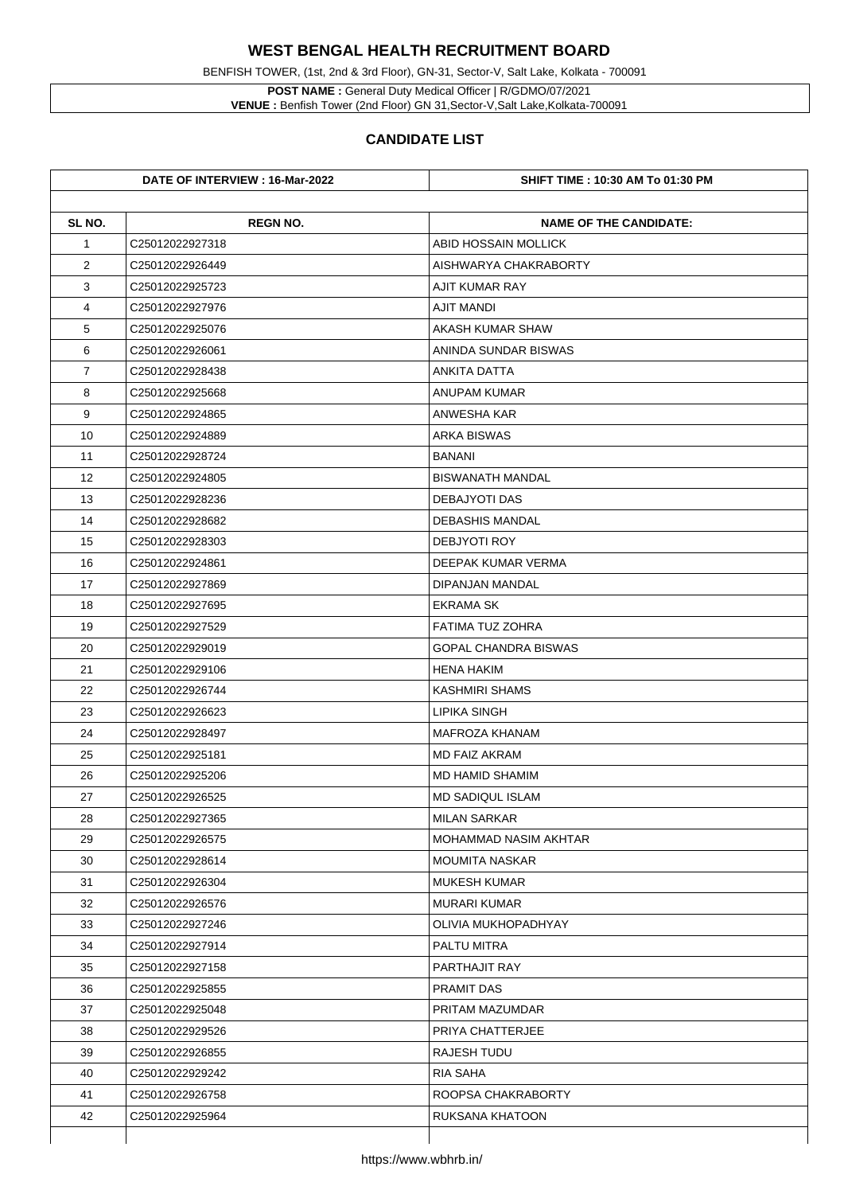BENFISH TOWER, (1st, 2nd & 3rd Floor), GN-31, Sector-V, Salt Lake, Kolkata - 700091

**POST NAME :** General Duty Medical Officer | R/GDMO/07/2021 **VENUE :** Benfish Tower (2nd Floor) GN 31,Sector-V,Salt Lake,Kolkata-700091

|                | DATE OF INTERVIEW : 16-Mar-2022 | <b>SHIFT TIME : 10:30 AM To 01:30 PM</b> |
|----------------|---------------------------------|------------------------------------------|
| SL NO.         | <b>REGN NO.</b>                 | <b>NAME OF THE CANDIDATE:</b>            |
| $\mathbf 1$    | C25012022927318                 | <b>ABID HOSSAIN MOLLICK</b>              |
| $\overline{2}$ | C25012022926449                 | AISHWARYA CHAKRABORTY                    |
| 3              | C25012022925723                 | <b>AJIT KUMAR RAY</b>                    |
| 4              | C25012022927976                 | <b>AJIT MANDI</b>                        |
| 5              | C25012022925076                 | <b>AKASH KUMAR SHAW</b>                  |
| 6              | C25012022926061                 | ANINDA SUNDAR BISWAS                     |
| $\overline{7}$ | C25012022928438                 | <b>ANKITA DATTA</b>                      |
| 8              | C25012022925668                 | <b>ANUPAM KUMAR</b>                      |
| 9              | C25012022924865                 | <b>ANWESHA KAR</b>                       |
| 10             | C25012022924889                 | <b>ARKA BISWAS</b>                       |
| 11             | C25012022928724                 | <b>BANANI</b>                            |
| 12             | C25012022924805                 | <b>BISWANATH MANDAL</b>                  |
| 13             | C25012022928236                 | <b>DEBAJYOTI DAS</b>                     |
| 14             | C25012022928682                 | <b>DEBASHIS MANDAL</b>                   |
| 15             | C25012022928303                 | <b>DEBJYOTI ROY</b>                      |
| 16             | C25012022924861                 | <b>DEEPAK KUMAR VERMA</b>                |
| 17             | C25012022927869                 | <b>DIPANJAN MANDAL</b>                   |
| 18             | C25012022927695                 | <b>EKRAMA SK</b>                         |
| 19             | C25012022927529                 | <b>FATIMA TUZ ZOHRA</b>                  |
| 20             | C25012022929019                 | <b>GOPAL CHANDRA BISWAS</b>              |
| 21             | C25012022929106                 | <b>HENA HAKIM</b>                        |
| 22             | C25012022926744                 | <b>KASHMIRI SHAMS</b>                    |
| 23             | C25012022926623                 | <b>LIPIKA SINGH</b>                      |
| 24             | C25012022928497                 | <b>MAFROZA KHANAM</b>                    |
| 25             | C25012022925181                 | <b>MD FAIZ AKRAM</b>                     |
| 26             | C25012022925206                 | <b>MD HAMID SHAMIM</b>                   |
| 27             | C25012022926525                 | <b>MD SADIQUL ISLAM</b>                  |
| 28             | C25012022927365                 | <b>MILAN SARKAR</b>                      |
| 29             | C25012022926575                 | <b>MOHAMMAD NASIM AKHTAR</b>             |
| 30             | C25012022928614                 | <b>MOUMITA NASKAR</b>                    |
| 31             | C25012022926304                 | <b>MUKESH KUMAR</b>                      |
| 32             | C25012022926576                 | <b>MURARI KUMAR</b>                      |
| 33             | C25012022927246                 | <b>OLIVIA MUKHOPADHYAY</b>               |
| 34             | C25012022927914                 | <b>PALTU MITRA</b>                       |
| 35             | C25012022927158                 | <b>PARTHAJIT RAY</b>                     |
| 36             | C25012022925855                 | <b>PRAMIT DAS</b>                        |
| 37             | C25012022925048                 | <b>PRITAM MAZUMDAR</b>                   |
| 38             | C25012022929526                 | PRIYA CHATTERJEE                         |
| 39             |                                 | <b>RAJESH TUDU</b>                       |
|                | C25012022926855                 |                                          |
| 40             | C25012022929242                 | <b>RIA SAHA</b>                          |
| 41             | C25012022926758                 | ROOPSA CHAKRABORTY                       |
| 42             | C25012022925964                 | <b>RUKSANA KHATOON</b>                   |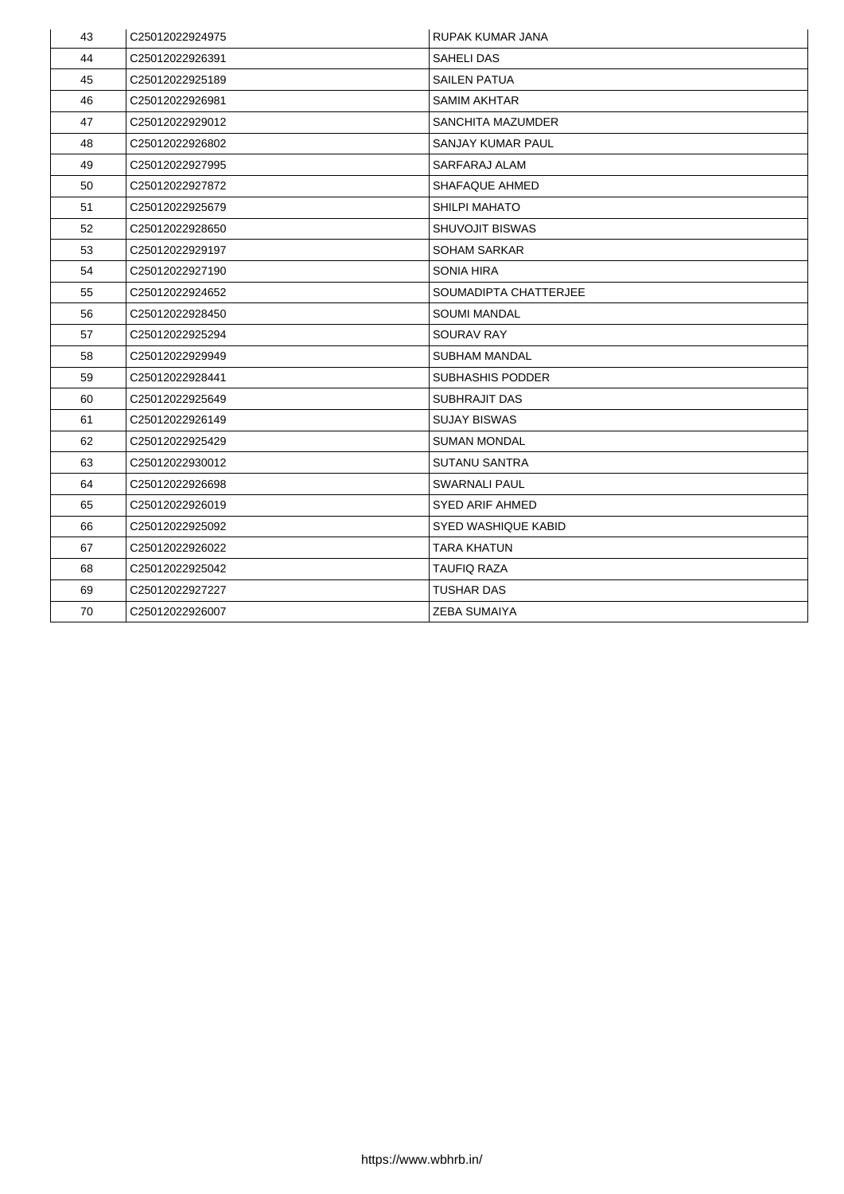| 43 | C25012022924975 | <b>RUPAK KUMAR JANA</b>    |
|----|-----------------|----------------------------|
| 44 | C25012022926391 | <b>SAHELI DAS</b>          |
| 45 | C25012022925189 | <b>SAILEN PATUA</b>        |
| 46 | C25012022926981 | <b>SAMIM AKHTAR</b>        |
| 47 | C25012022929012 | <b>SANCHITA MAZUMDER</b>   |
| 48 | C25012022926802 | <b>SANJAY KUMAR PAUL</b>   |
| 49 | C25012022927995 | <b>SARFARAJ ALAM</b>       |
| 50 | C25012022927872 | <b>SHAFAQUE AHMED</b>      |
| 51 | C25012022925679 | <b>SHILPI MAHATO</b>       |
| 52 | C25012022928650 | <b>SHUVOJIT BISWAS</b>     |
| 53 | C25012022929197 | <b>SOHAM SARKAR</b>        |
| 54 | C25012022927190 | <b>SONIA HIRA</b>          |
| 55 | C25012022924652 | SOUMADIPTA CHATTERJEE      |
| 56 | C25012022928450 | <b>SOUMI MANDAL</b>        |
| 57 | C25012022925294 | <b>SOURAV RAY</b>          |
| 58 | C25012022929949 | <b>SUBHAM MANDAL</b>       |
| 59 | C25012022928441 | <b>SUBHASHIS PODDER</b>    |
| 60 | C25012022925649 | <b>SUBHRAJIT DAS</b>       |
| 61 | C25012022926149 | <b>SUJAY BISWAS</b>        |
| 62 | C25012022925429 | <b>SUMAN MONDAL</b>        |
| 63 | C25012022930012 | <b>SUTANU SANTRA</b>       |
| 64 | C25012022926698 | <b>SWARNALI PAUL</b>       |
| 65 | C25012022926019 | <b>SYED ARIF AHMED</b>     |
| 66 | C25012022925092 | <b>SYED WASHIQUE KABID</b> |
| 67 | C25012022926022 | <b>TARA KHATUN</b>         |
| 68 | C25012022925042 | <b>TAUFIQ RAZA</b>         |
| 69 | C25012022927227 | <b>TUSHAR DAS</b>          |
| 70 | C25012022926007 | <b>ZEBA SUMAIYA</b>        |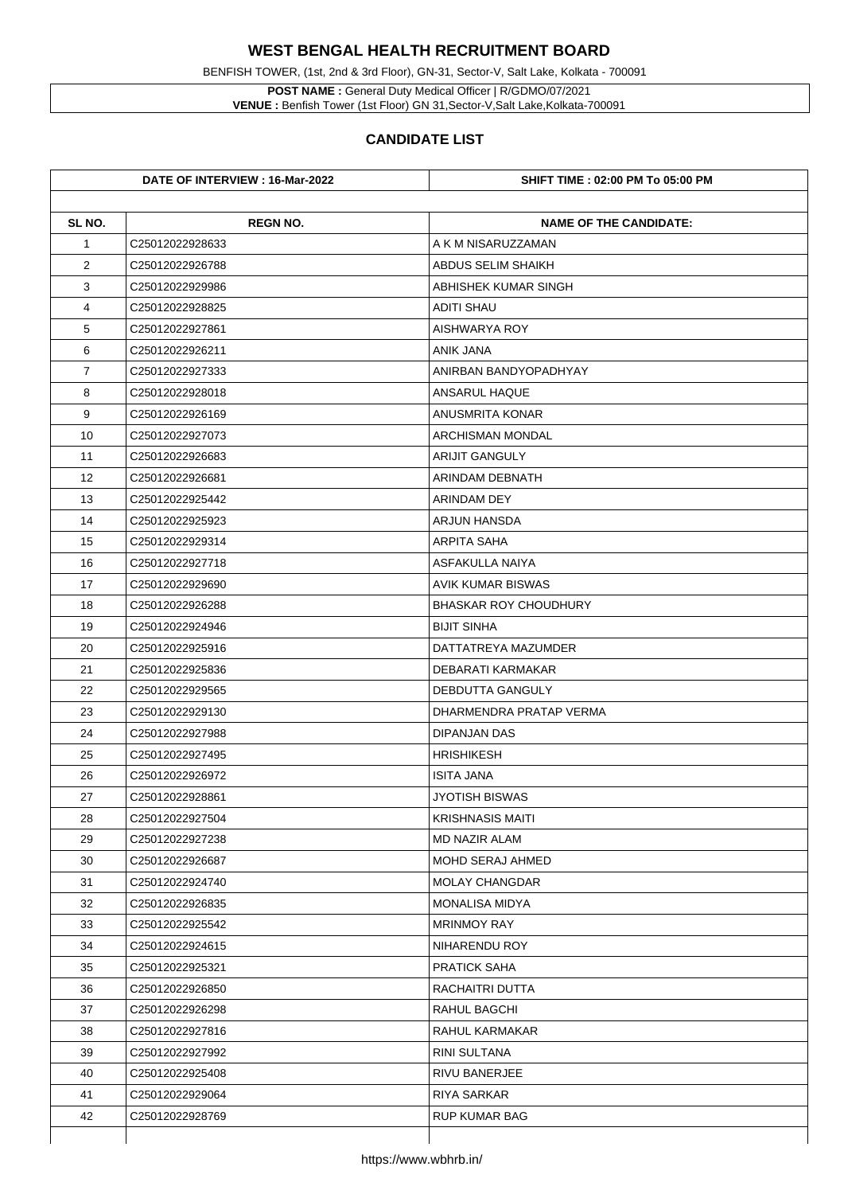**POST NAME :** General Duty Medical Officer | R/GDMO/07/2021 **VENUE :** Benfish Tower (1st Floor) GN 31, Sector-V, Salt Lake, Kolkata-700091

BENFISH TOWER, (1st, 2nd & 3rd Floor), GN-31, Sector-V, Salt Lake, Kolkata - 700091

|                | DATE OF INTERVIEW : 16-Mar-2022 | <b>SHIFT TIME : 02:00 PM To 05:00 PM</b> |
|----------------|---------------------------------|------------------------------------------|
| SL NO.         | <b>REGN NO.</b>                 | <b>NAME OF THE CANDIDATE:</b>            |
| $\mathbf 1$    | C25012022928633                 | A K M NISARUZZAMAN                       |
| $\overline{2}$ | C <sub>25012022926788</sub>     | <b>ABDUS SELIM SHAIKH</b>                |
| 3              | C25012022929986                 | <b>ABHISHEK KUMAR SINGH</b>              |
| 4              | C25012022928825                 | <b>ADITI SHAU</b>                        |
| 5              | C25012022927861                 | <b>AISHWARYA ROY</b>                     |
| 6              | C25012022926211                 | <b>ANIK JANA</b>                         |
| $\overline{7}$ | C25012022927333                 | ANIRBAN BANDYOPADHYAY                    |
| 8              | C25012022928018                 | <b>ANSARUL HAQUE</b>                     |
| 9              | C25012022926169                 | <b>ANUSMRITA KONAR</b>                   |
| 10             | C25012022927073                 | <b>ARCHISMAN MONDAL</b>                  |
| 11             | C25012022926683                 | <b>ARIJIT GANGULY</b>                    |
| 12             | C25012022926681                 | <b>ARINDAM DEBNATH</b>                   |
| 13             | C25012022925442                 | <b>ARINDAM DEY</b>                       |
| 14             | C25012022925923                 | <b>ARJUN HANSDA</b>                      |
| 15             | C25012022929314                 | <b>ARPITA SAHA</b>                       |
| 16             | C25012022927718                 | <b>ASFAKULLA NAIYA</b>                   |
| 17             | C25012022929690                 | <b>AVIK KUMAR BISWAS</b>                 |
| 18             | C25012022926288                 | <b>BHASKAR ROY CHOUDHURY</b>             |
| 19             | C25012022924946                 | <b>BIJIT SINHA</b>                       |
| 20             | C25012022925916                 | DATTATREYA MAZUMDER                      |
| 21             | C <sub>25012022925836</sub>     | <b>DEBARATI KARMAKAR</b>                 |
| 22             | C25012022929565                 | <b>DEBDUTTA GANGULY</b>                  |
| 23             | C25012022929130                 | DHARMENDRA PRATAP VERMA                  |
| 24             | C25012022927988                 | <b>DIPANJAN DAS</b>                      |
| 25             | C25012022927495                 | <b>HRISHIKESH</b>                        |
| 26             | C25012022926972                 | <b>ISITA JANA</b>                        |
| 27             | C25012022928861                 | <b>JYOTISH BISWAS</b>                    |
| 28             | C25012022927504                 | <b>KRISHNASIS MAITI</b>                  |
| 29             | C25012022927238                 | <b>MD NAZIR ALAM</b>                     |
| 30             | C25012022926687                 | <b>MOHD SERAJ AHMED</b>                  |
| 31             | C25012022924740                 | <b>MOLAY CHANGDAR</b>                    |
| 32             | C25012022926835                 | <b>MONALISA MIDYA</b>                    |
| 33             | C25012022925542                 | <b>MRINMOY RAY</b>                       |
| 34             | C25012022924615                 | <b>NIHARENDU ROY</b>                     |
| 35             | C25012022925321                 | <b>PRATICK SAHA</b>                      |
| 36             | C25012022926850                 | RACHAITRI DUTTA                          |
| 37             | C25012022926298                 | <b>RAHUL BAGCHI</b>                      |
| 38             | C25012022927816                 | <b>RAHUL KARMAKAR</b>                    |
| 39             | C25012022927992                 | <b>RINI SULTANA</b>                      |
| 40             | C25012022925408                 | <b>RIVU BANERJEE</b>                     |
| 41             | C25012022929064                 | <b>RIYA SARKAR</b>                       |
| 42             | C25012022928769                 | <b>RUP KUMAR BAG</b>                     |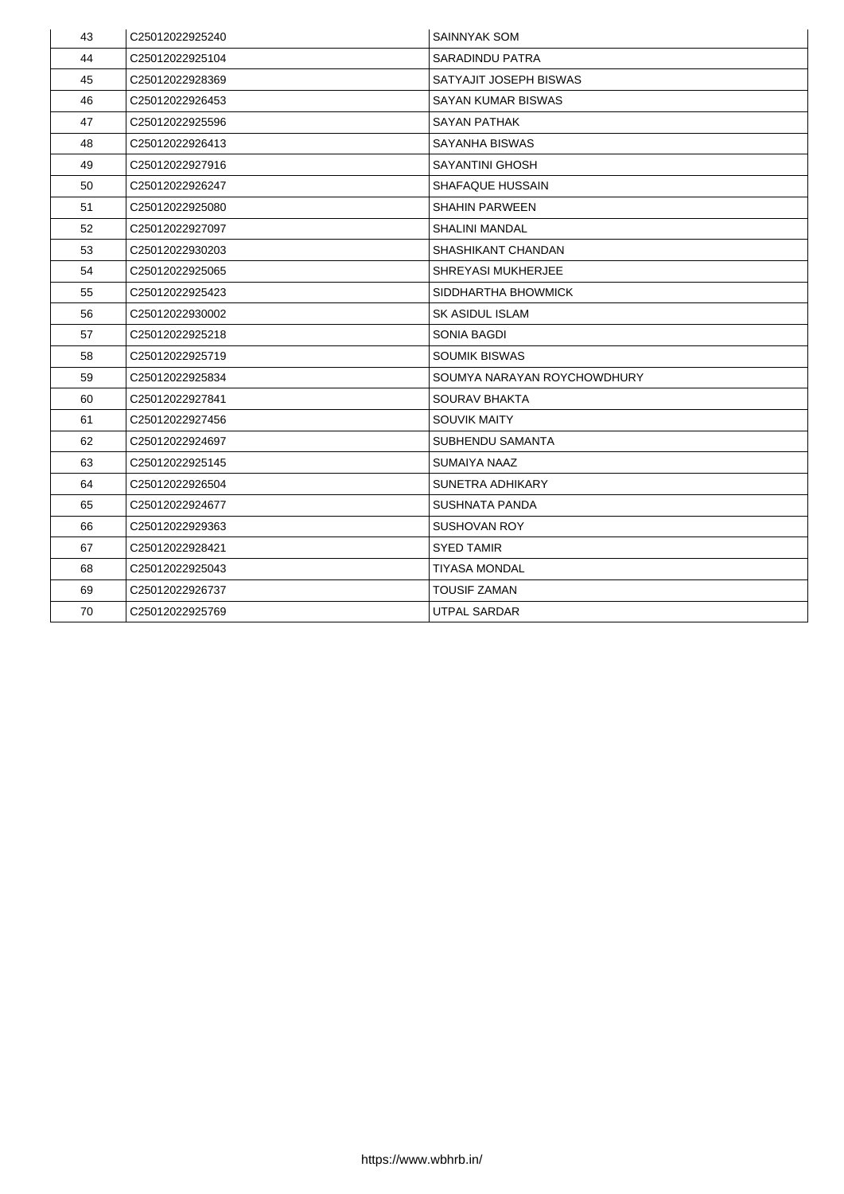| 43 | C25012022925240             | <b>SAINNYAK SOM</b>         |
|----|-----------------------------|-----------------------------|
| 44 | C25012022925104             | <b>SARADINDU PATRA</b>      |
| 45 | C25012022928369             | SATYAJIT JOSEPH BISWAS      |
| 46 | C <sub>25012022926453</sub> | <b>SAYAN KUMAR BISWAS</b>   |
| 47 | C25012022925596             | <b>SAYAN PATHAK</b>         |
| 48 | C25012022926413             | <b>SAYANHA BISWAS</b>       |
| 49 | C25012022927916             | <b>SAYANTINI GHOSH</b>      |
| 50 | C25012022926247             | <b>SHAFAQUE HUSSAIN</b>     |
| 51 | C25012022925080             | <b>SHAHIN PARWEEN</b>       |
| 52 | C25012022927097             | <b>SHALINI MANDAL</b>       |
| 53 | C25012022930203             | <b>SHASHIKANT CHANDAN</b>   |
| 54 | C25012022925065             | <b>SHREYASI MUKHERJEE</b>   |
| 55 | C25012022925423             | SIDDHARTHA BHOWMICK         |
| 56 | C25012022930002             | <b>SK ASIDUL ISLAM</b>      |
| 57 | C25012022925218             | <b>SONIA BAGDI</b>          |
| 58 | C25012022925719             | <b>SOUMIK BISWAS</b>        |
| 59 | C25012022925834             | SOUMYA NARAYAN ROYCHOWDHURY |
| 60 | C25012022927841             | <b>SOURAV BHAKTA</b>        |
| 61 | C <sub>25012022927456</sub> | <b>SOUVIK MAITY</b>         |
| 62 | C25012022924697             | <b>SUBHENDU SAMANTA</b>     |
| 63 | C <sub>25012022925145</sub> | <b>SUMAIYA NAAZ</b>         |
| 64 | C25012022926504             | <b>SUNETRA ADHIKARY</b>     |
| 65 | C25012022924677             | <b>SUSHNATA PANDA</b>       |
| 66 | C <sub>25012022929363</sub> | <b>SUSHOVAN ROY</b>         |
| 67 | C25012022928421             | <b>SYED TAMIR</b>           |
| 68 | C <sub>25012022925043</sub> | <b>TIYASA MONDAL</b>        |
| 69 | C25012022926737             | <b>TOUSIF ZAMAN</b>         |
| 70 | C25012022925769             | <b>UTPAL SARDAR</b>         |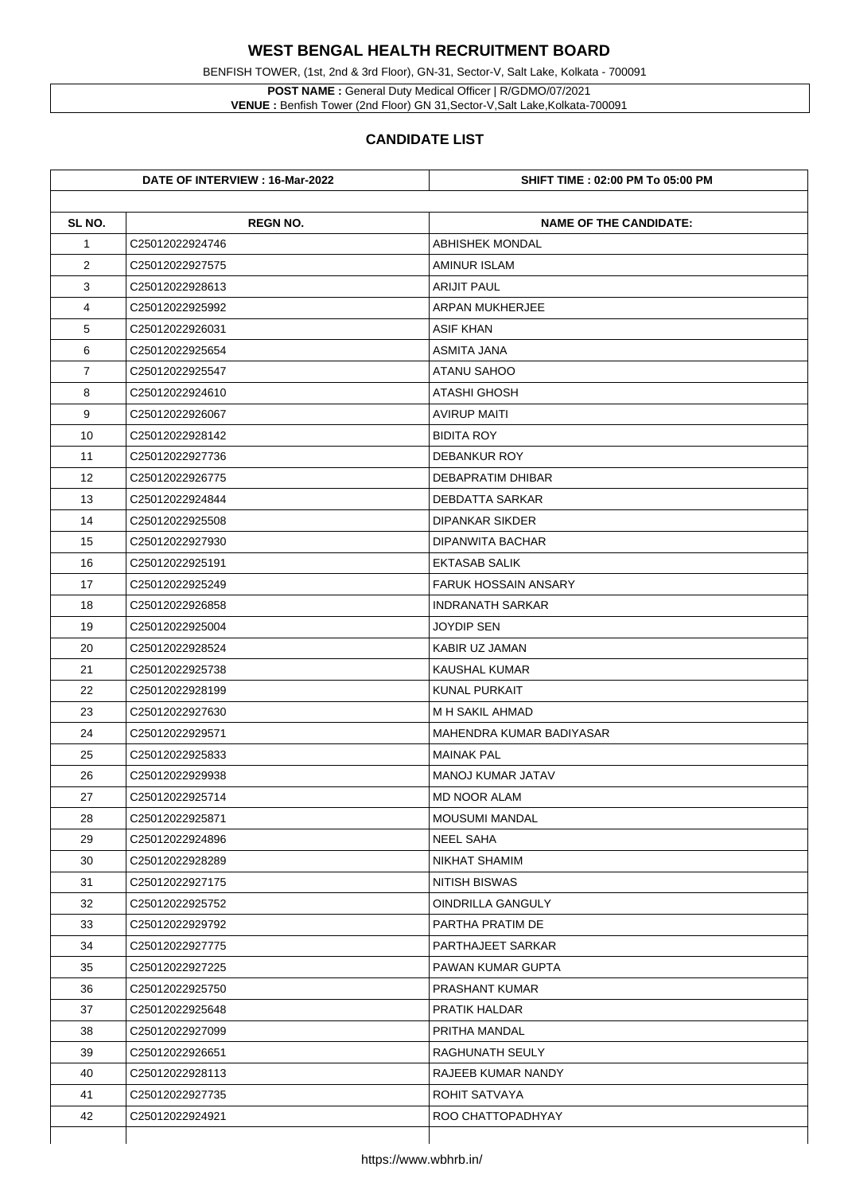BENFISH TOWER, (1st, 2nd & 3rd Floor), GN-31, Sector-V, Salt Lake, Kolkata - 700091

**POST NAME :** General Duty Medical Officer | R/GDMO/07/2021 **VENUE :** Benfish Tower (2nd Floor) GN 31,Sector-V,Salt Lake,Kolkata-700091

|                | DATE OF INTERVIEW : 16-Mar-2022 | <b>SHIFT TIME : 02:00 PM To 05:00 PM</b> |
|----------------|---------------------------------|------------------------------------------|
| SL NO.         | <b>REGN NO.</b>                 | <b>NAME OF THE CANDIDATE:</b>            |
| $\mathbf 1$    | C25012022924746                 | <b>ABHISHEK MONDAL</b>                   |
| $\overline{2}$ | C25012022927575                 | <b>AMINUR ISLAM</b>                      |
| 3              | C25012022928613                 | <b>ARIJIT PAUL</b>                       |
| 4              | C25012022925992                 | <b>ARPAN MUKHERJEE</b>                   |
| 5              | C25012022926031                 | <b>ASIF KHAN</b>                         |
| 6              | C25012022925654                 | <b>ASMITA JANA</b>                       |
| $\overline{7}$ | C25012022925547                 | <b>ATANU SAHOO</b>                       |
| 8              | C25012022924610                 | <b>ATASHI GHOSH</b>                      |
| 9              | C25012022926067                 | <b>AVIRUP MAITI</b>                      |
| 10             | C25012022928142                 | <b>BIDITA ROY</b>                        |
| 11             | C25012022927736                 | <b>DEBANKUR ROY</b>                      |
| 12             | C25012022926775                 | <b>DEBAPRATIM DHIBAR</b>                 |
| 13             | C25012022924844                 | <b>DEBDATTA SARKAR</b>                   |
| 14             | C25012022925508                 | <b>DIPANKAR SIKDER</b>                   |
| 15             | C25012022927930                 | <b>DIPANWITA BACHAR</b>                  |
| 16             | C25012022925191                 | <b>EKTASAB SALIK</b>                     |
| 17             | C25012022925249                 | <b>FARUK HOSSAIN ANSARY</b>              |
| 18             | C25012022926858                 | <b>INDRANATH SARKAR</b>                  |
| 19             | C25012022925004                 | <b>JOYDIP SEN</b>                        |
| 20             | C25012022928524                 | <b>KABIR UZ JAMAN</b>                    |
| 21             | C25012022925738                 | <b>KAUSHAL KUMAR</b>                     |
| 22             | C25012022928199                 | <b>KUNAL PURKAIT</b>                     |
| 23             | C25012022927630                 | M H SAKIL AHMAD                          |
| 24             | C25012022929571                 | <b>MAHENDRA KUMAR BADIYASAR</b>          |
| 25             | C25012022925833                 | <b>MAINAK PAL</b>                        |
| 26             | C25012022929938                 | <b>MANOJ KUMAR JATAV</b>                 |
| 27             | C25012022925714                 | <b>MD NOOR ALAM</b>                      |
| 28             | C25012022925871                 | <b>MOUSUMI MANDAL</b>                    |
| 29             | C25012022924896                 | <b>NEEL SAHA</b>                         |
| 30             | C25012022928289                 | <b>NIKHAT SHAMIM</b>                     |
| 31             | C25012022927175                 | <b>NITISH BISWAS</b>                     |
| 32             | C25012022925752                 | <b>OINDRILLA GANGULY</b>                 |
| 33             | C25012022929792                 | <b>PARTHA PRATIM DE</b>                  |
| 34             | C25012022927775                 | <b>PARTHAJEET SARKAR</b>                 |
| 35             | C25012022927225                 | <b>PAWAN KUMAR GUPTA</b>                 |
| 36             |                                 |                                          |
|                | C25012022925750                 | <b>PRASHANT KUMAR</b>                    |
| 37             | C25012022925648                 | <b>PRATIK HALDAR</b>                     |
| 38             | C25012022927099                 | PRITHA MANDAL                            |
| 39             | C25012022926651                 | <b>RAGHUNATH SEULY</b>                   |
| 40             | C25012022928113                 | <b>RAJEEB KUMAR NANDY</b>                |
| 41             | C25012022927735                 | <b>ROHIT SATVAYA</b>                     |
| 42             | C25012022924921                 | ROO CHATTOPADHYAY                        |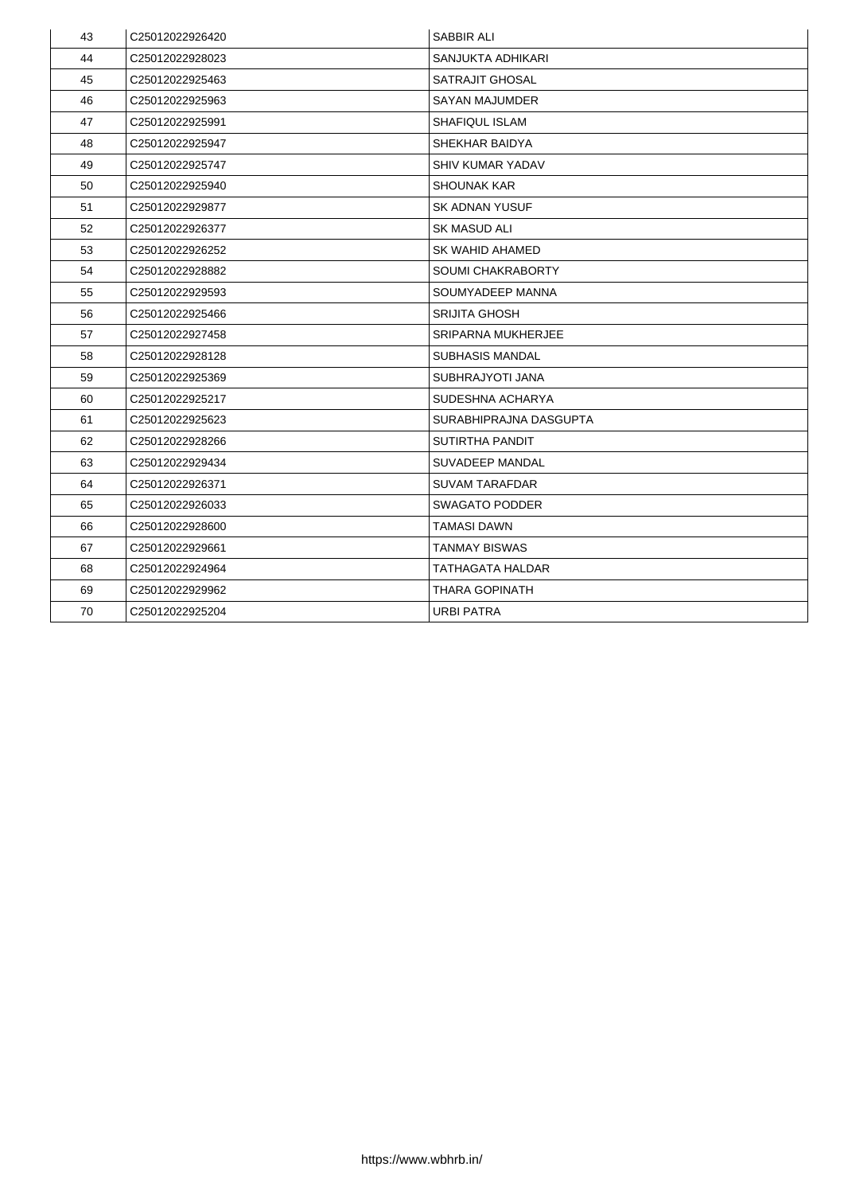| 43 | C25012022926420             | <b>SABBIR ALI</b>         |
|----|-----------------------------|---------------------------|
| 44 | C25012022928023             | <b>SANJUKTA ADHIKARI</b>  |
| 45 | C25012022925463             | <b>SATRAJIT GHOSAL</b>    |
| 46 | C <sub>25012022925963</sub> | <b>SAYAN MAJUMDER</b>     |
| 47 | C25012022925991             | <b>SHAFIQUL ISLAM</b>     |
| 48 | C25012022925947             | <b>SHEKHAR BAIDYA</b>     |
| 49 | C25012022925747             | <b>SHIV KUMAR YADAV</b>   |
| 50 | C25012022925940             | <b>SHOUNAK KAR</b>        |
| 51 | C25012022929877             | <b>SK ADNAN YUSUF</b>     |
| 52 | C25012022926377             | <b>SK MASUD ALI</b>       |
| 53 | C25012022926252             | SK WAHID AHAMED           |
| 54 | C25012022928882             | <b>SOUMI CHAKRABORTY</b>  |
| 55 | C25012022929593             | SOUMYADEEP MANNA          |
| 56 | C25012022925466             | <b>SRIJITA GHOSH</b>      |
| 57 | C25012022927458             | <b>SRIPARNA MUKHERJEE</b> |
| 58 | C25012022928128             | <b>SUBHASIS MANDAL</b>    |
| 59 | C25012022925369             | <b>SUBHRAJYOTI JANA</b>   |
| 60 | C25012022925217             | <b>SUDESHNA ACHARYA</b>   |
| 61 | C <sub>25012022925623</sub> | SURABHIPRAJNA DASGUPTA    |
| 62 | C25012022928266             | <b>SUTIRTHA PANDIT</b>    |
| 63 | C25012022929434             | <b>SUVADEEP MANDAL</b>    |
| 64 | C25012022926371             | <b>SUVAM TARAFDAR</b>     |
| 65 | C25012022926033             | <b>SWAGATO PODDER</b>     |
| 66 | C <sub>25012022928600</sub> | TAMASI DAWN               |
| 67 | C25012022929661             | <b>TANMAY BISWAS</b>      |
| 68 | C25012022924964             | TATHAGATA HALDAR          |
| 69 | C25012022929962             | <b>THARA GOPINATH</b>     |
| 70 | C25012022925204             | <b>URBI PATRA</b>         |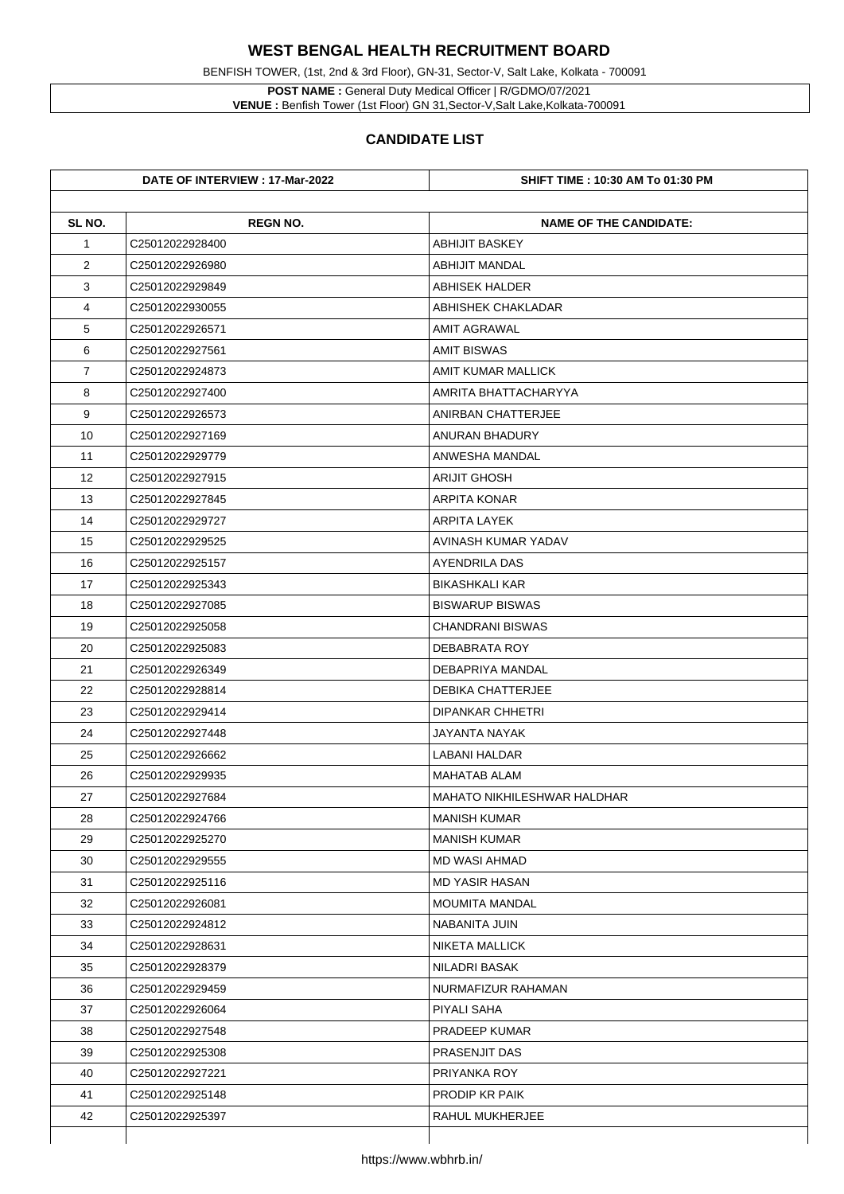**POST NAME :** General Duty Medical Officer | R/GDMO/07/2021 **VENUE :** Benfish Tower (1st Floor) GN 31, Sector-V, Salt Lake, Kolkata-700091

BENFISH TOWER, (1st, 2nd & 3rd Floor), GN-31, Sector-V, Salt Lake, Kolkata - 700091

|                | DATE OF INTERVIEW : 17-Mar-2022 | <b>SHIFT TIME : 10:30 AM To 01:30 PM</b> |
|----------------|---------------------------------|------------------------------------------|
| SL NO.         | <b>REGN NO.</b>                 | <b>NAME OF THE CANDIDATE:</b>            |
| $\mathbf 1$    | C25012022928400                 | <b>ABHIJIT BASKEY</b>                    |
| $\overline{2}$ | C <sub>25012022926980</sub>     | <b>ABHIJIT MANDAL</b>                    |
| 3              | C25012022929849                 | <b>ABHISEK HALDER</b>                    |
| 4              | C25012022930055                 | <b>ABHISHEK CHAKLADAR</b>                |
| 5              | C25012022926571                 | <b>AMIT AGRAWAL</b>                      |
| 6              | C25012022927561                 | <b>AMIT BISWAS</b>                       |
| $\overline{7}$ | C25012022924873                 | <b>AMIT KUMAR MALLICK</b>                |
| 8              | C25012022927400                 | AMRITA BHATTACHARYYA                     |
| 9              | C25012022926573                 | <b>ANIRBAN CHATTERJEE</b>                |
| 10             | C25012022927169                 | <b>ANURAN BHADURY</b>                    |
| 11             | C25012022929779                 | <b>ANWESHA MANDAL</b>                    |
| 12             | C25012022927915                 | <b>ARIJIT GHOSH</b>                      |
| 13             | C25012022927845                 | <b>ARPITA KONAR</b>                      |
| 14             | C25012022929727                 | <b>ARPITA LAYEK</b>                      |
| 15             | C25012022929525                 | <b>AVINASH KUMAR YADAV</b>               |
| 16             | C25012022925157                 | <b>AYENDRILA DAS</b>                     |
| 17             | C25012022925343                 | <b>BIKASHKALI KAR</b>                    |
| 18             | C25012022927085                 | <b>BISWARUP BISWAS</b>                   |
| 19             | C25012022925058                 | <b>CHANDRANI BISWAS</b>                  |
| 20             | C25012022925083                 | <b>DEBABRATA ROY</b>                     |
| 21             | C25012022926349                 | <b>DEBAPRIYA MANDAL</b>                  |
| 22             | C25012022928814                 | <b>DEBIKA CHATTERJEE</b>                 |
| 23             | C25012022929414                 | <b>DIPANKAR CHHETRI</b>                  |
| 24             | C25012022927448                 | <b>JAYANTA NAYAK</b>                     |
| 25             | C25012022926662                 | <b>LABANI HALDAR</b>                     |
| 26             | C25012022929935                 | <b>MAHATAB ALAM</b>                      |
| 27             | C25012022927684                 | <b>MAHATO NIKHILESHWAR HALDHAR</b>       |
| 28             | C25012022924766                 | <b>MANISH KUMAR</b>                      |
| 29             | C25012022925270                 | <b>MANISH KUMAR</b>                      |
| 30             | C25012022929555                 | <b>MD WASI AHMAD</b>                     |
| 31             | C25012022925116                 | <b>MD YASIR HASAN</b>                    |
| 32             | C25012022926081                 | <b>MOUMITA MANDAL</b>                    |
| 33             | C25012022924812                 | <b>NABANITA JUIN</b>                     |
| 34             | C25012022928631                 | <b>NIKETA MALLICK</b>                    |
| 35             | C25012022928379                 | <b>NILADRI BASAK</b>                     |
| 36             | C25012022929459                 | NURMAFIZUR RAHAMAN                       |
| 37             | C25012022926064                 | <b>PIYALI SAHA</b>                       |
| 38             | C25012022927548                 | <b>PRADEEP KUMAR</b>                     |
| 39             | C25012022925308                 | <b>PRASENJIT DAS</b>                     |
| 40             | C25012022927221                 | PRIYANKA ROY                             |
| 41             | C25012022925148                 | <b>PRODIP KR PAIK</b>                    |
| 42             | C25012022925397                 | <b>RAHUL MUKHERJEE</b>                   |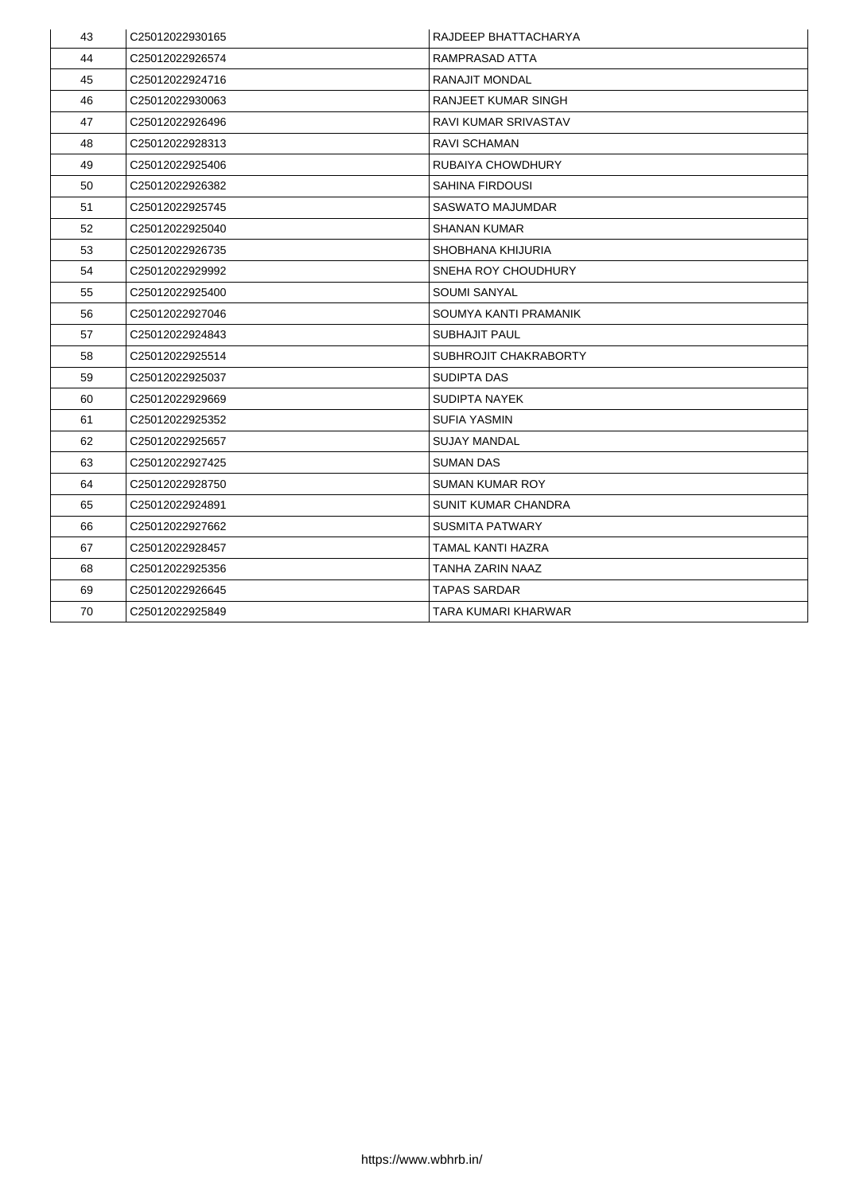| 43 | C25012022930165             | RAJDEEP BHATTACHARYA         |
|----|-----------------------------|------------------------------|
| 44 | C25012022926574             | RAMPRASAD ATTA               |
| 45 | C25012022924716             | <b>RANAJIT MONDAL</b>        |
| 46 | C25012022930063             | <b>RANJEET KUMAR SINGH</b>   |
| 47 | C25012022926496             | <b>RAVI KUMAR SRIVASTAV</b>  |
| 48 | C25012022928313             | <b>RAVI SCHAMAN</b>          |
| 49 | C <sub>25012022925406</sub> | <b>RUBAIYA CHOWDHURY</b>     |
| 50 | C25012022926382             | <b>SAHINA FIRDOUSI</b>       |
| 51 | C25012022925745             | <b>SASWATO MAJUMDAR</b>      |
| 52 | C25012022925040             | <b>SHANAN KUMAR</b>          |
| 53 | C25012022926735             | <b>SHOBHANA KHIJURIA</b>     |
| 54 | C25012022929992             | <b>SNEHA ROY CHOUDHURY</b>   |
| 55 | C25012022925400             | <b>SOUMI SANYAL</b>          |
| 56 | C25012022927046             | SOUMYA KANTI PRAMANIK        |
| 57 | C25012022924843             | <b>SUBHAJIT PAUL</b>         |
| 58 | C25012022925514             | <b>SUBHROJIT CHAKRABORTY</b> |
| 59 | C25012022925037             | <b>SUDIPTA DAS</b>           |
| 60 | C25012022929669             | <b>SUDIPTA NAYEK</b>         |
| 61 | C25012022925352             | <b>SUFIA YASMIN</b>          |
| 62 | C25012022925657             | <b>SUJAY MANDAL</b>          |
| 63 | C25012022927425             | <b>SUMAN DAS</b>             |
| 64 | C25012022928750             | <b>SUMAN KUMAR ROY</b>       |
| 65 | C25012022924891             | <b>SUNIT KUMAR CHANDRA</b>   |
| 66 | C25012022927662             | <b>SUSMITA PATWARY</b>       |
| 67 | C25012022928457             | TAMAL KANTI HAZRA            |
| 68 | C25012022925356             | TANHA ZARIN NAAZ             |
| 69 | C25012022926645             | <b>TAPAS SARDAR</b>          |
| 70 | C25012022925849             | <b>TARA KUMARI KHARWAR</b>   |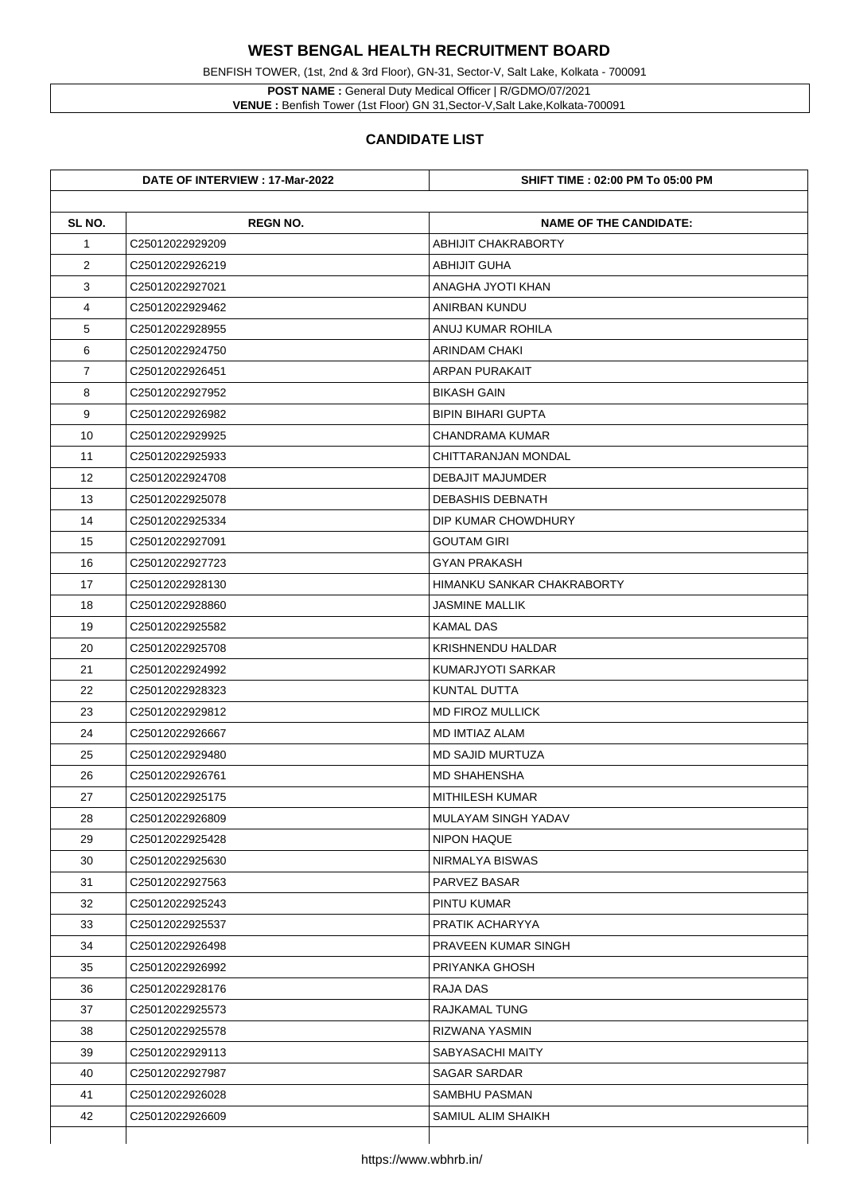**POST NAME :** General Duty Medical Officer | R/GDMO/07/2021 **VENUE :** Benfish Tower (1st Floor) GN 31, Sector-V, Salt Lake, Kolkata-700091

BENFISH TOWER, (1st, 2nd & 3rd Floor), GN-31, Sector-V, Salt Lake, Kolkata - 700091

|                | DATE OF INTERVIEW : 17-Mar-2022 | <b>SHIFT TIME : 02:00 PM To 05:00 PM</b> |
|----------------|---------------------------------|------------------------------------------|
| SL NO.         | <b>REGN NO.</b>                 | <b>NAME OF THE CANDIDATE:</b>            |
| $\mathbf 1$    | C25012022929209                 | <b>ABHIJIT CHAKRABORTY</b>               |
| $\overline{2}$ | C25012022926219                 | <b>ABHIJIT GUHA</b>                      |
| 3              | C25012022927021                 | <b>ANAGHA JYOTI KHAN</b>                 |
| 4              | C25012022929462                 | <b>ANIRBAN KUNDU</b>                     |
| 5              | C25012022928955                 | <b>ANUJ KUMAR ROHILA</b>                 |
| 6              | C <sub>25012022924750</sub>     | <b>ARINDAM CHAKI</b>                     |
| $\overline{7}$ | C25012022926451                 | <b>ARPAN PURAKAIT</b>                    |
| 8              | C25012022927952                 | <b>BIKASH GAIN</b>                       |
| 9              | C25012022926982                 | <b>BIPIN BIHARI GUPTA</b>                |
| 10             | C25012022929925                 | <b>CHANDRAMA KUMAR</b>                   |
| 11             | C25012022925933                 | <b>CHITTARANJAN MONDAL</b>               |
| 12             | C25012022924708                 | <b>DEBAJIT MAJUMDER</b>                  |
| 13             | C25012022925078                 | <b>DEBASHIS DEBNATH</b>                  |
| 14             | C25012022925334                 | DIP KUMAR CHOWDHURY                      |
| 15             | C25012022927091                 | <b>GOUTAM GIRI</b>                       |
| 16             | C25012022927723                 | <b>GYAN PRAKASH</b>                      |
| 17             | C25012022928130                 | <b>HIMANKU SANKAR CHAKRABORTY</b>        |
| 18             | C25012022928860                 | <b>JASMINE MALLIK</b>                    |
| 19             | C25012022925582                 | <b>KAMAL DAS</b>                         |
| 20             | C25012022925708                 | <b>KRISHNENDU HALDAR</b>                 |
| 21             | C25012022924992                 | <b>KUMARJYOTI SARKAR</b>                 |
| 22             | C25012022928323                 | <b>KUNTAL DUTTA</b>                      |
| 23             | C25012022929812                 | <b>MD FIROZ MULLICK</b>                  |
| 24             | C25012022926667                 | <b>MD IMTIAZ ALAM</b>                    |
| 25             | C25012022929480                 | <b>MD SAJID MURTUZA</b>                  |
| 26             | C25012022926761                 | <b>MD SHAHENSHA</b>                      |
| 27             | C25012022925175                 | <b>MITHILESH KUMAR</b>                   |
| 28             | C <sub>25012022926809</sub>     | <b>MULAYAM SINGH YADAV</b>               |
| 29             | C25012022925428                 | <b>NIPON HAQUE</b>                       |
| 30             | C25012022925630                 | NIRMALYA BISWAS                          |
| 31             | C25012022927563                 | <b>PARVEZ BASAR</b>                      |
| 32             | C25012022925243                 | <b>PINTU KUMAR</b>                       |
| 33             | C25012022925537                 | PRATIK ACHARYYA                          |
| 34             | C25012022926498                 | <b>PRAVEEN KUMAR SINGH</b>               |
| 35             | C25012022926992                 | <b>PRIYANKA GHOSH</b>                    |
| 36             | C25012022928176                 | <b>RAJA DAS</b>                          |
| 37             | C25012022925573                 | <b>RAJKAMAL TUNG</b>                     |
| 38             | C25012022925578                 | <b>RIZWANA YASMIN</b>                    |
| 39             | C25012022929113                 | <b>SABYASACHI MAITY</b>                  |
| 40             | C25012022927987                 | <b>SAGAR SARDAR</b>                      |
| 41             | C25012022926028                 | <b>SAMBHU PASMAN</b>                     |
| 42             | C25012022926609                 | <b>SAMIUL ALIM SHAIKH</b>                |